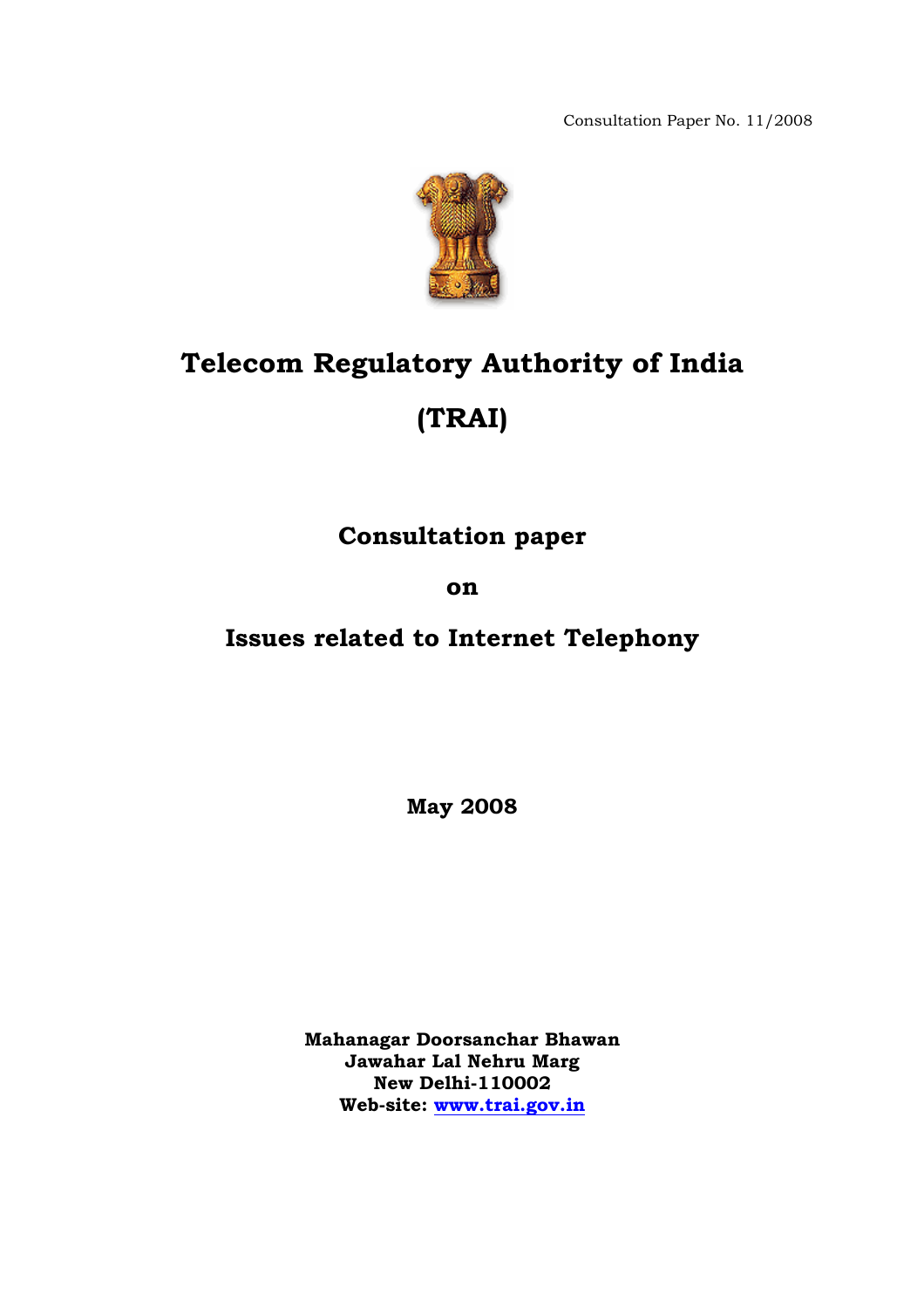Consultation Paper No. 11/2008



# **Telecom Regulatory Authority of India (TRAI)**

**Consultation paper** 

**on** 

**Issues related to Internet Telephony** 

**May 2008** 

**Mahanagar Doorsanchar Bhawan Jawahar Lal Nehru Marg New Delhi-110002 Web-site: [www.trai.gov.in](http://www.trai.gov.in/)**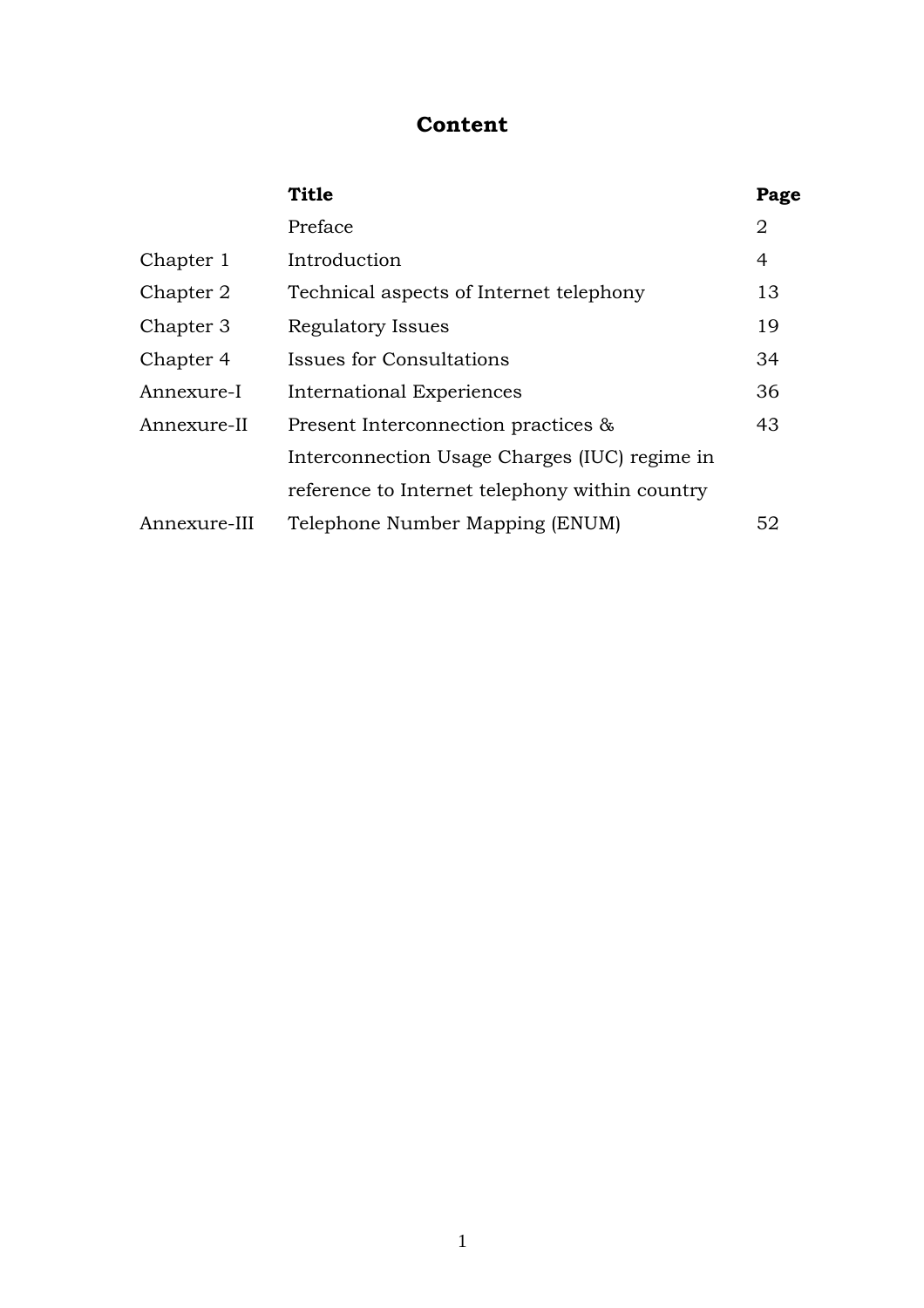# **Content**

|              | <b>Title</b>                                   | Page           |
|--------------|------------------------------------------------|----------------|
|              | Preface                                        | $\overline{2}$ |
| Chapter 1    | Introduction                                   |                |
| Chapter 2    | Technical aspects of Internet telephony        |                |
| Chapter 3    | Regulatory Issues                              |                |
| Chapter 4    | Issues for Consultations                       | 34             |
| Annexure-I   | International Experiences                      |                |
| Annexure-II  | Present Interconnection practices &            |                |
|              | Interconnection Usage Charges (IUC) regime in  |                |
|              | reference to Internet telephony within country |                |
| Annexure-III | 52<br>Telephone Number Mapping (ENUM)          |                |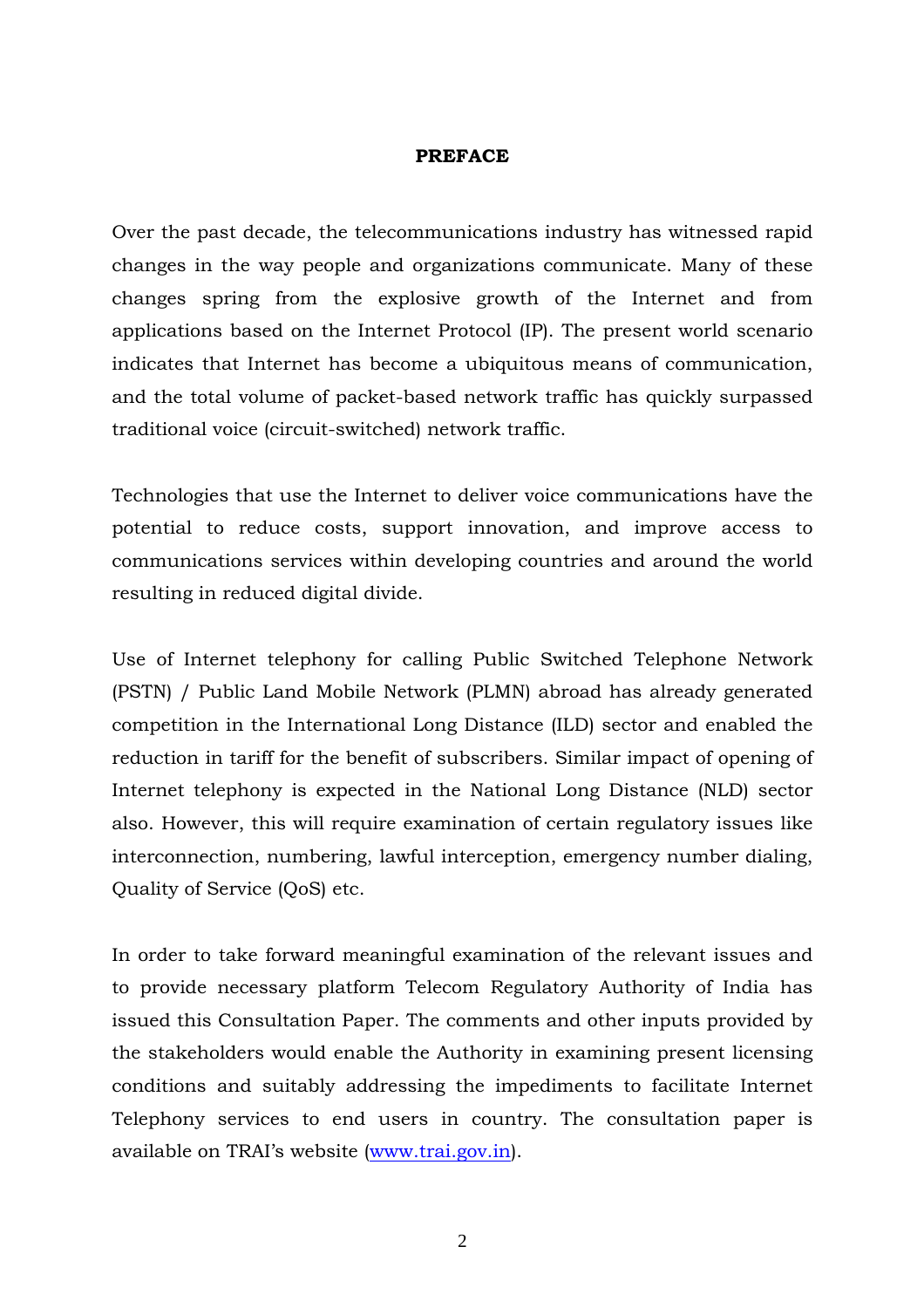#### **PREFACE**

Over the past decade, the telecommunications industry has witnessed rapid changes in the way people and organizations communicate. Many of these changes spring from the explosive growth of the Internet and from applications based on the Internet Protocol (IP). The present world scenario indicates that Internet has become a ubiquitous means of communication, and the total volume of packet-based network traffic has quickly surpassed traditional voice (circuit-switched) network traffic.

Technologies that use the Internet to deliver voice communications have the potential to reduce costs, support innovation, and improve access to communications services within developing countries and around the world resulting in reduced digital divide.

Use of Internet telephony for calling Public Switched Telephone Network (PSTN) / Public Land Mobile Network (PLMN) abroad has already generated competition in the International Long Distance (ILD) sector and enabled the reduction in tariff for the benefit of subscribers. Similar impact of opening of Internet telephony is expected in the National Long Distance (NLD) sector also. However, this will require examination of certain regulatory issues like interconnection, numbering, lawful interception, emergency number dialing, Quality of Service (QoS) etc.

In order to take forward meaningful examination of the relevant issues and to provide necessary platform Telecom Regulatory Authority of India has issued this Consultation Paper. The comments and other inputs provided by the stakeholders would enable the Authority in examining present licensing conditions and suitably addressing the impediments to facilitate Internet Telephony services to end users in country. The consultation paper is available on TRAI's website [\(www.trai.gov.in\)](http://www.trai.gov.in/).

2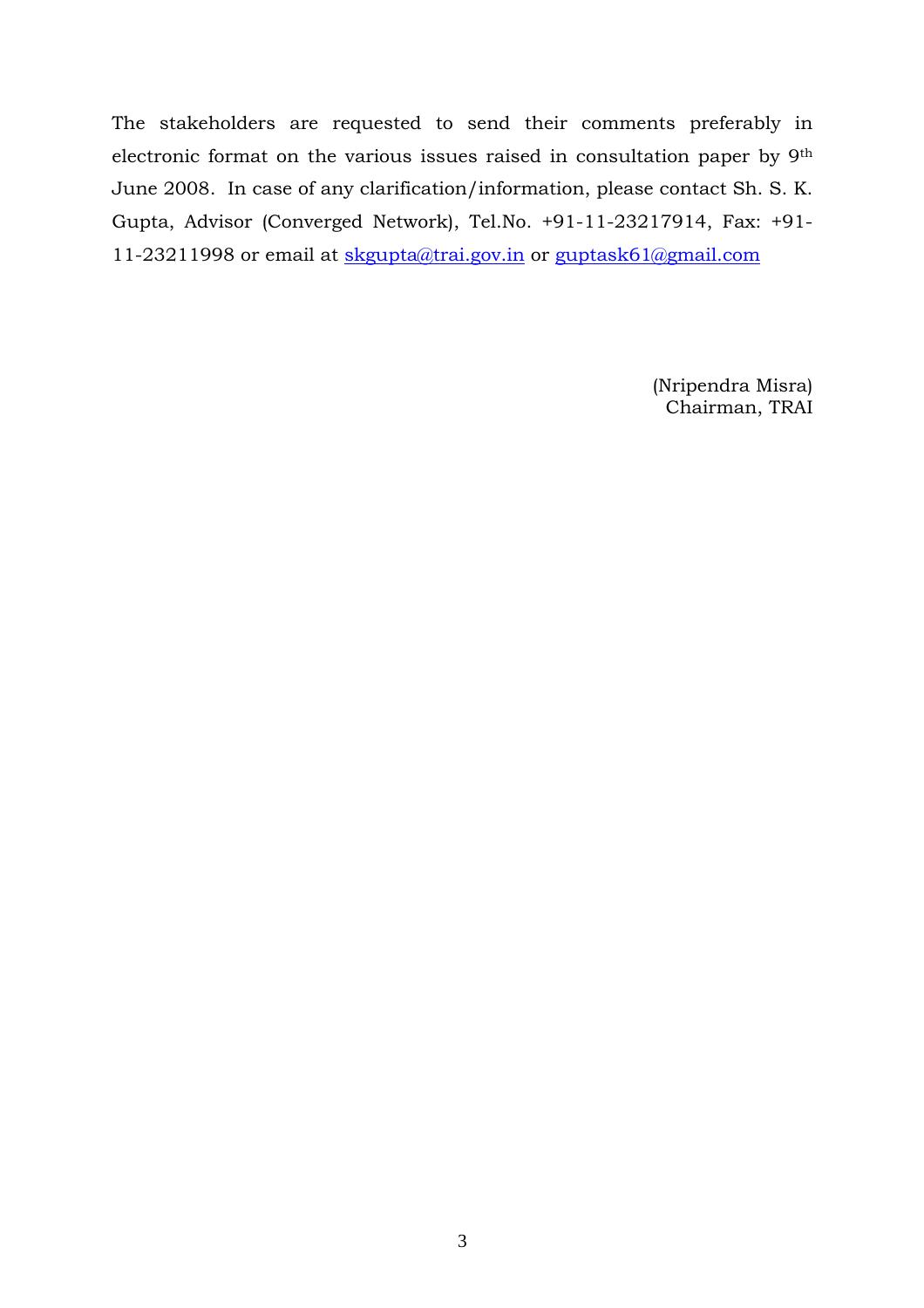The stakeholders are requested to send their comments preferably in electronic format on the various issues raised in consultation paper by 9th June 2008. In case of any clarification/information, please contact Sh. S. K. Gupta, Advisor (Converged Network), Tel.No. +91-11-23217914, Fax: +91- 11-23211998 or email at skgupta@trai.gov.in or guptask61@gmail.com

> (Nripendra Misra) Chairman, TRAI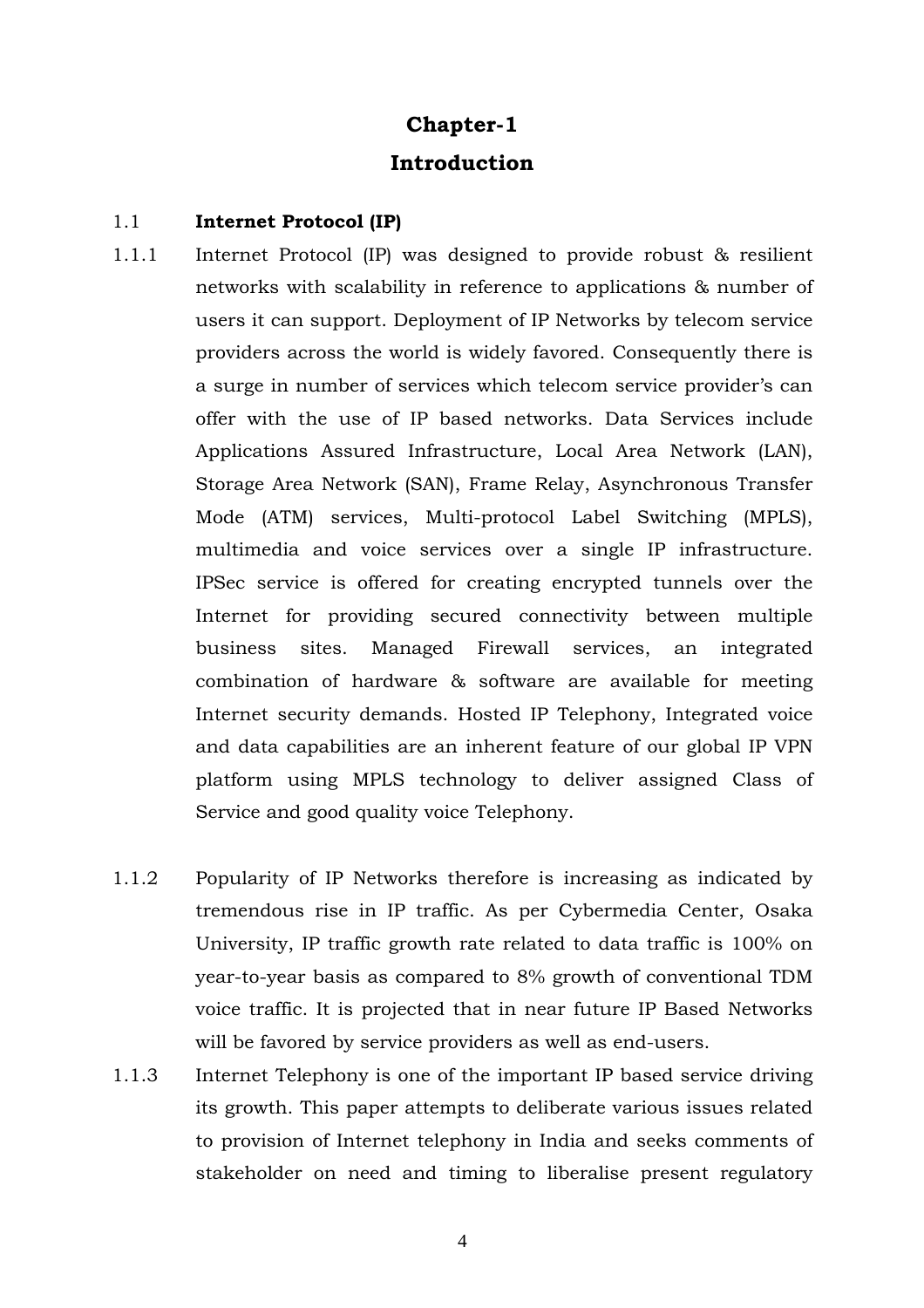# **Chapter-1 Introduction**

# 1.1 **Internet Protocol (IP)**

- 1.1.1 Internet Protocol (IP) was designed to provide robust & resilient networks with scalability in reference to applications & number of users it can support. Deployment of IP Networks by telecom service providers across the world is widely favored. Consequently there is a surge in number of services which telecom service provider's can offer with the use of IP based networks. Data Services include Applications Assured Infrastructure, Local Area Network (LAN), Storage Area Network (SAN), Frame Relay, Asynchronous Transfer Mode (ATM) services, Multi-protocol Label Switching (MPLS), multimedia and voice services over a single IP infrastructure. IPSec service is offered for creating encrypted tunnels over the Internet for providing secured connectivity between multiple business sites. Managed Firewall services, an integrated combination of hardware & software are available for meeting Internet security demands. Hosted IP Telephony, Integrated voice and data capabilities are an inherent feature of our global IP VPN platform using MPLS technology to deliver assigned Class of Service and good quality voice Telephony.
- 1.1.2 Popularity of IP Networks therefore is increasing as indicated by tremendous rise in IP traffic. As per Cybermedia Center, Osaka University, IP traffic growth rate related to data traffic is 100% on year-to-year basis as compared to 8% growth of conventional TDM voice traffic. It is projected that in near future IP Based Networks will be favored by service providers as well as end-users.
- 1.1.3 Internet Telephony is one of the important IP based service driving its growth. This paper attempts to deliberate various issues related to provision of Internet telephony in India and seeks comments of stakeholder on need and timing to liberalise present regulatory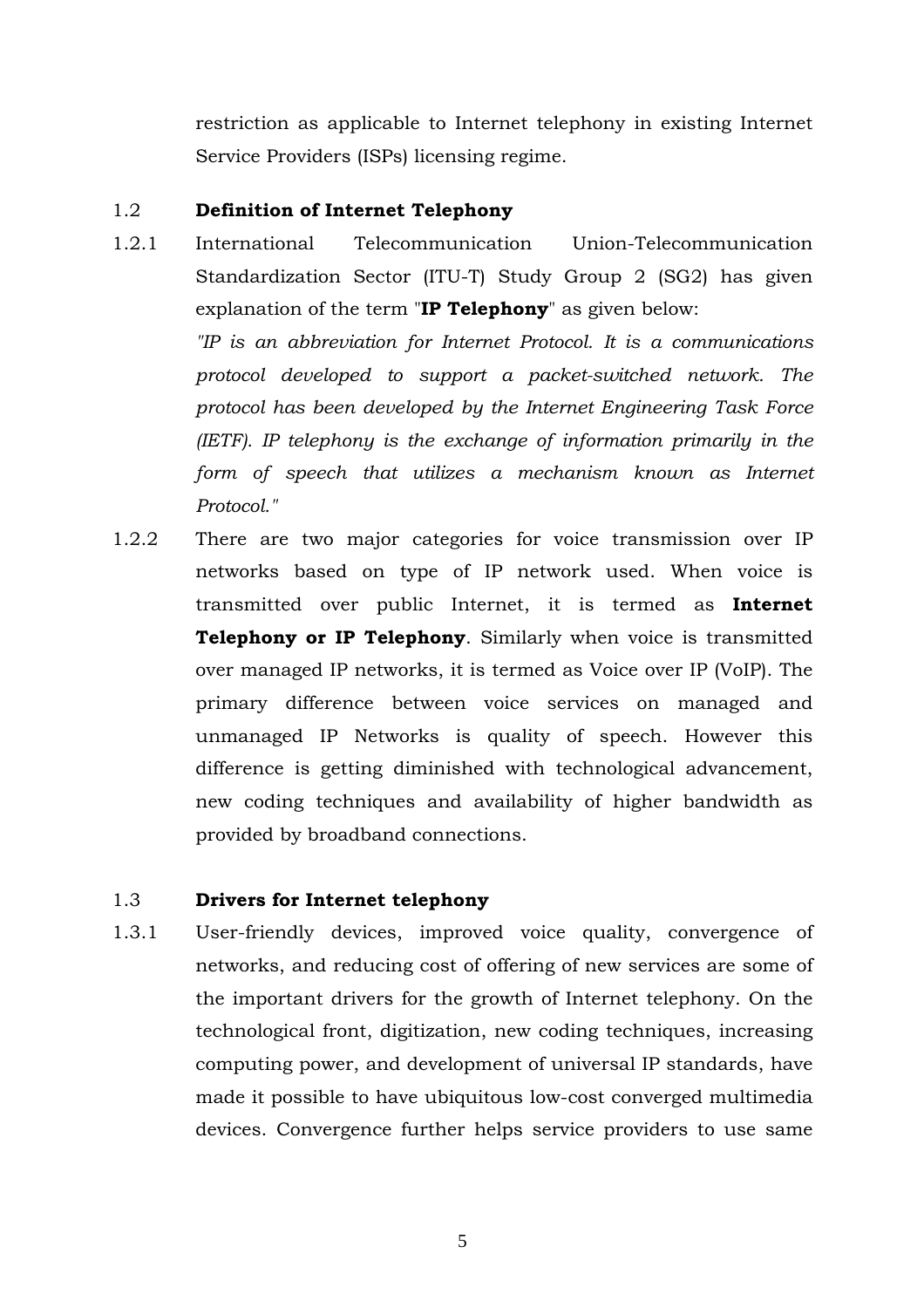restriction as applicable to Internet telephony in existing Internet Service Providers (ISPs) licensing regime.

# 1.2 **Definition of Internet Telephony**

1.2.1 International Telecommunication Union-Telecommunication Standardization Sector (ITU-T) Study Group 2 (SG2) has given explanation of the term "**IP Telephony**" as given below:

*"IP is an abbreviation for Internet Protocol. It is a communications protocol developed to support a packet-switched network. The protocol has been developed by the Internet Engineering Task Force (IETF). IP telephony is the exchange of information primarily in the form of speech that utilizes a mechanism known as Internet Protocol."*

1.2.2 There are two major categories for voice transmission over IP networks based on type of IP network used. When voice is transmitted over public Internet, it is termed as **Internet Telephony or IP Telephony**. Similarly when voice is transmitted over managed IP networks, it is termed as Voice over IP (VoIP). The primary difference between voice services on managed and unmanaged IP Networks is quality of speech. However this difference is getting diminished with technological advancement, new coding techniques and availability of higher bandwidth as provided by broadband connections.

# 1.3 **Drivers for Internet telephony**

1.3.1 User-friendly devices, improved voice quality, convergence of networks, and reducing cost of offering of new services are some of the important drivers for the growth of Internet telephony. On the technological front, digitization, new coding techniques, increasing computing power, and development of universal IP standards, have made it possible to have ubiquitous low-cost converged multimedia devices. Convergence further helps service providers to use same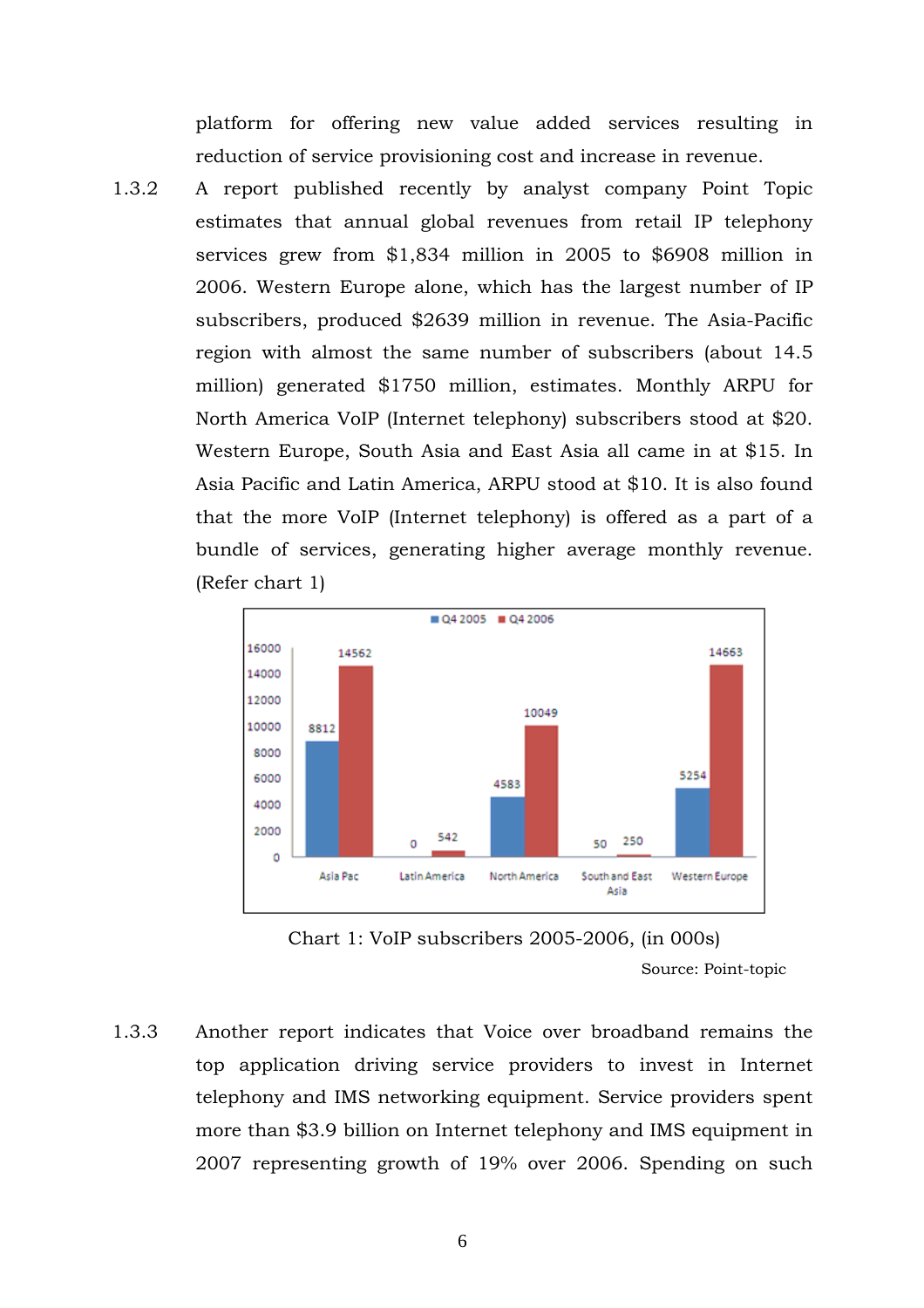platform for offering new value added services resulting in reduction of service provisioning cost and increase in revenue.

1.3.2 A report published recently by analyst company Point Topic estimates that annual global revenues from retail IP telephony services grew from \$1,834 million in 2005 to \$6908 million in 2006. Western Europe alone, which has the largest number of IP subscribers, produced \$2639 million in revenue. The Asia-Pacific region with almost the same number of subscribers (about 14.5 million) generated \$1750 million, estimates. Monthly ARPU for North America VoIP (Internet telephony) subscribers stood at \$20. Western Europe, South Asia and East Asia all came in at \$15. In Asia Pacific and Latin America, ARPU stood at \$10. It is also found that the more VoIP (Internet telephony) is offered as a part of a bundle of services, generating higher average monthly revenue. (Refer chart 1)



Chart 1: VoIP subscribers 2005-2006, (in 000s) Source: Point-topic

1.3.3 Another report indicates that Voice over broadband remains the top application driving service providers to invest in Internet telephony and IMS networking equipment. Service providers spent more than \$3.9 billion on Internet telephony and IMS equipment in 2007 representing growth of 19% over 2006. Spending on such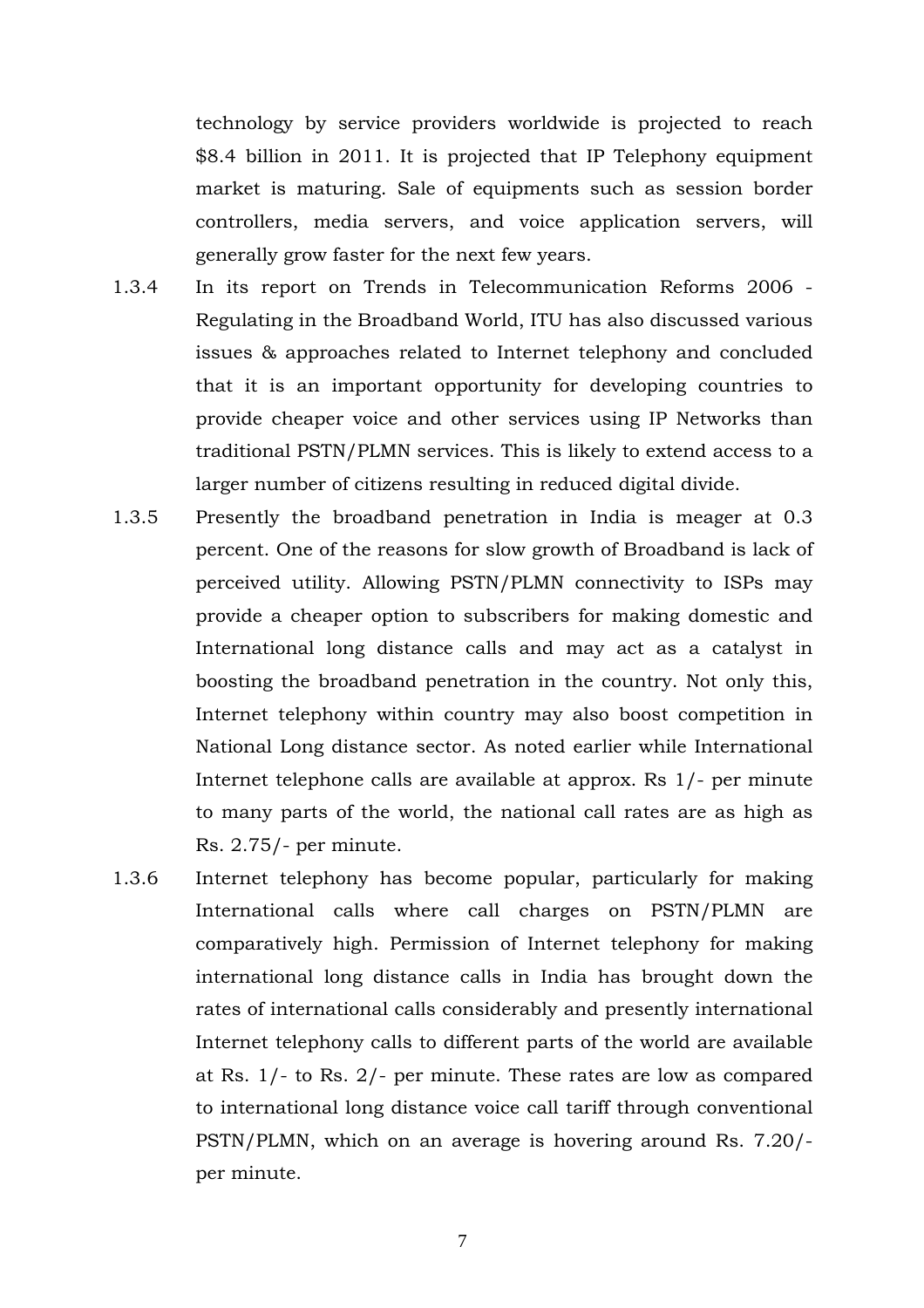technology by service providers worldwide is projected to reach \$8.4 billion in 2011. It is projected that IP Telephony equipment market is maturing. Sale of equipments such as session border controllers, media servers, and voice application servers, will generally grow faster for the next few years.

- 1.3.4 In its report on Trends in Telecommunication Reforms 2006 Regulating in the Broadband World, ITU has also discussed various issues & approaches related to Internet telephony and concluded that it is an important opportunity for developing countries to provide cheaper voice and other services using IP Networks than traditional PSTN/PLMN services. This is likely to extend access to a larger number of citizens resulting in reduced digital divide.
- 1.3.5 Presently the broadband penetration in India is meager at 0.3 percent. One of the reasons for slow growth of Broadband is lack of perceived utility. Allowing PSTN/PLMN connectivity to ISPs may provide a cheaper option to subscribers for making domestic and International long distance calls and may act as a catalyst in boosting the broadband penetration in the country. Not only this, Internet telephony within country may also boost competition in National Long distance sector. As noted earlier while International Internet telephone calls are available at approx. Rs 1/- per minute to many parts of the world, the national call rates are as high as Rs. 2.75/- per minute.
- 1.3.6 Internet telephony has become popular, particularly for making International calls where call charges on PSTN/PLMN are comparatively high. Permission of Internet telephony for making international long distance calls in India has brought down the rates of international calls considerably and presently international Internet telephony calls to different parts of the world are available at Rs. 1/- to Rs. 2/- per minute. These rates are low as compared to international long distance voice call tariff through conventional PSTN/PLMN, which on an average is hovering around Rs. 7.20/ per minute.

7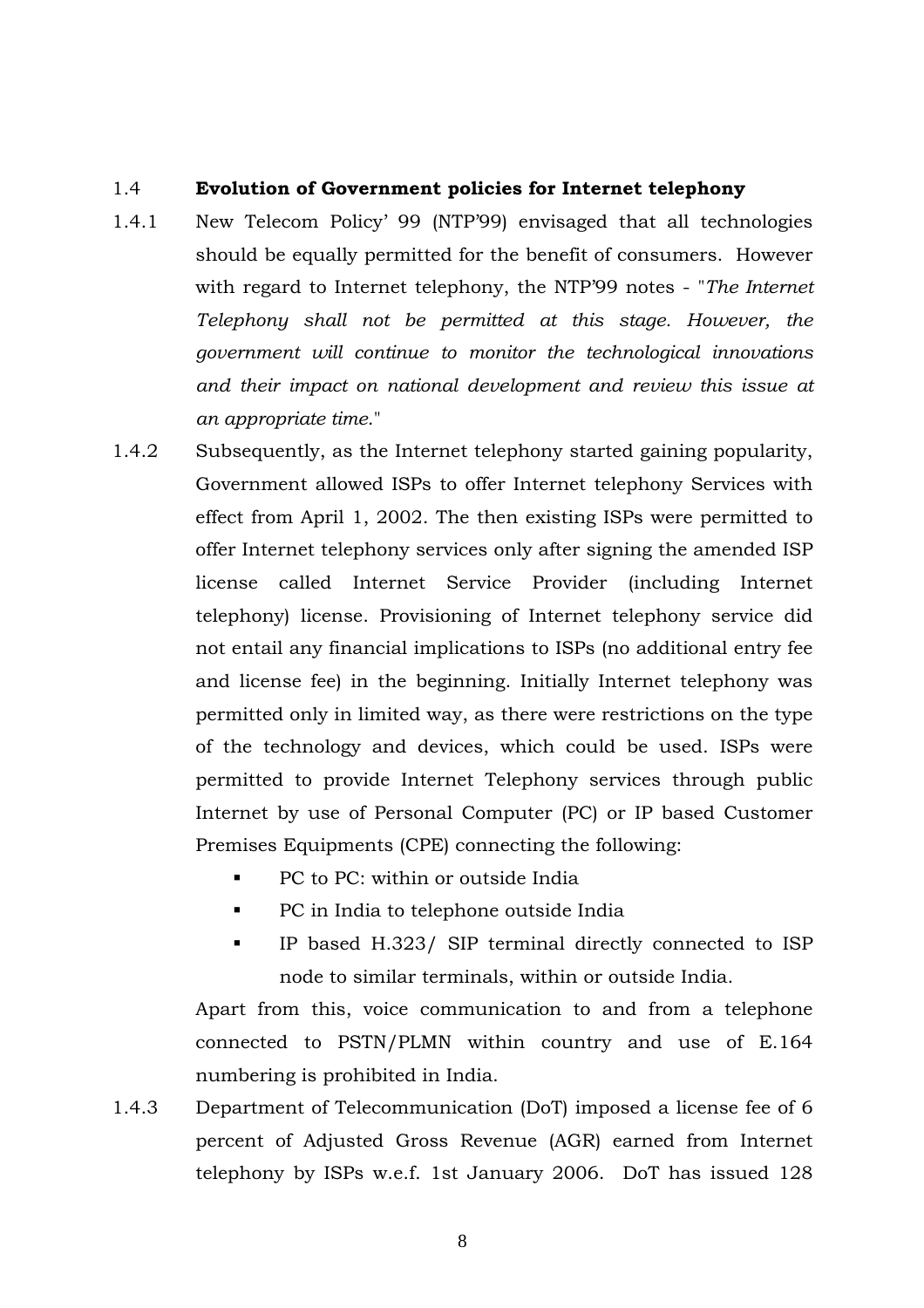#### 1.4 **Evolution of Government policies for Internet telephony**

- 1.4.1 New Telecom Policy' 99 (NTP'99) envisaged that all technologies should be equally permitted for the benefit of consumers. However with regard to Internet telephony, the NTP'99 notes - "*The Internet Telephony shall not be permitted at this stage. However, the government will continue to monitor the technological innovations and their impact on national development and review this issue at an appropriate time*."
- 1.4.2 Subsequently, as the Internet telephony started gaining popularity, Government allowed ISPs to offer Internet telephony Services with effect from April 1, 2002. The then existing ISPs were permitted to offer Internet telephony services only after signing the amended ISP license called Internet Service Provider (including Internet telephony) license. Provisioning of Internet telephony service did not entail any financial implications to ISPs (no additional entry fee and license fee) in the beginning. Initially Internet telephony was permitted only in limited way, as there were restrictions on the type of the technology and devices, which could be used. ISPs were permitted to provide Internet Telephony services through public Internet by use of Personal Computer (PC) or IP based Customer Premises Equipments (CPE) connecting the following:
	- PC to PC: within or outside India
	- PC in India to telephone outside India
	- IP based H.323/ SIP terminal directly connected to ISP node to similar terminals, within or outside India.

Apart from this, voice communication to and from a telephone connected to PSTN/PLMN within country and use of E.164 numbering is prohibited in India.

1.4.3 Department of Telecommunication (DoT) imposed a license fee of 6 percent of Adjusted Gross Revenue (AGR) earned from Internet telephony by ISPs w.e.f. 1st January 2006. DoT has issued 128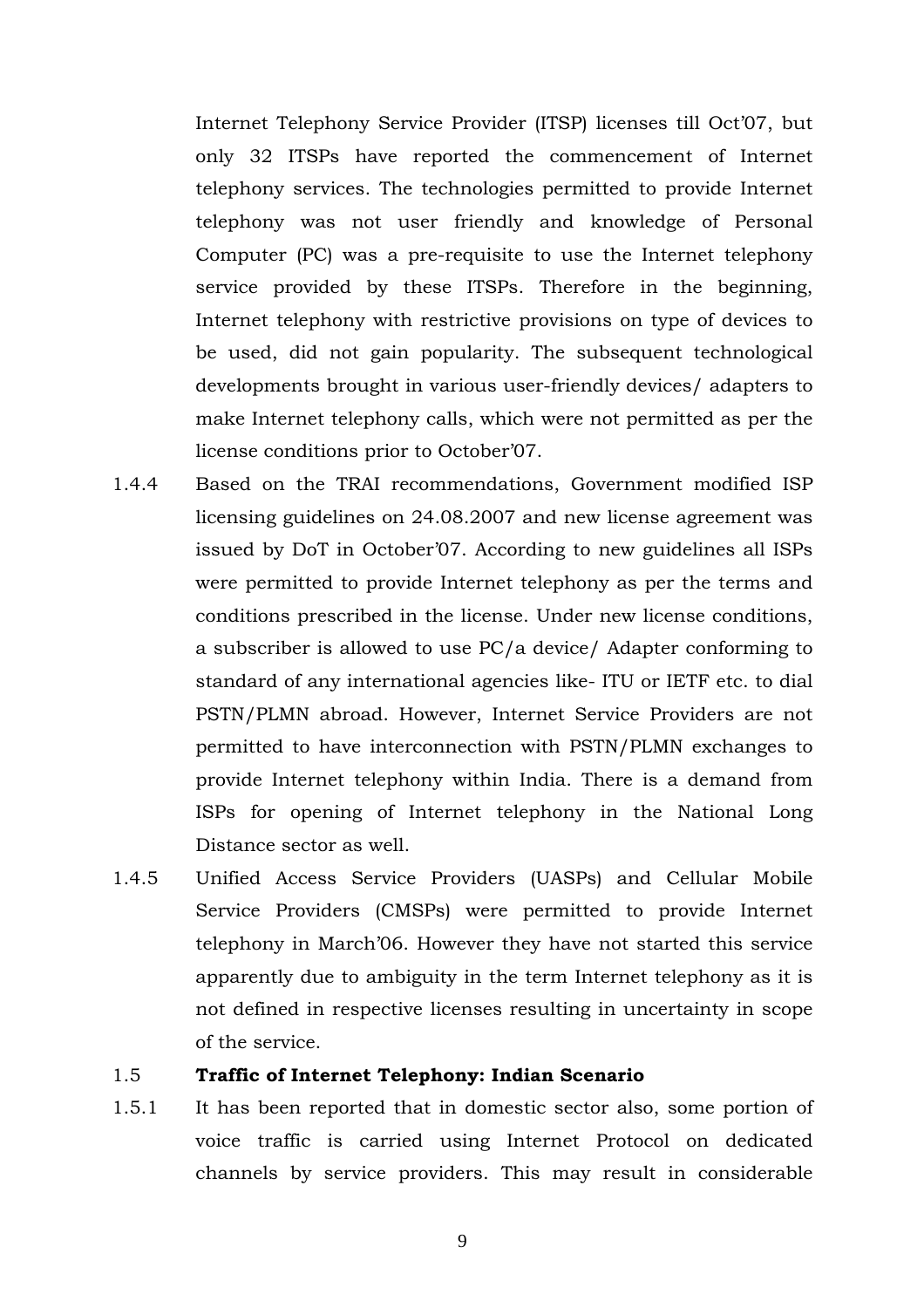Internet Telephony Service Provider (ITSP) licenses till Oct'07, but only 32 ITSPs have reported the commencement of Internet telephony services. The technologies permitted to provide Internet telephony was not user friendly and knowledge of Personal Computer (PC) was a pre-requisite to use the Internet telephony service provided by these ITSPs. Therefore in the beginning, Internet telephony with restrictive provisions on type of devices to be used, did not gain popularity. The subsequent technological developments brought in various user-friendly devices/ adapters to make Internet telephony calls, which were not permitted as per the license conditions prior to October'07.

- 1.4.4 Based on the TRAI recommendations, Government modified ISP licensing guidelines on 24.08.2007 and new license agreement was issued by DoT in October'07. According to new guidelines all ISPs were permitted to provide Internet telephony as per the terms and conditions prescribed in the license. Under new license conditions, a subscriber is allowed to use PC/a device/ Adapter conforming to standard of any international agencies like- ITU or IETF etc. to dial PSTN/PLMN abroad. However, Internet Service Providers are not permitted to have interconnection with PSTN/PLMN exchanges to provide Internet telephony within India. There is a demand from ISPs for opening of Internet telephony in the National Long Distance sector as well.
- 1.4.5 Unified Access Service Providers (UASPs) and Cellular Mobile Service Providers (CMSPs) were permitted to provide Internet telephony in March'06. However they have not started this service apparently due to ambiguity in the term Internet telephony as it is not defined in respective licenses resulting in uncertainty in scope of the service.

### 1.5 **Traffic of Internet Telephony: Indian Scenario**

1.5.1 It has been reported that in domestic sector also, some portion of voice traffic is carried using Internet Protocol on dedicated channels by service providers. This may result in considerable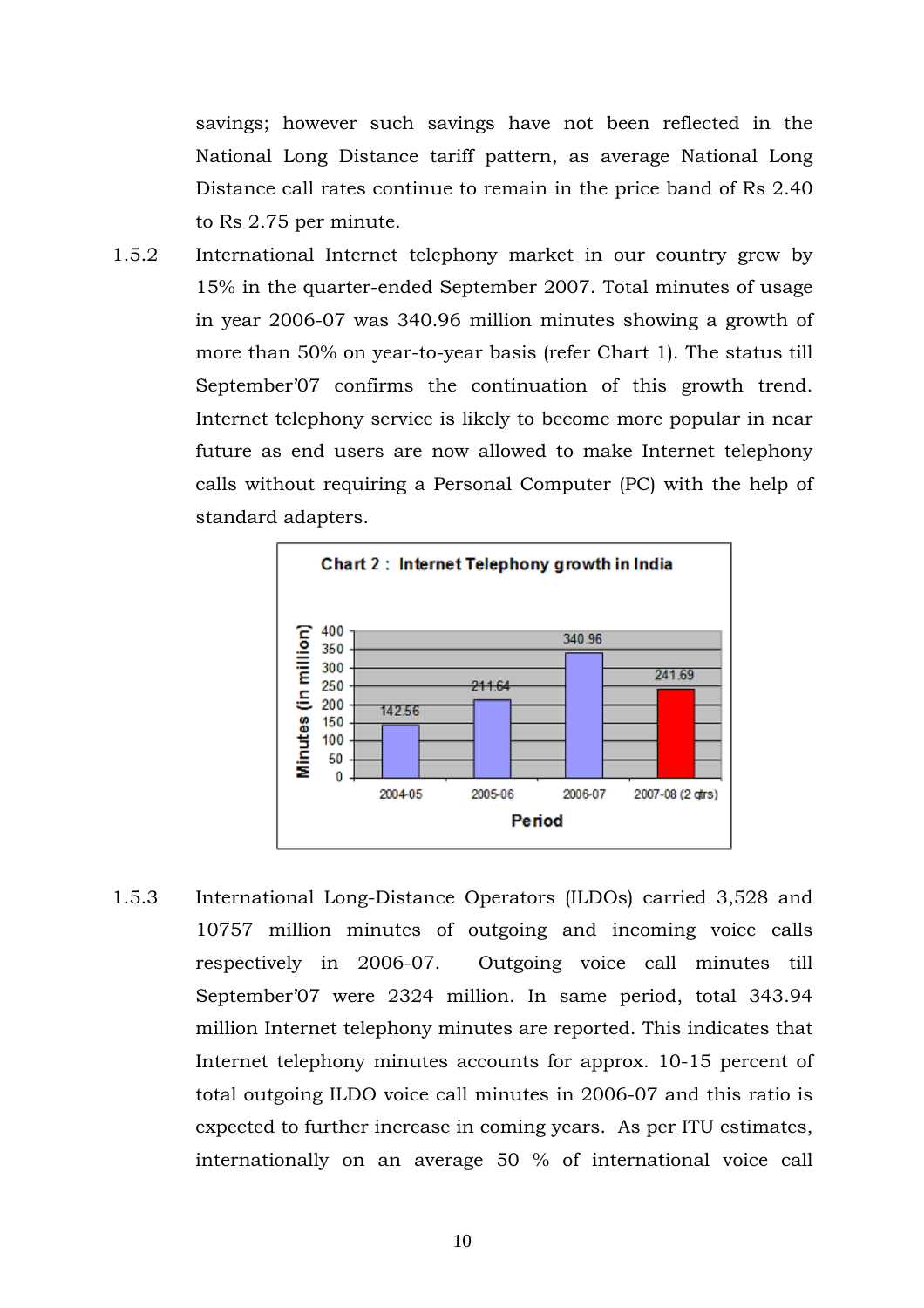savings; however such savings have not been reflected in the National Long Distance tariff pattern, as average National Long Distance call rates continue to remain in the price band of Rs 2.40 to Rs 2.75 per minute.

1.5.2 International Internet telephony market in our country grew by 15% in the quarter-ended September 2007. Total minutes of usage in year 2006-07 was 340.96 million minutes showing a growth of more than 50% on year-to-year basis (refer Chart 1). The status till September'07 confirms the continuation of this growth trend. Internet telephony service is likely to become more popular in near future as end users are now allowed to make Internet telephony calls without requiring a Personal Computer (PC) with the help of standard adapters.



1.5.3 International Long-Distance Operators (ILDOs) carried 3,528 and 10757 million minutes of outgoing and incoming voice calls respectively in 2006-07. Outgoing voice call minutes till September'07 were 2324 million. In same period, total 343.94 million Internet telephony minutes are reported. This indicates that Internet telephony minutes accounts for approx. 10-15 percent of total outgoing ILDO voice call minutes in 2006-07 and this ratio is expected to further increase in coming years. As per ITU estimates, internationally on an average 50 % of international voice call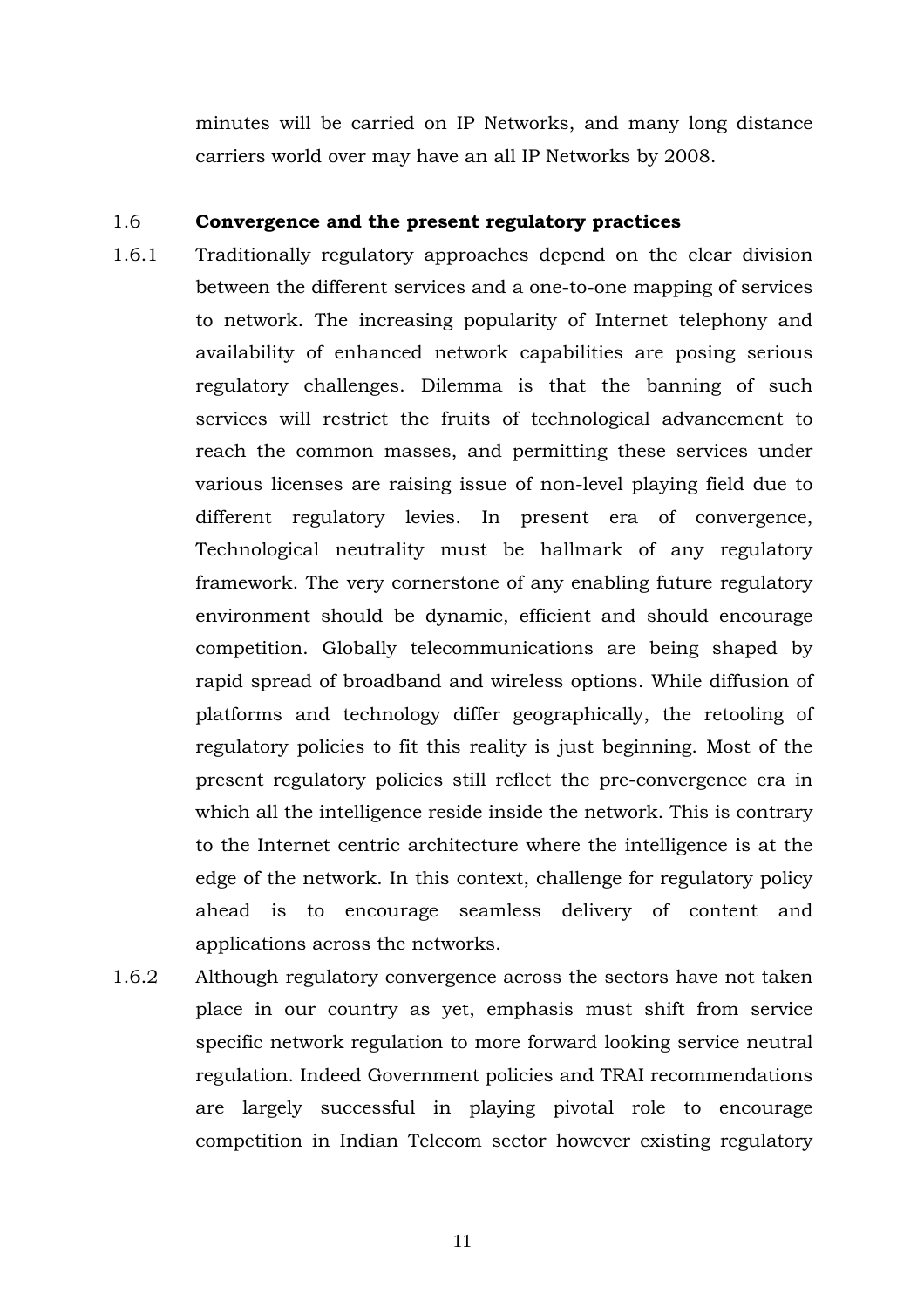minutes will be carried on IP Networks, and many long distance carriers world over may have an all IP Networks by 2008.

# 1.6 **Convergence and the present regulatory practices**

- 1.6.1 Traditionally regulatory approaches depend on the clear division between the different services and a one-to-one mapping of services to network. The increasing popularity of Internet telephony and availability of enhanced network capabilities are posing serious regulatory challenges. Dilemma is that the banning of such services will restrict the fruits of technological advancement to reach the common masses, and permitting these services under various licenses are raising issue of non-level playing field due to different regulatory levies. In present era of convergence, Technological neutrality must be hallmark of any regulatory framework. The very cornerstone of any enabling future regulatory environment should be dynamic, efficient and should encourage competition. Globally telecommunications are being shaped by rapid spread of broadband and wireless options. While diffusion of platforms and technology differ geographically, the retooling of regulatory policies to fit this reality is just beginning. Most of the present regulatory policies still reflect the pre-convergence era in which all the intelligence reside inside the network. This is contrary to the Internet centric architecture where the intelligence is at the edge of the network. In this context, challenge for regulatory policy ahead is to encourage seamless delivery of content and applications across the networks.
- 1.6.2 Although regulatory convergence across the sectors have not taken place in our country as yet, emphasis must shift from service specific network regulation to more forward looking service neutral regulation. Indeed Government policies and TRAI recommendations are largely successful in playing pivotal role to encourage competition in Indian Telecom sector however existing regulatory

11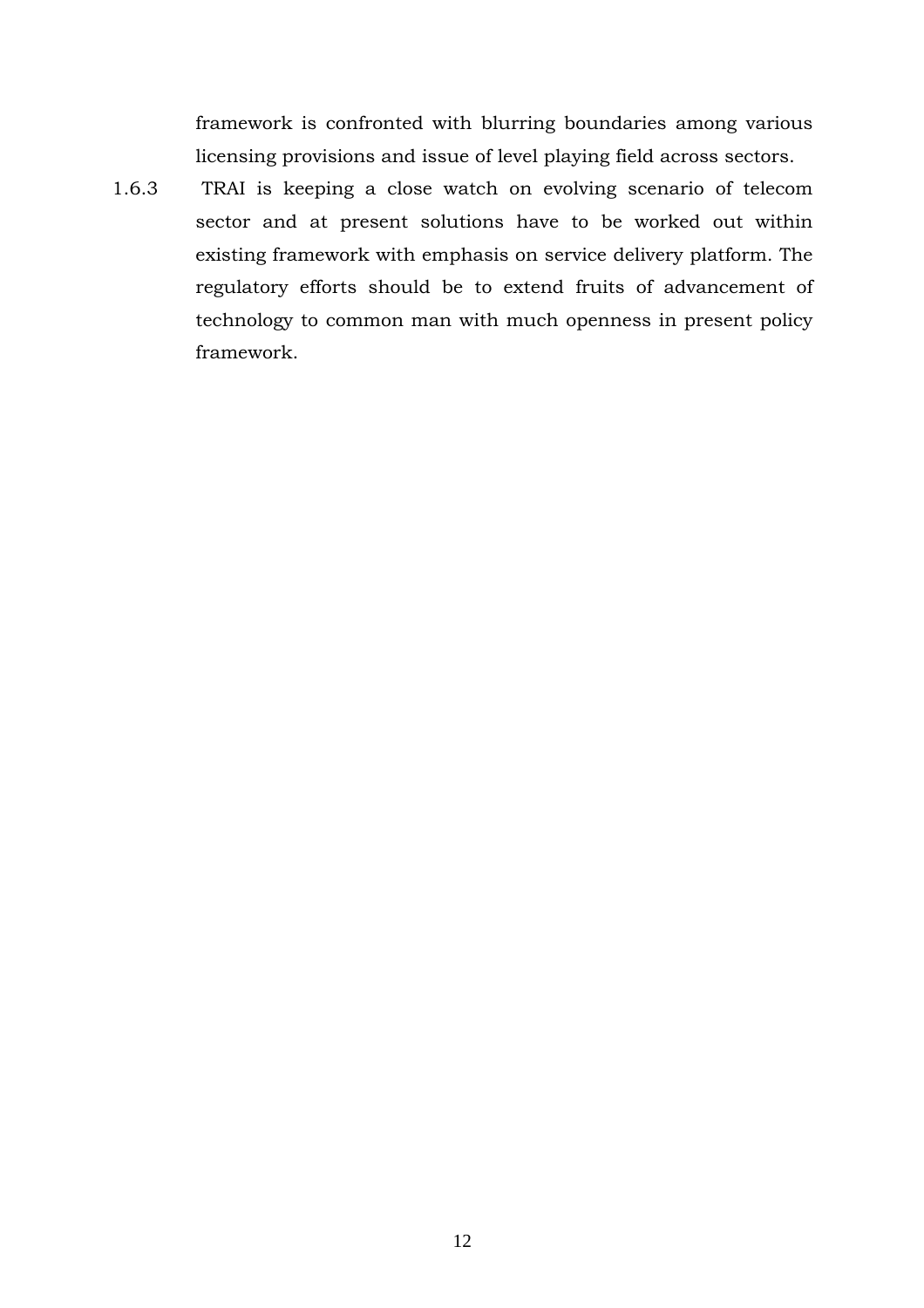framework is confronted with blurring boundaries among various licensing provisions and issue of level playing field across sectors.

1.6.3 TRAI is keeping a close watch on evolving scenario of telecom sector and at present solutions have to be worked out within existing framework with emphasis on service delivery platform. The regulatory efforts should be to extend fruits of advancement of technology to common man with much openness in present policy framework.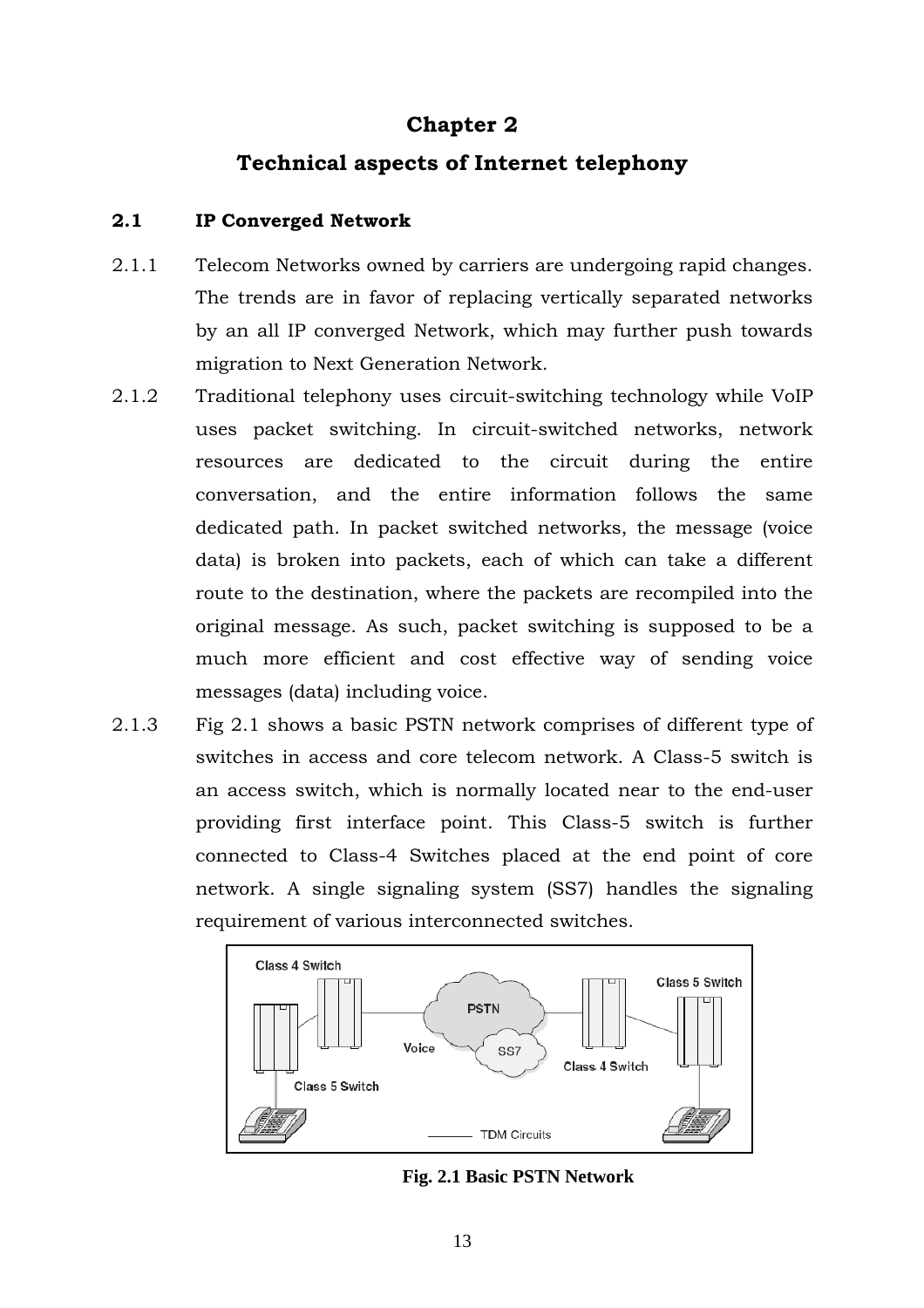# **Chapter 2**

# **Technical aspects of Internet telephony**

# **2.1 IP Converged Network**

- 2.1.1 Telecom Networks owned by carriers are undergoing rapid changes. The trends are in favor of replacing vertically separated networks by an all IP converged Network, which may further push towards migration to Next Generation Network.
- 2.1.2 Traditional telephony uses circuit-switching technology while VoIP uses packet switching. In circuit-switched networks, network resources are dedicated to the circuit during the entire conversation, and the entire information follows the same dedicated path. In packet switched networks, the message (voice data) is broken into packets, each of which can take a different route to the destination, where the packets are recompiled into the original message. As such, packet switching is supposed to be a much more efficient and cost effective way of sending voice messages (data) including voice.
- 2.1.3 Fig 2.1 shows a basic PSTN network comprises of different type of switches in access and core telecom network. A Class-5 switch is an access switch, which is normally located near to the end-user providing first interface point. This Class-5 switch is further connected to Class-4 Switches placed at the end point of core network. A single signaling system (SS7) handles the signaling requirement of various interconnected switches.



**Fig. 2.1 Basic PSTN Network**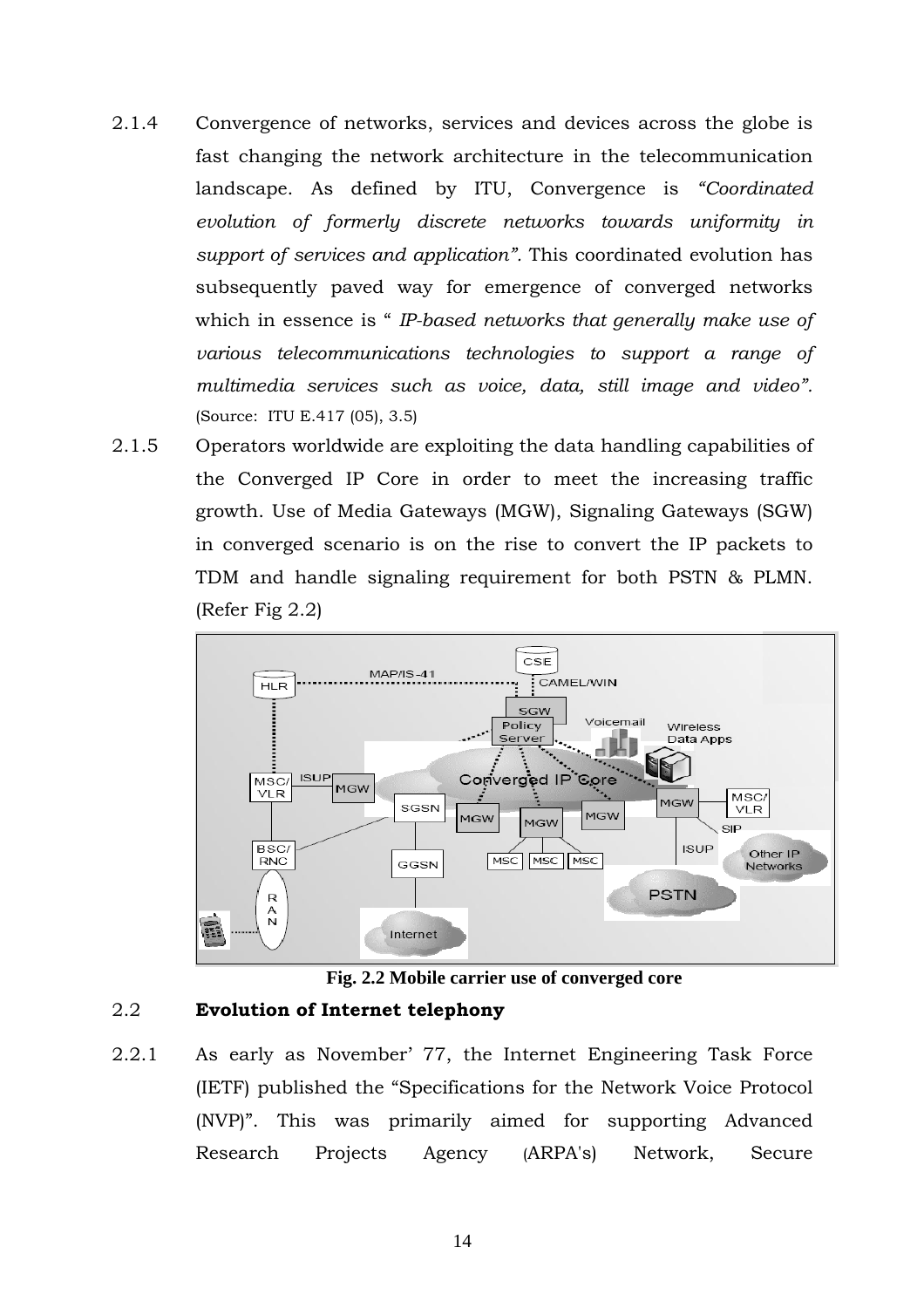- 2.1.4 Convergence of networks, services and devices across the globe is fast changing the network architecture in the telecommunication landscape. As defined by ITU, Convergence is *"Coordinated evolution of formerly discrete networks towards uniformity in support of services and application".* This coordinated evolution has subsequently paved way for emergence of converged networks which in essence is " *IP-based networks that generally make use of various telecommunications technologies to support a range of multimedia services such as voice, data, still image and video".*  (Source: ITU E.417 (05), 3.5)
- 2.1.5 Operators worldwide are exploiting the data handling capabilities of the Converged IP Core in order to meet the increasing traffic growth. Use of Media Gateways (MGW), Signaling Gateways (SGW) in converged scenario is on the rise to convert the IP packets to TDM and handle signaling requirement for both PSTN & PLMN. (Refer Fig 2.2)



**Fig. 2.2 Mobile carrier use of converged core**

# 2.2 **Evolution of Internet telephony**

2.2.1 As early as November' 77, the Internet Engineering Task Force (IETF) published the "Specifications for the Network Voice Protocol (NVP)". This was primarily aimed for supporting Advanced Research Projects Agency (ARPA's) Network, Secure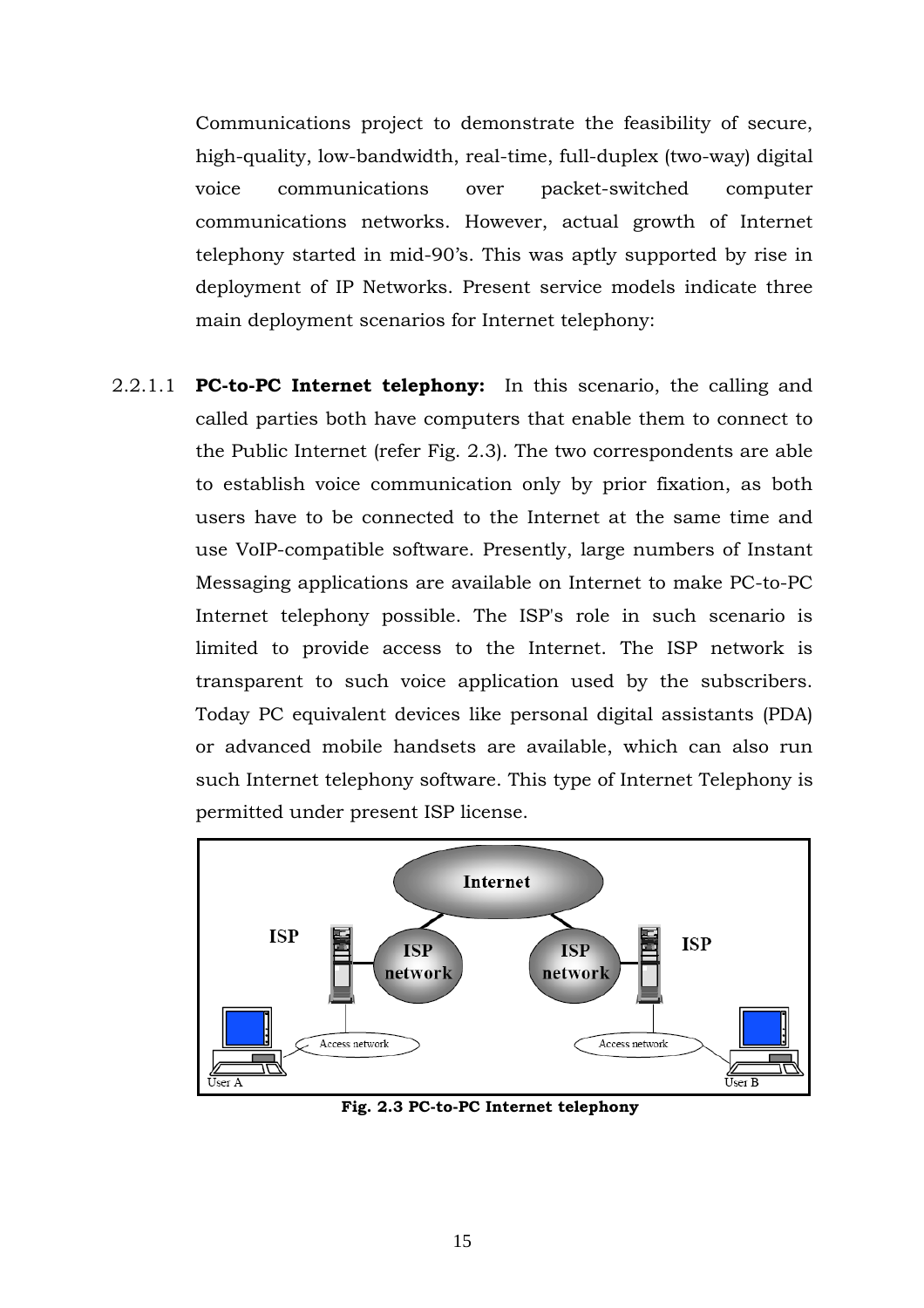Communications project to demonstrate the feasibility of secure, high-quality, low-bandwidth, real-time, full-duplex (two-way) digital voice communications over packet-switched computer communications networks. However, actual growth of Internet telephony started in mid-90's. This was aptly supported by rise in deployment of IP Networks. Present service models indicate three main deployment scenarios for Internet telephony:

2.2.1.1 **PC-to-PC Internet telephony:** In this scenario, the calling and called parties both have computers that enable them to connect to the Public Internet (refer Fig. 2.3). The two correspondents are able to establish voice communication only by prior fixation, as both users have to be connected to the Internet at the same time and use VoIP-compatible software. Presently, large numbers of Instant Messaging applications are available on Internet to make PC-to-PC Internet telephony possible. The ISP's role in such scenario is limited to provide access to the Internet. The ISP network is transparent to such voice application used by the subscribers. Today PC equivalent devices like personal digital assistants (PDA) or advanced mobile handsets are available, which can also run such Internet telephony software. This type of Internet Telephony is permitted under present ISP license.



**Fig. 2.3 PC-to-PC Internet telephony**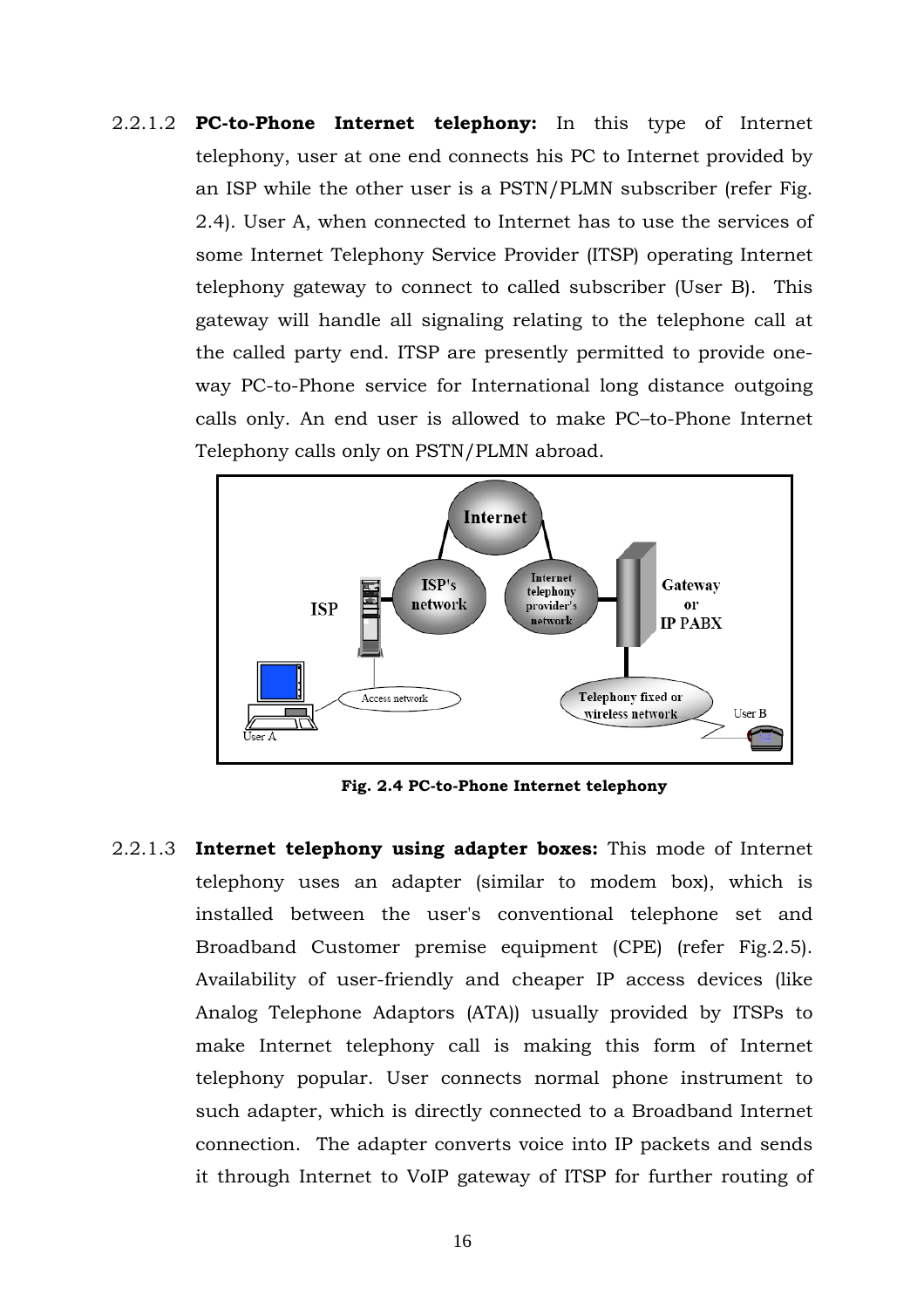2.2.1.2 **PC-to-Phone Internet telephony:** In this type of Internet telephony, user at one end connects his PC to Internet provided by an ISP while the other user is a PSTN/PLMN subscriber (refer Fig. 2.4). User A, when connected to Internet has to use the services of some Internet Telephony Service Provider (ITSP) operating Internet telephony gateway to connect to called subscriber (User B). This gateway will handle all signaling relating to the telephone call at the called party end. ITSP are presently permitted to provide oneway PC-to-Phone service for International long distance outgoing calls only. An end user is allowed to make PC–to-Phone Internet Telephony calls only on PSTN/PLMN abroad.



**Fig. 2.4 PC-to-Phone Internet telephony** 

2.2.1.3 **Internet telephony using adapter boxes:** This mode of Internet telephony uses an adapter (similar to modem box), which is installed between the user's conventional telephone set and Broadband Customer premise equipment (CPE) (refer Fig.2.5). Availability of user-friendly and cheaper IP access devices (like Analog Telephone Adaptors (ATA)) usually provided by ITSPs to make Internet telephony call is making this form of Internet telephony popular. User connects normal phone instrument to such adapter, which is directly connected to a Broadband Internet connection. The adapter converts voice into IP packets and sends it through Internet to VoIP gateway of ITSP for further routing of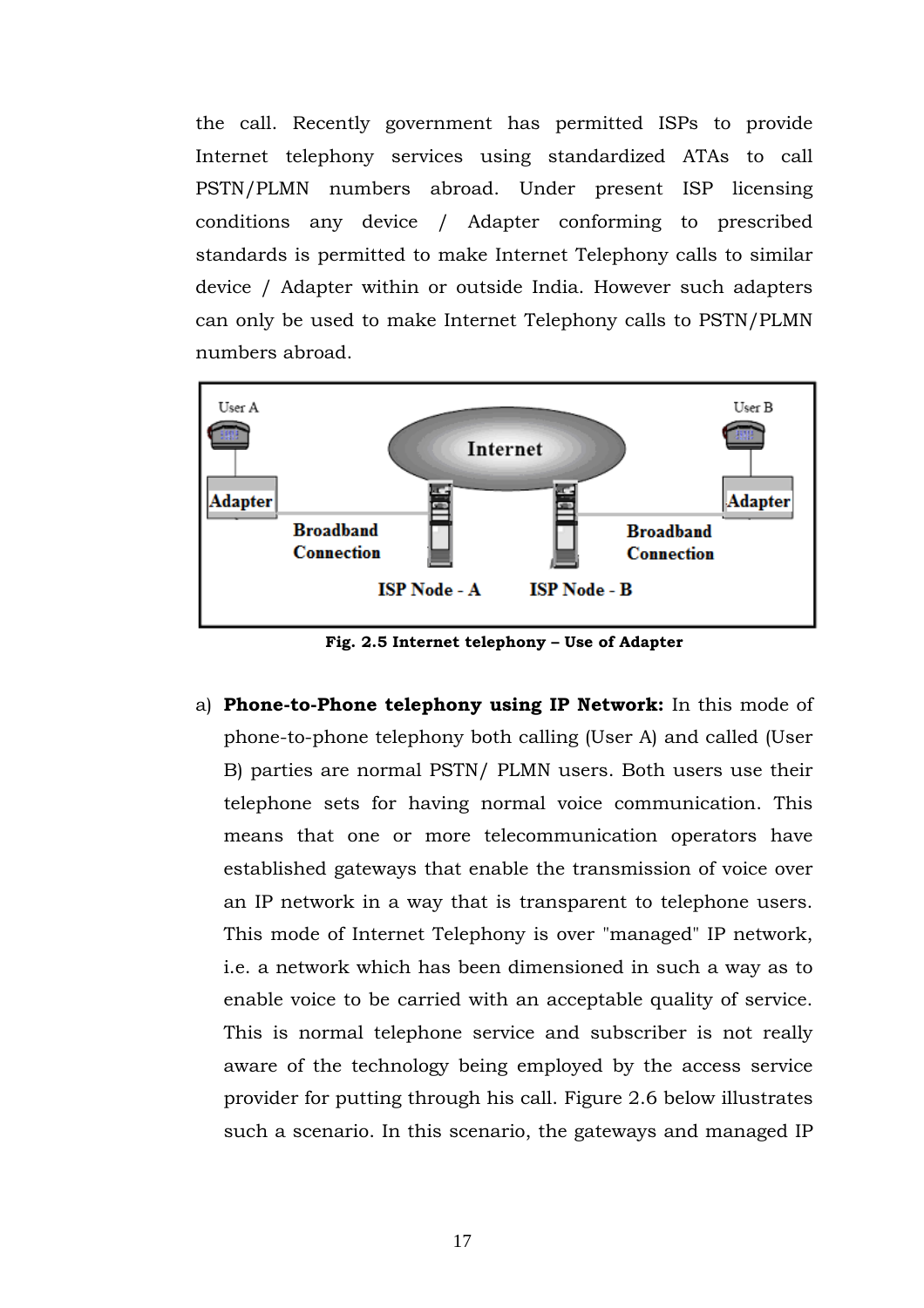the call. Recently government has permitted ISPs to provide Internet telephony services using standardized ATAs to call PSTN/PLMN numbers abroad. Under present ISP licensing conditions any device / Adapter conforming to prescribed standards is permitted to make Internet Telephony calls to similar device / Adapter within or outside India. However such adapters can only be used to make Internet Telephony calls to PSTN/PLMN numbers abroad.



**Fig. 2.5 Internet telephony – Use of Adapter**

a) **Phone-to-Phone telephony using IP Network:** In this mode of phone-to-phone telephony both calling (User A) and called (User B) parties are normal PSTN/ PLMN users. Both users use their telephone sets for having normal voice communication. This means that one or more telecommunication operators have established gateways that enable the transmission of voice over an IP network in a way that is transparent to telephone users. This mode of Internet Telephony is over "managed" IP network, i.e. a network which has been dimensioned in such a way as to enable voice to be carried with an acceptable quality of service. This is normal telephone service and subscriber is not really aware of the technology being employed by the access service provider for putting through his call. Figure 2.6 below illustrates such a scenario. In this scenario, the gateways and managed IP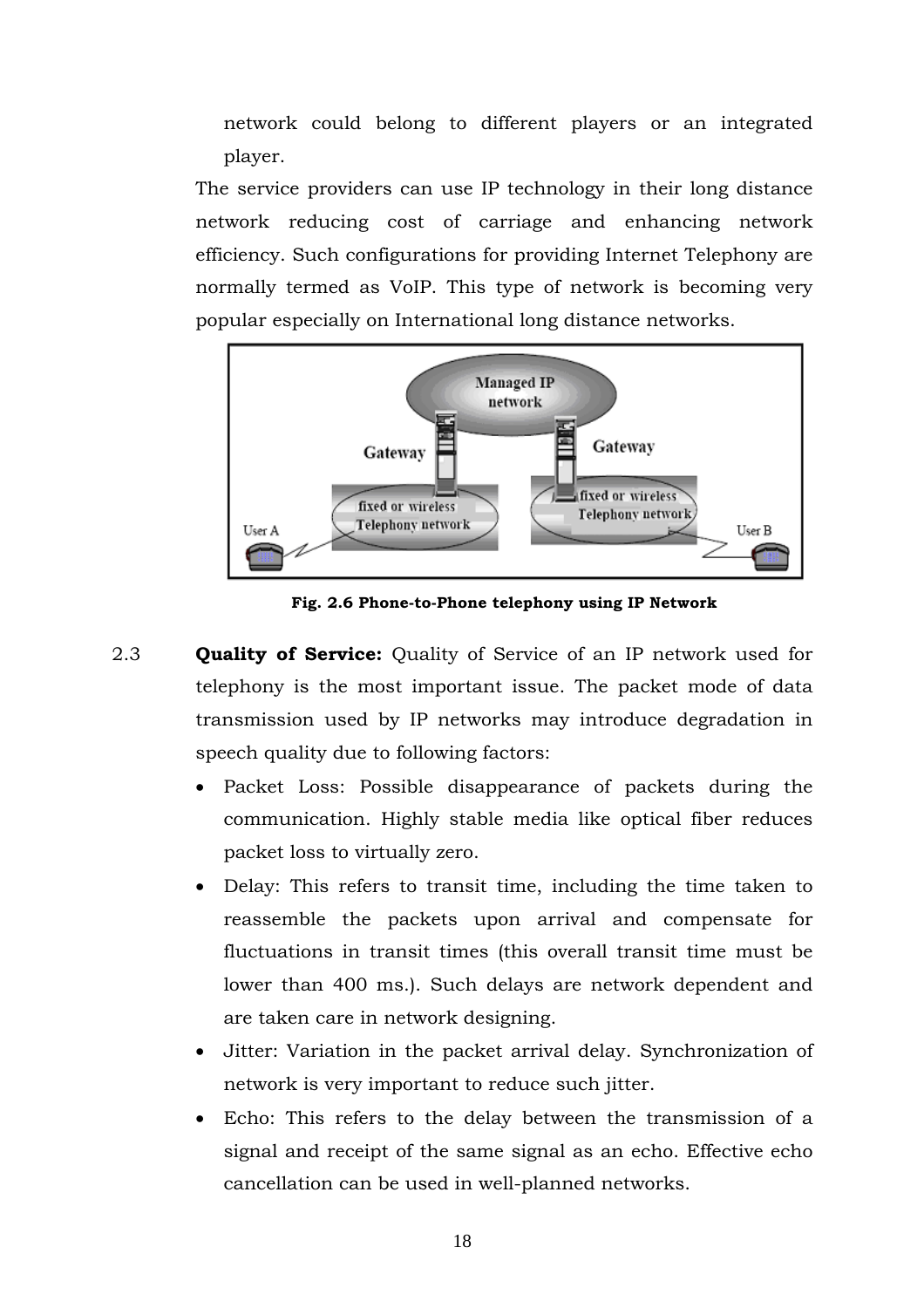network could belong to different players or an integrated player.

The service providers can use IP technology in their long distance network reducing cost of carriage and enhancing network efficiency. Such configurations for providing Internet Telephony are normally termed as VoIP. This type of network is becoming very popular especially on International long distance networks.



**Fig. 2.6 Phone-to-Phone telephony using IP Network** 

- 2.3 **Quality of Service:** Quality of Service of an IP network used for telephony is the most important issue. The packet mode of data transmission used by IP networks may introduce degradation in speech quality due to following factors:
	- Packet Loss: Possible disappearance of packets during the communication. Highly stable media like optical fiber reduces packet loss to virtually zero.
	- Delay: This refers to transit time, including the time taken to reassemble the packets upon arrival and compensate for fluctuations in transit times (this overall transit time must be lower than 400 ms.). Such delays are network dependent and are taken care in network designing.
	- Jitter: Variation in the packet arrival delay. Synchronization of network is very important to reduce such jitter.
	- Echo: This refers to the delay between the transmission of a signal and receipt of the same signal as an echo. Effective echo cancellation can be used in well-planned networks.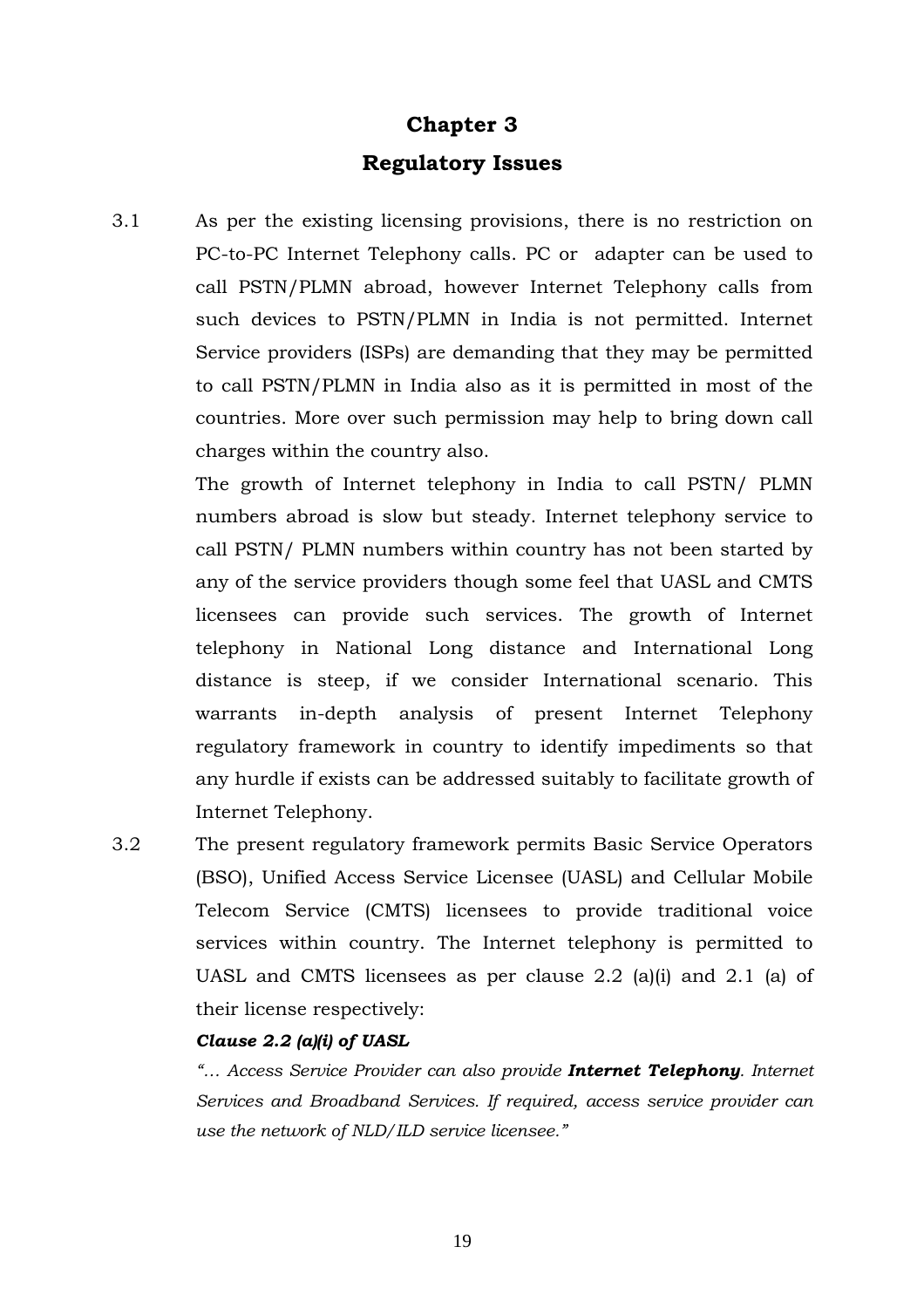# **Chapter 3 Regulatory Issues**

3.1 As per the existing licensing provisions, there is no restriction on PC-to-PC Internet Telephony calls. PC or adapter can be used to call PSTN/PLMN abroad, however Internet Telephony calls from such devices to PSTN/PLMN in India is not permitted. Internet Service providers (ISPs) are demanding that they may be permitted to call PSTN/PLMN in India also as it is permitted in most of the countries. More over such permission may help to bring down call charges within the country also.

> The growth of Internet telephony in India to call PSTN/ PLMN numbers abroad is slow but steady. Internet telephony service to call PSTN/ PLMN numbers within country has not been started by any of the service providers though some feel that UASL and CMTS licensees can provide such services. The growth of Internet telephony in National Long distance and International Long distance is steep, if we consider International scenario. This warrants in-depth analysis of present Internet Telephony regulatory framework in country to identify impediments so that any hurdle if exists can be addressed suitably to facilitate growth of Internet Telephony.

3.2 The present regulatory framework permits Basic Service Operators (BSO), Unified Access Service Licensee (UASL) and Cellular Mobile Telecom Service (CMTS) licensees to provide traditional voice services within country. The Internet telephony is permitted to UASL and CMTS licensees as per clause 2.2 (a)(i) and 2.1 (a) of their license respectively:

#### *Clause 2.2 (a)(i) of UASL*

*"… Access Service Provider can also provide Internet Telephony. Internet Services and Broadband Services. If required, access service provider can use the network of NLD/ILD service licensee."*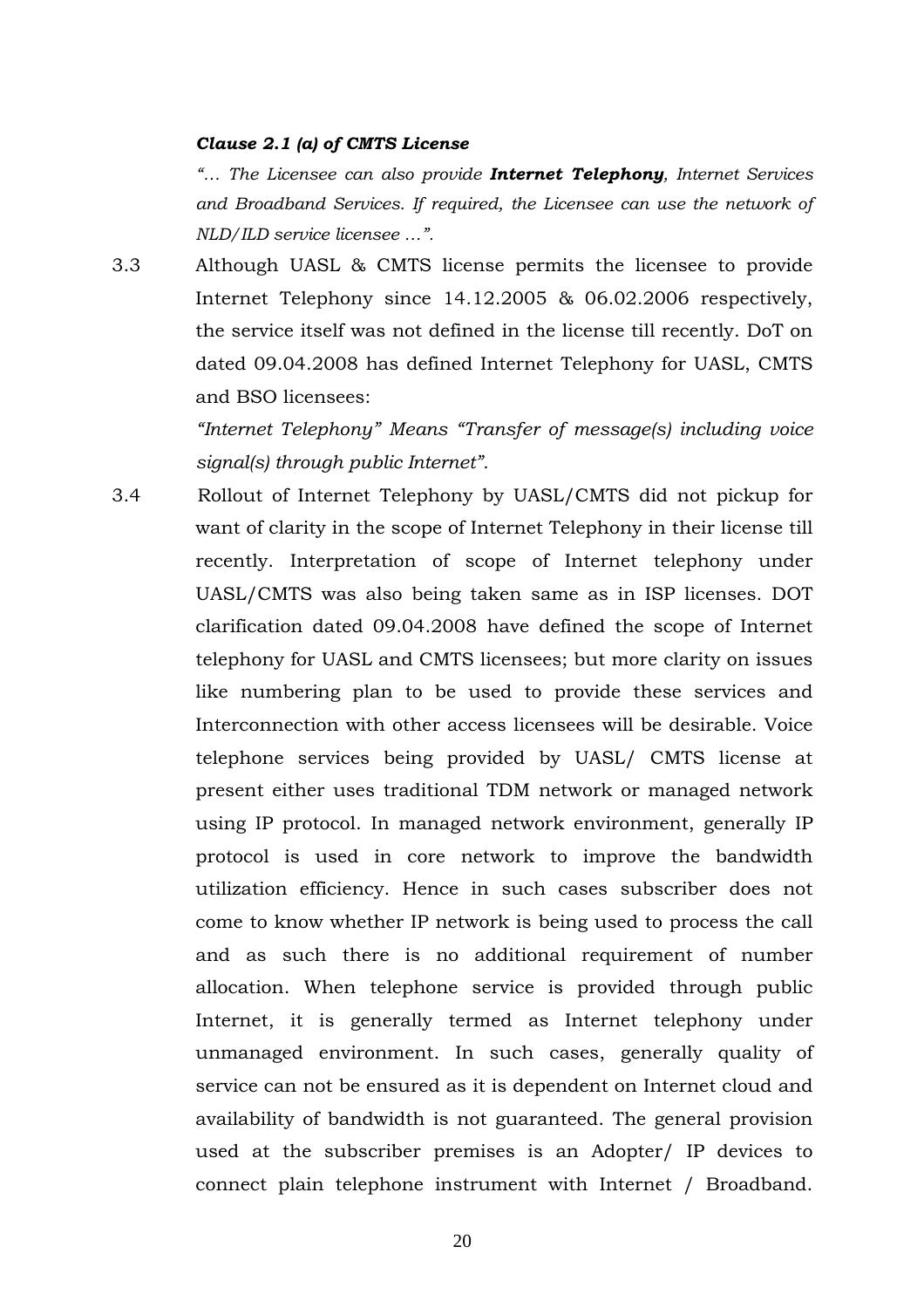#### *Clause 2.1 (a) of CMTS License*

*"… The Licensee can also provide Internet Telephony, Internet Services and Broadband Services. If required, the Licensee can use the network of NLD/ILD service licensee …".*

3.3 Although UASL & CMTS license permits the licensee to provide Internet Telephony since 14.12.2005 & 06.02.2006 respectively, the service itself was not defined in the license till recently. DoT on dated 09.04.2008 has defined Internet Telephony for UASL, CMTS and BSO licensees:

> *"Internet Telephony" Means "Transfer of message(s) including voice signal(s) through public Internet".*

3.4 Rollout of Internet Telephony by UASL/CMTS did not pickup for want of clarity in the scope of Internet Telephony in their license till recently. Interpretation of scope of Internet telephony under UASL/CMTS was also being taken same as in ISP licenses. DOT clarification dated 09.04.2008 have defined the scope of Internet telephony for UASL and CMTS licensees; but more clarity on issues like numbering plan to be used to provide these services and Interconnection with other access licensees will be desirable. Voice telephone services being provided by UASL/ CMTS license at present either uses traditional TDM network or managed network using IP protocol. In managed network environment, generally IP protocol is used in core network to improve the bandwidth utilization efficiency. Hence in such cases subscriber does not come to know whether IP network is being used to process the call and as such there is no additional requirement of number allocation. When telephone service is provided through public Internet, it is generally termed as Internet telephony under unmanaged environment. In such cases, generally quality of service can not be ensured as it is dependent on Internet cloud and availability of bandwidth is not guaranteed. The general provision used at the subscriber premises is an Adopter/ IP devices to connect plain telephone instrument with Internet / Broadband.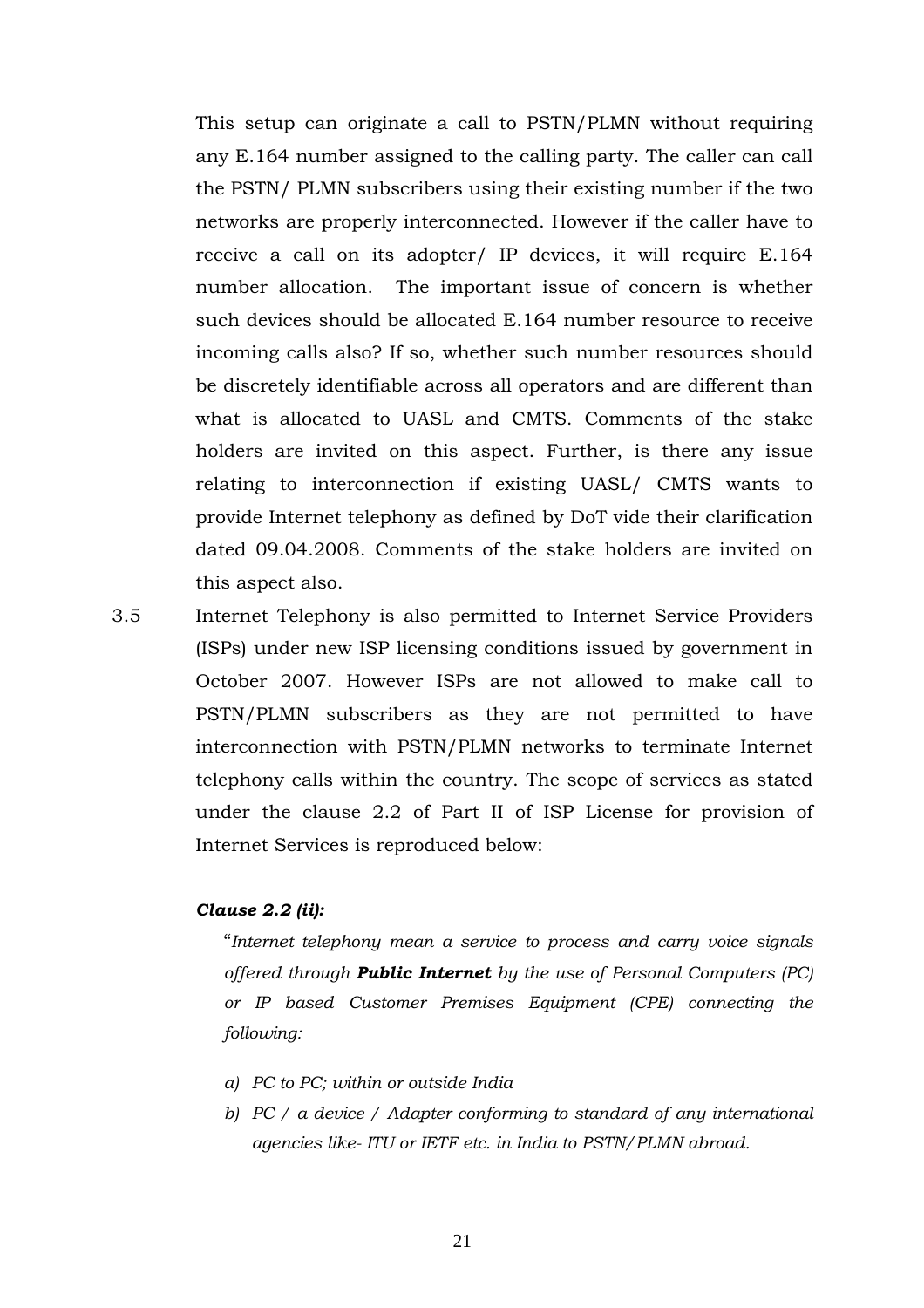This setup can originate a call to PSTN/PLMN without requiring any E.164 number assigned to the calling party. The caller can call the PSTN/ PLMN subscribers using their existing number if the two networks are properly interconnected. However if the caller have to receive a call on its adopter/ IP devices, it will require E.164 number allocation. The important issue of concern is whether such devices should be allocated E.164 number resource to receive incoming calls also? If so, whether such number resources should be discretely identifiable across all operators and are different than what is allocated to UASL and CMTS. Comments of the stake holders are invited on this aspect. Further, is there any issue relating to interconnection if existing UASL/ CMTS wants to provide Internet telephony as defined by DoT vide their clarification dated 09.04.2008. Comments of the stake holders are invited on this aspect also.

3.5 Internet Telephony is also permitted to Internet Service Providers (ISPs) under new ISP licensing conditions issued by government in October 2007. However ISPs are not allowed to make call to PSTN/PLMN subscribers as they are not permitted to have interconnection with PSTN/PLMN networks to terminate Internet telephony calls within the country. The scope of services as stated under the clause 2.2 of Part II of ISP License for provision of Internet Services is reproduced below:

#### *Clause 2.2 (ii):*

"*Internet telephony mean a service to process and carry voice signals offered through Public Internet by the use of Personal Computers (PC) or IP based Customer Premises Equipment (CPE) connecting the following:* 

- *a) PC to PC; within or outside India*
- *b) PC / a device / Adapter conforming to standard of any international agencies like- ITU or IETF etc. in India to PSTN/PLMN abroad.*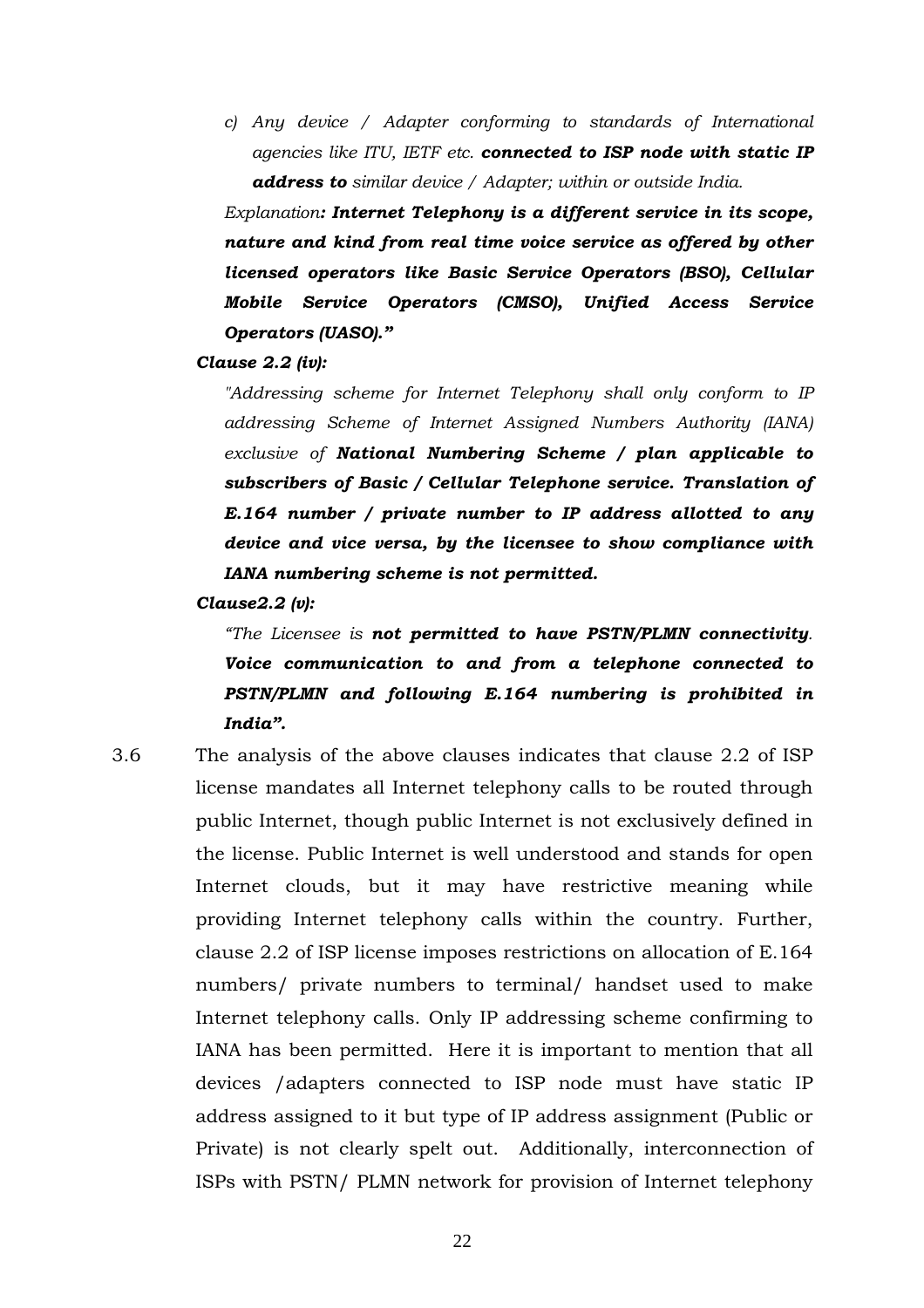*c) Any device / Adapter conforming to standards of International agencies like ITU, IETF etc. connected to ISP node with static IP address to similar device / Adapter; within or outside India.*

*Explanation: Internet Telephony is a different service in its scope, nature and kind from real time voice service as offered by other licensed operators like Basic Service Operators (BSO), Cellular Mobile Service Operators (CMSO), Unified Access Service Operators (UASO)."*

*Clause 2.2 (iv):*

*"Addressing scheme for Internet Telephony shall only conform to IP addressing Scheme of Internet Assigned Numbers Authority (IANA) exclusive of National Numbering Scheme / plan applicable to subscribers of Basic / Cellular Telephone service. Translation of E.164 number / private number to IP address allotted to any device and vice versa, by the licensee to show compliance with IANA numbering scheme is not permitted.* 

*Clause2.2 (v):* 

*"The Licensee is not permitted to have PSTN/PLMN connectivity. Voice communication to and from a telephone connected to PSTN/PLMN and following E.164 numbering is prohibited in India".*

3.6 The analysis of the above clauses indicates that clause 2.2 of ISP license mandates all Internet telephony calls to be routed through public Internet, though public Internet is not exclusively defined in the license. Public Internet is well understood and stands for open Internet clouds, but it may have restrictive meaning while providing Internet telephony calls within the country. Further, clause 2.2 of ISP license imposes restrictions on allocation of E.164 numbers/ private numbers to terminal/ handset used to make Internet telephony calls. Only IP addressing scheme confirming to IANA has been permitted. Here it is important to mention that all devices /adapters connected to ISP node must have static IP address assigned to it but type of IP address assignment (Public or Private) is not clearly spelt out. Additionally, interconnection of ISPs with PSTN/ PLMN network for provision of Internet telephony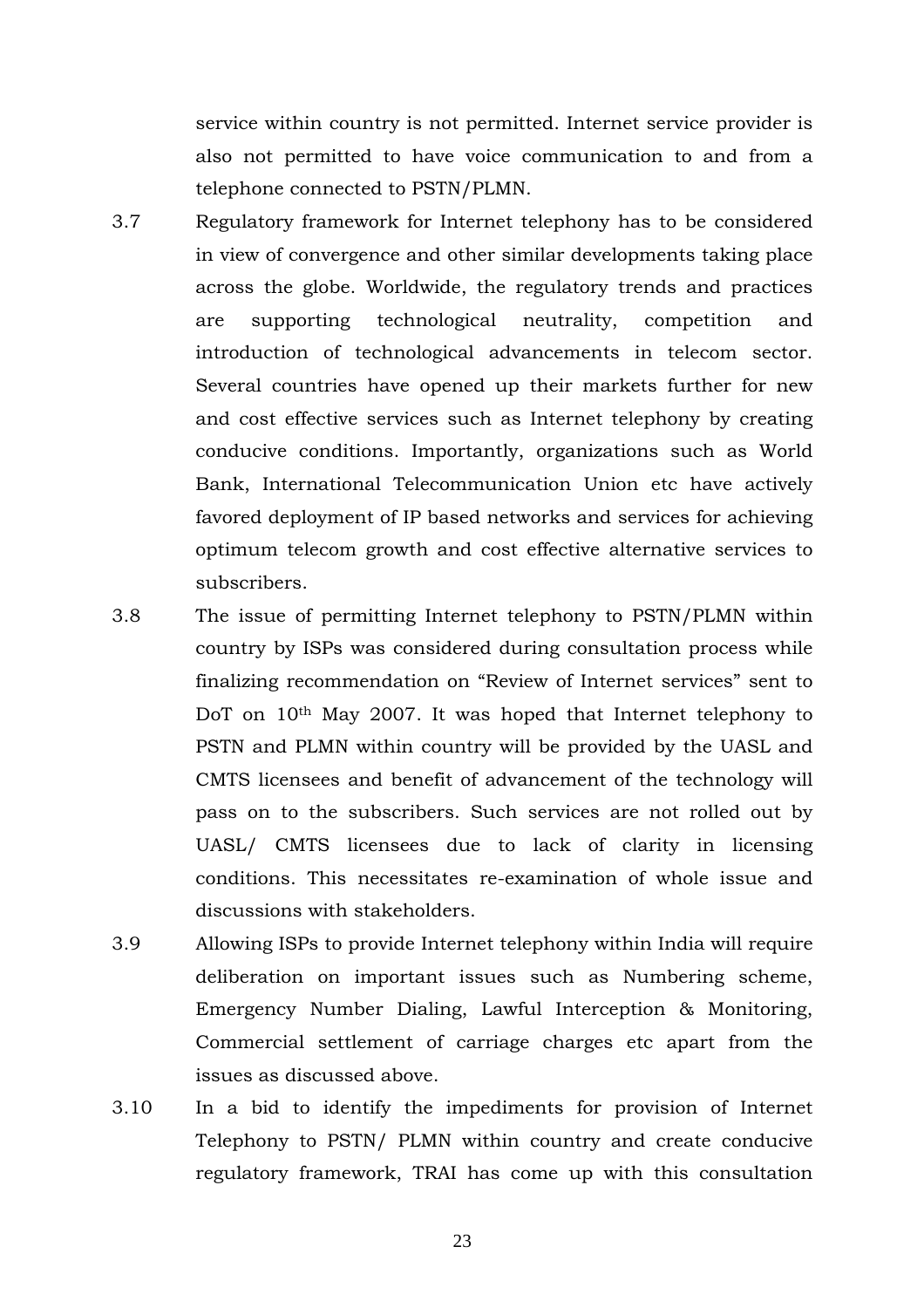service within country is not permitted. Internet service provider is also not permitted to have voice communication to and from a telephone connected to PSTN/PLMN.

- 3.7 Regulatory framework for Internet telephony has to be considered in view of convergence and other similar developments taking place across the globe. Worldwide, the regulatory trends and practices are supporting technological neutrality, competition and introduction of technological advancements in telecom sector. Several countries have opened up their markets further for new and cost effective services such as Internet telephony by creating conducive conditions. Importantly, organizations such as World Bank, International Telecommunication Union etc have actively favored deployment of IP based networks and services for achieving optimum telecom growth and cost effective alternative services to subscribers.
- 3.8 The issue of permitting Internet telephony to PSTN/PLMN within country by ISPs was considered during consultation process while finalizing recommendation on "Review of Internet services" sent to DoT on 10th May 2007. It was hoped that Internet telephony to PSTN and PLMN within country will be provided by the UASL and CMTS licensees and benefit of advancement of the technology will pass on to the subscribers. Such services are not rolled out by UASL/ CMTS licensees due to lack of clarity in licensing conditions. This necessitates re-examination of whole issue and discussions with stakeholders.
- 3.9 Allowing ISPs to provide Internet telephony within India will require deliberation on important issues such as Numbering scheme, Emergency Number Dialing, Lawful Interception & Monitoring, Commercial settlement of carriage charges etc apart from the issues as discussed above.
- 3.10 In a bid to identify the impediments for provision of Internet Telephony to PSTN/ PLMN within country and create conducive regulatory framework, TRAI has come up with this consultation

23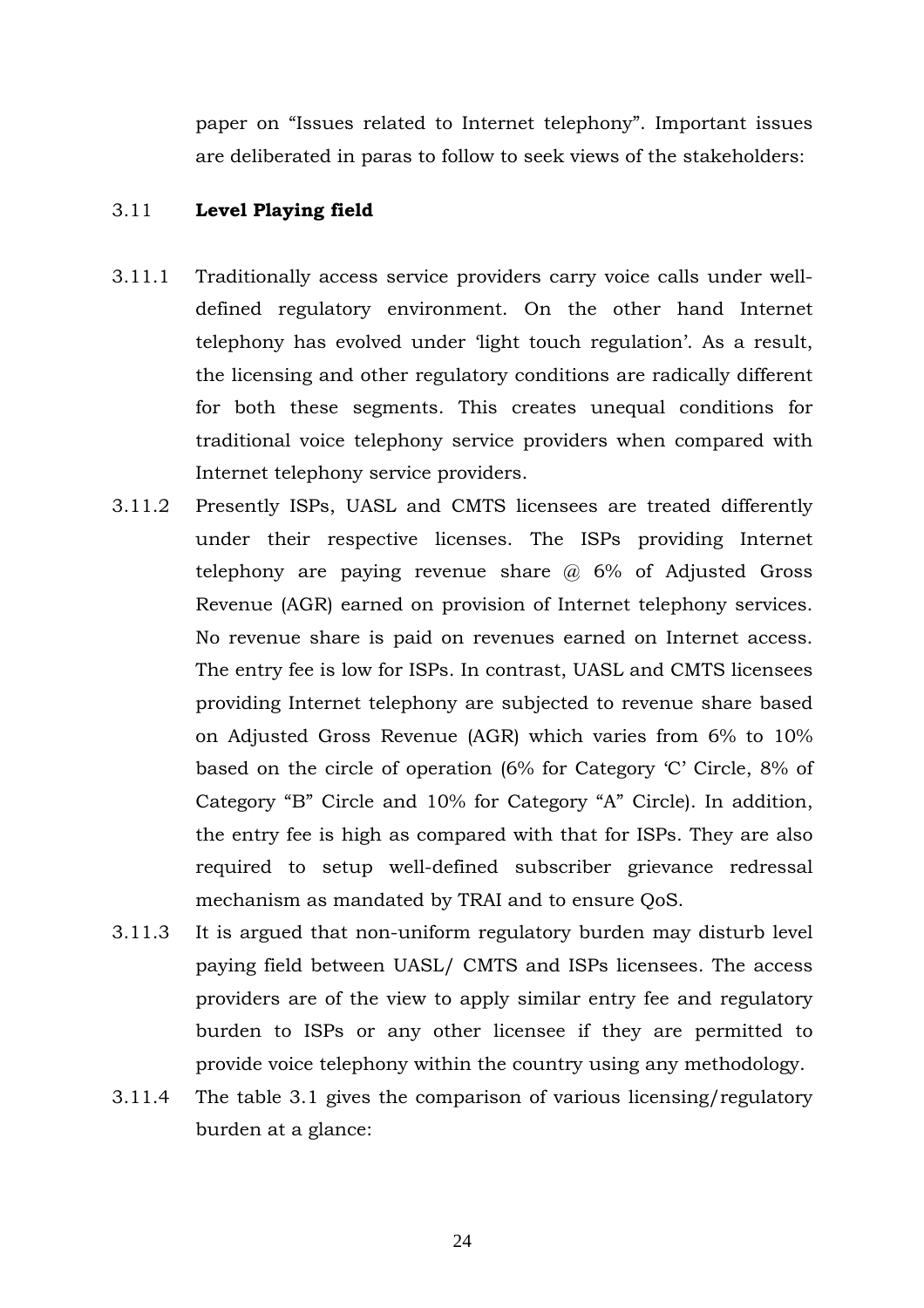paper on "Issues related to Internet telephony". Important issues are deliberated in paras to follow to seek views of the stakeholders:

#### 3.11 **Level Playing field**

- 3.11.1 Traditionally access service providers carry voice calls under welldefined regulatory environment. On the other hand Internet telephony has evolved under 'light touch regulation'. As a result, the licensing and other regulatory conditions are radically different for both these segments. This creates unequal conditions for traditional voice telephony service providers when compared with Internet telephony service providers.
- 3.11.2 Presently ISPs, UASL and CMTS licensees are treated differently under their respective licenses. The ISPs providing Internet telephony are paying revenue share  $\omega$  6% of Adjusted Gross Revenue (AGR) earned on provision of Internet telephony services. No revenue share is paid on revenues earned on Internet access. The entry fee is low for ISPs. In contrast, UASL and CMTS licensees providing Internet telephony are subjected to revenue share based on Adjusted Gross Revenue (AGR) which varies from 6% to 10% based on the circle of operation (6% for Category 'C' Circle, 8% of Category "B" Circle and 10% for Category "A" Circle). In addition, the entry fee is high as compared with that for ISPs. They are also required to setup well-defined subscriber grievance redressal mechanism as mandated by TRAI and to ensure QoS.
- 3.11.3 It is argued that non-uniform regulatory burden may disturb level paying field between UASL/ CMTS and ISPs licensees. The access providers are of the view to apply similar entry fee and regulatory burden to ISPs or any other licensee if they are permitted to provide voice telephony within the country using any methodology.
- 3.11.4 The table 3.1 gives the comparison of various licensing/regulatory burden at a glance: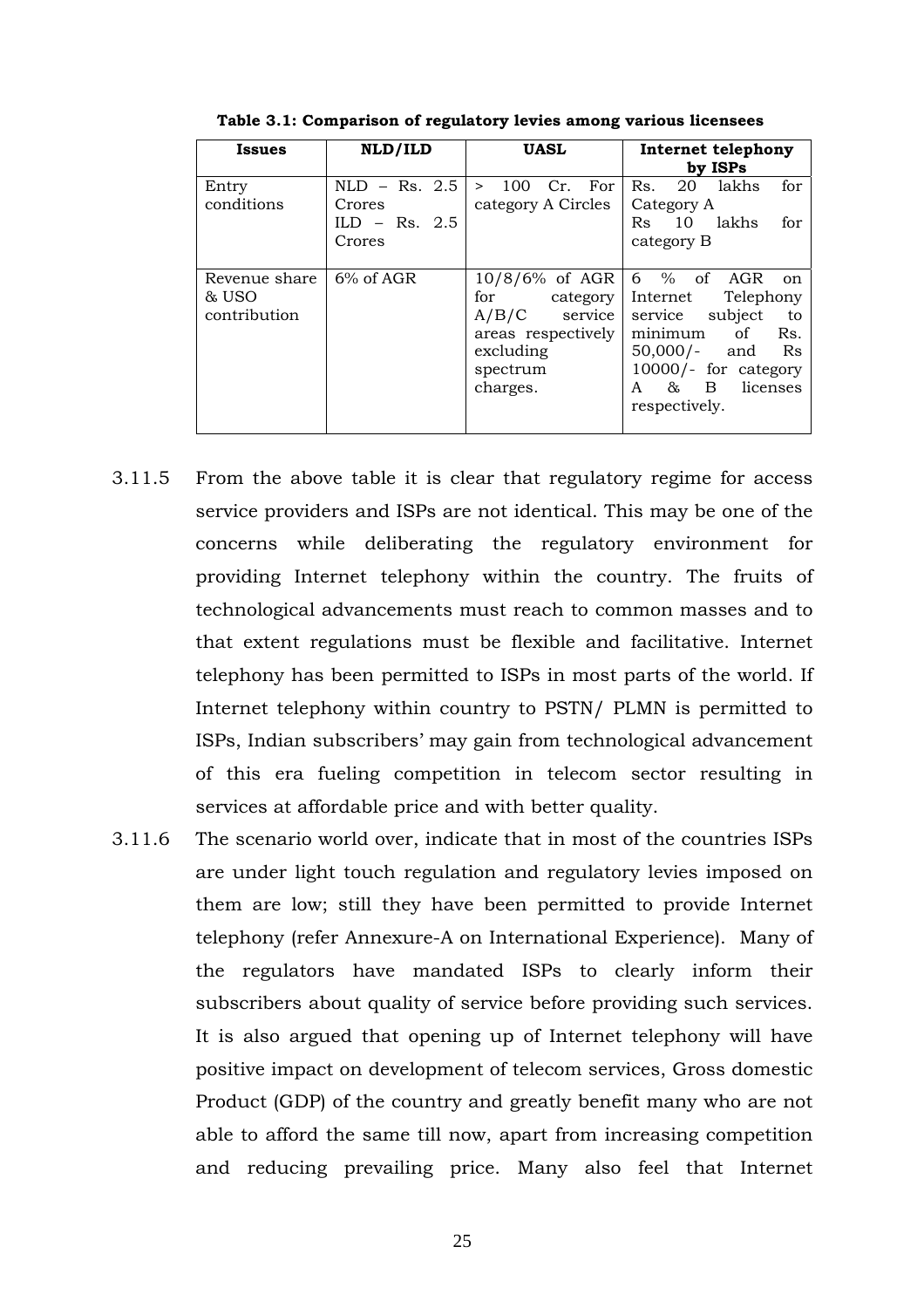| <b>Issues</b>                          | NLD/ILD                             | <b>UASL</b>                                                                                                         | Internet telephony<br>by ISPs                                                                                                                                                                     |
|----------------------------------------|-------------------------------------|---------------------------------------------------------------------------------------------------------------------|---------------------------------------------------------------------------------------------------------------------------------------------------------------------------------------------------|
| Entry<br>conditions                    | $NLD - Rs. 2.5$                     | For<br>100<br>Cr.<br>$\geq$                                                                                         | 20<br>lakhs<br>for<br>Rs.                                                                                                                                                                         |
|                                        | Crores<br>$ILD - Rs. 2.5$<br>Crores | category A Circles                                                                                                  | Category A<br>lakhs<br>10<br>Rs<br>for<br>category B                                                                                                                                              |
| Revenue share<br>& USO<br>contribution | $6\%$ of AGR                        | $10/8/6\%$ of AGR<br>for<br>category<br>A/B/C<br>service<br>areas respectively<br>excluding<br>spectrum<br>charges. | $6\%$ of AGR<br>on<br>Telephony<br>Internet<br>subject<br>service<br>to<br>minimum<br>of<br>Rs.<br>$50,000/-$<br>Rs<br>and<br>$10000/-$ for category<br>licenses<br>85<br>B<br>A<br>respectively. |

**Table 3.1: Comparison of regulatory levies among various licensees**

- 3.11.5 From the above table it is clear that regulatory regime for access service providers and ISPs are not identical. This may be one of the concerns while deliberating the regulatory environment for providing Internet telephony within the country. The fruits of technological advancements must reach to common masses and to that extent regulations must be flexible and facilitative. Internet telephony has been permitted to ISPs in most parts of the world. If Internet telephony within country to PSTN/ PLMN is permitted to ISPs, Indian subscribers' may gain from technological advancement of this era fueling competition in telecom sector resulting in services at affordable price and with better quality.
- 3.11.6 The scenario world over, indicate that in most of the countries ISPs are under light touch regulation and regulatory levies imposed on them are low; still they have been permitted to provide Internet telephony (refer Annexure-A on International Experience). Many of the regulators have mandated ISPs to clearly inform their subscribers about quality of service before providing such services. It is also argued that opening up of Internet telephony will have positive impact on development of telecom services, Gross domestic Product (GDP) of the country and greatly benefit many who are not able to afford the same till now, apart from increasing competition and reducing prevailing price. Many also feel that Internet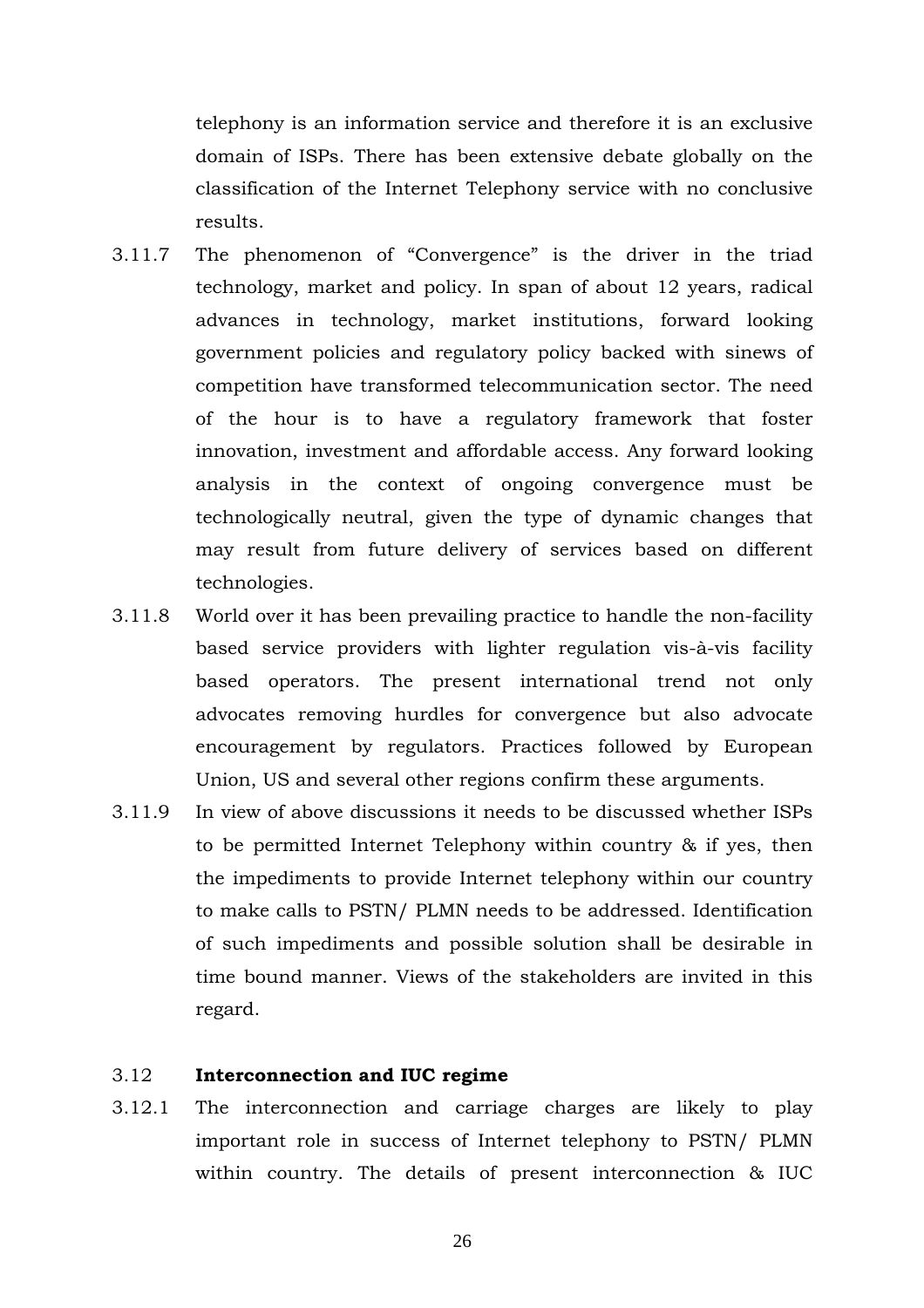telephony is an information service and therefore it is an exclusive domain of ISPs. There has been extensive debate globally on the classification of the Internet Telephony service with no conclusive results.

- 3.11.7 The phenomenon of "Convergence" is the driver in the triad technology, market and policy. In span of about 12 years, radical advances in technology, market institutions, forward looking government policies and regulatory policy backed with sinews of competition have transformed telecommunication sector. The need of the hour is to have a regulatory framework that foster innovation, investment and affordable access. Any forward looking analysis in the context of ongoing convergence must be technologically neutral, given the type of dynamic changes that may result from future delivery of services based on different technologies.
- 3.11.8 World over it has been prevailing practice to handle the non-facility based service providers with lighter regulation vis-à-vis facility based operators. The present international trend not only advocates removing hurdles for convergence but also advocate encouragement by regulators. Practices followed by European Union, US and several other regions confirm these arguments.
- 3.11.9 In view of above discussions it needs to be discussed whether ISPs to be permitted Internet Telephony within country & if yes, then the impediments to provide Internet telephony within our country to make calls to PSTN/ PLMN needs to be addressed. Identification of such impediments and possible solution shall be desirable in time bound manner. Views of the stakeholders are invited in this regard.

### 3.12 **Interconnection and IUC regime**

3.12.1 The interconnection and carriage charges are likely to play important role in success of Internet telephony to PSTN/ PLMN within country. The details of present interconnection & IUC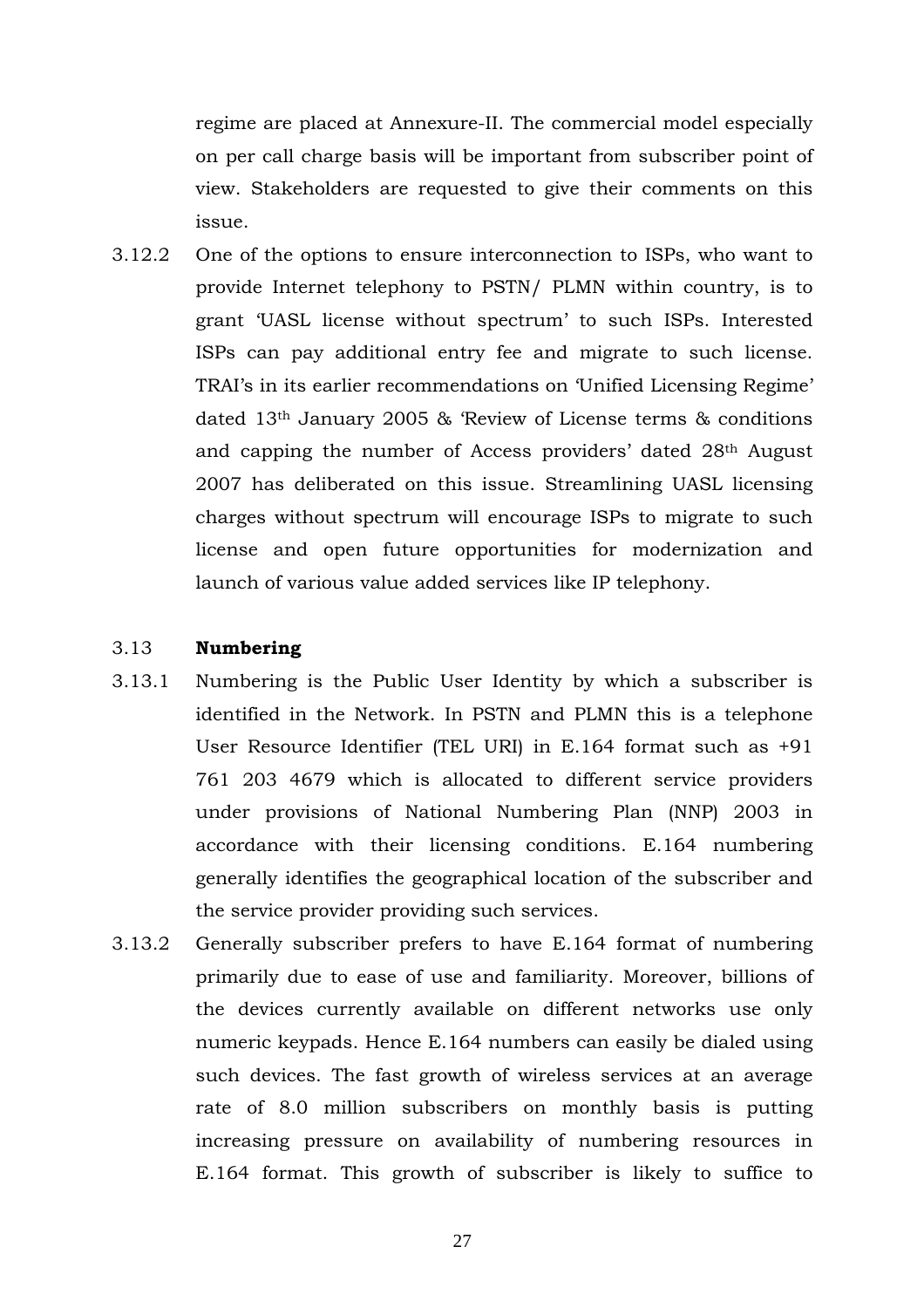regime are placed at Annexure-II. The commercial model especially on per call charge basis will be important from subscriber point of view. Stakeholders are requested to give their comments on this issue.

3.12.2 One of the options to ensure interconnection to ISPs, who want to provide Internet telephony to PSTN/ PLMN within country, is to grant 'UASL license without spectrum' to such ISPs. Interested ISPs can pay additional entry fee and migrate to such license. TRAI's in its earlier recommendations on 'Unified Licensing Regime' dated 13th January 2005 & 'Review of License terms & conditions and capping the number of Access providers' dated 28th August 2007 has deliberated on this issue. Streamlining UASL licensing charges without spectrum will encourage ISPs to migrate to such license and open future opportunities for modernization and launch of various value added services like IP telephony.

## 3.13 **Numbering**

- 3.13.1 Numbering is the Public User Identity by which a subscriber is identified in the Network. In PSTN and PLMN this is a telephone User Resource Identifier (TEL URI) in E.164 format such as +91 761 203 4679 which is allocated to different service providers under provisions of National Numbering Plan (NNP) 2003 in accordance with their licensing conditions. E.164 numbering generally identifies the geographical location of the subscriber and the service provider providing such services.
- 3.13.2 Generally subscriber prefers to have E.164 format of numbering primarily due to ease of use and familiarity. Moreover, billions of the devices currently available on different networks use only numeric keypads. Hence E.164 numbers can easily be dialed using such devices. The fast growth of wireless services at an average rate of 8.0 million subscribers on monthly basis is putting increasing pressure on availability of numbering resources in E.164 format. This growth of subscriber is likely to suffice to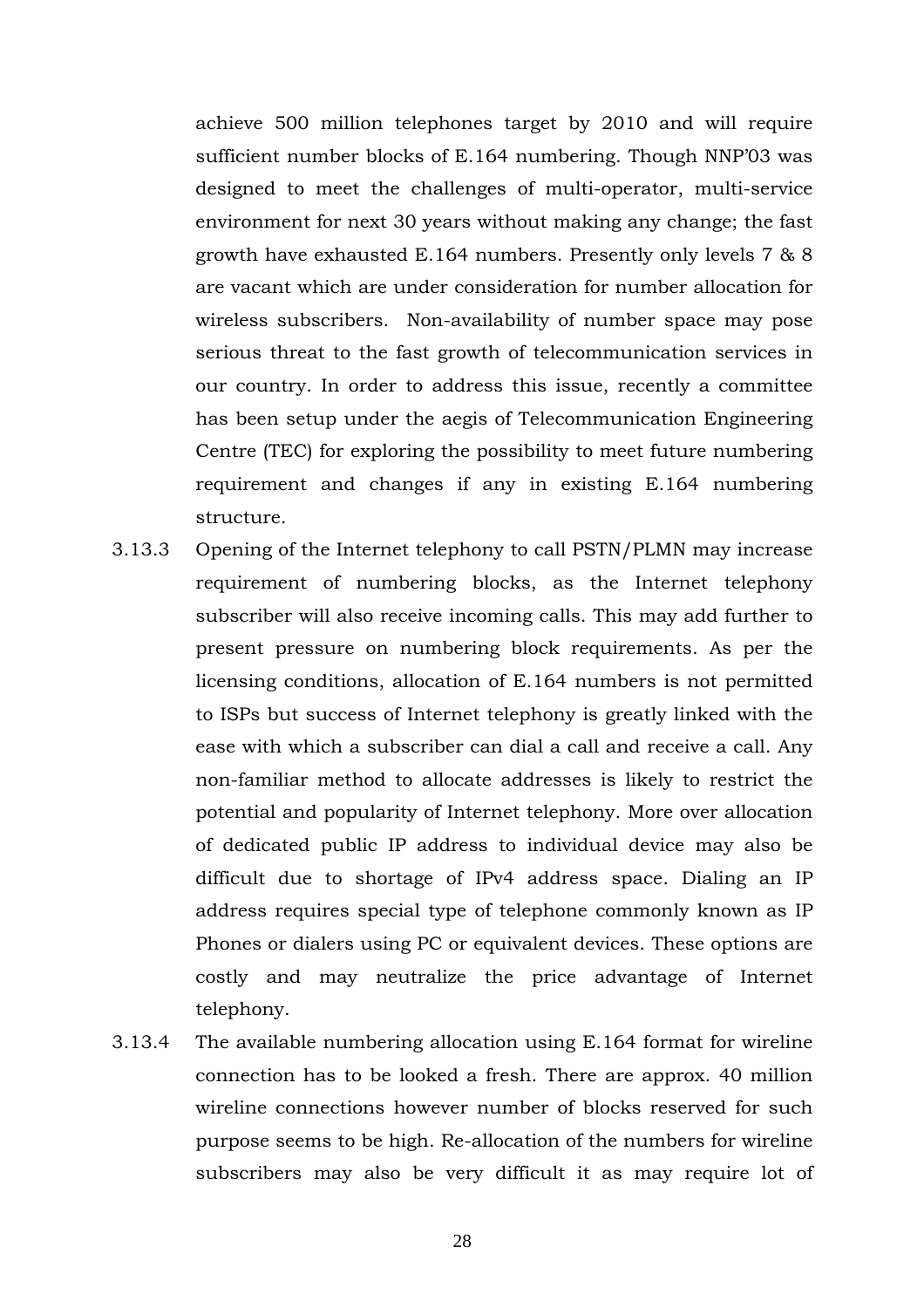achieve 500 million telephones target by 2010 and will require sufficient number blocks of E.164 numbering. Though NNP'03 was designed to meet the challenges of multi-operator, multi-service environment for next 30 years without making any change; the fast growth have exhausted E.164 numbers. Presently only levels 7 & 8 are vacant which are under consideration for number allocation for wireless subscribers. Non-availability of number space may pose serious threat to the fast growth of telecommunication services in our country. In order to address this issue, recently a committee has been setup under the aegis of Telecommunication Engineering Centre (TEC) for exploring the possibility to meet future numbering requirement and changes if any in existing E.164 numbering structure.

- 3.13.3 Opening of the Internet telephony to call PSTN/PLMN may increase requirement of numbering blocks, as the Internet telephony subscriber will also receive incoming calls. This may add further to present pressure on numbering block requirements. As per the licensing conditions, allocation of E.164 numbers is not permitted to ISPs but success of Internet telephony is greatly linked with the ease with which a subscriber can dial a call and receive a call. Any non-familiar method to allocate addresses is likely to restrict the potential and popularity of Internet telephony. More over allocation of dedicated public IP address to individual device may also be difficult due to shortage of IPv4 address space. Dialing an IP address requires special type of telephone commonly known as IP Phones or dialers using PC or equivalent devices. These options are costly and may neutralize the price advantage of Internet telephony.
- 3.13.4 The available numbering allocation using E.164 format for wireline connection has to be looked a fresh. There are approx. 40 million wireline connections however number of blocks reserved for such purpose seems to be high. Re-allocation of the numbers for wireline subscribers may also be very difficult it as may require lot of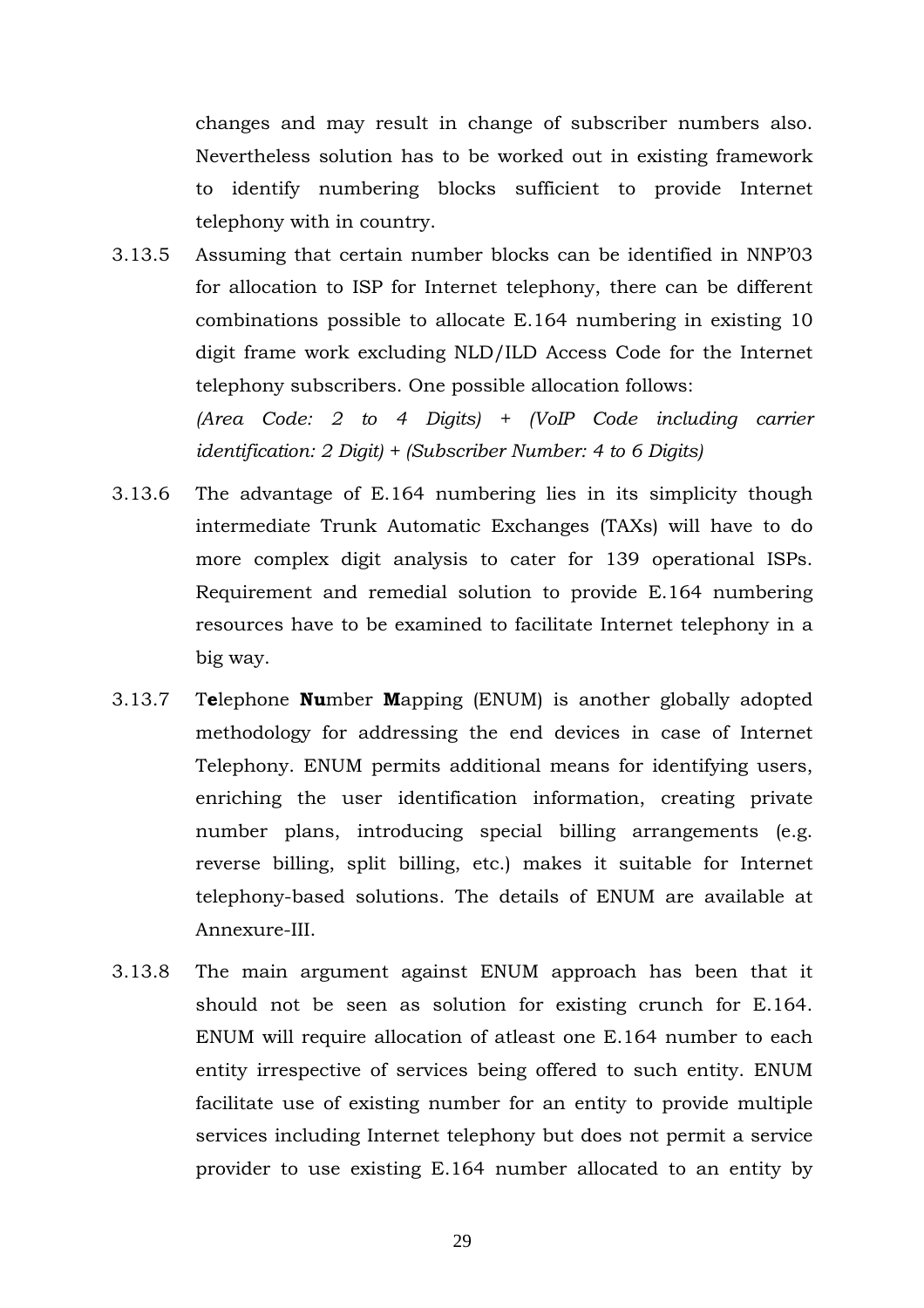changes and may result in change of subscriber numbers also. Nevertheless solution has to be worked out in existing framework to identify numbering blocks sufficient to provide Internet telephony with in country.

- 3.13.5 Assuming that certain number blocks can be identified in NNP'03 for allocation to ISP for Internet telephony, there can be different combinations possible to allocate E.164 numbering in existing 10 digit frame work excluding NLD/ILD Access Code for the Internet telephony subscribers. One possible allocation follows: *(Area Code: 2 to 4 Digits) + (VoIP Code including carrier identification: 2 Digit) + (Subscriber Number: 4 to 6 Digits)*
- 3.13.6 The advantage of E.164 numbering lies in its simplicity though intermediate Trunk Automatic Exchanges (TAXs) will have to do more complex digit analysis to cater for 139 operational ISPs. Requirement and remedial solution to provide E.164 numbering resources have to be examined to facilitate Internet telephony in a big way.
- 3.13.7 T**e**lephone **Nu**mber **M**apping (ENUM) is another globally adopted methodology for addressing the end devices in case of Internet Telephony. ENUM permits additional means for identifying users, enriching the user identification information, creating private number plans, introducing special billing arrangements (e.g. reverse billing, split billing, etc.) makes it suitable for Internet telephony-based solutions. The details of ENUM are available at Annexure-III.
- 3.13.8 The main argument against ENUM approach has been that it should not be seen as solution for existing crunch for E.164. ENUM will require allocation of atleast one E.164 number to each entity irrespective of services being offered to such entity. ENUM facilitate use of existing number for an entity to provide multiple services including Internet telephony but does not permit a service provider to use existing E.164 number allocated to an entity by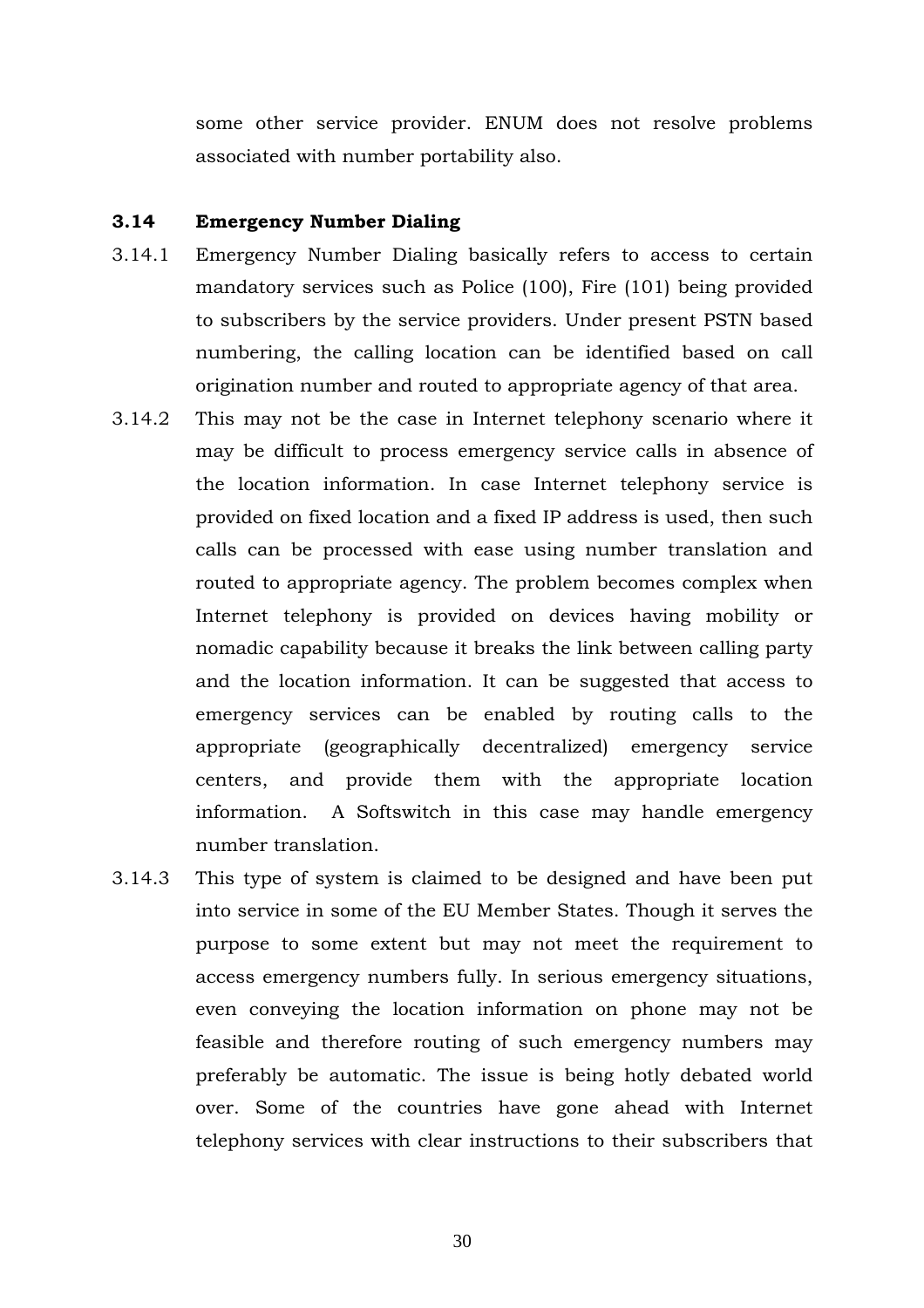some other service provider. ENUM does not resolve problems associated with number portability also.

# **3.14 Emergency Number Dialing**

- 3.14.1 Emergency Number Dialing basically refers to access to certain mandatory services such as Police (100), Fire (101) being provided to subscribers by the service providers. Under present PSTN based numbering, the calling location can be identified based on call origination number and routed to appropriate agency of that area.
- 3.14.2 This may not be the case in Internet telephony scenario where it may be difficult to process emergency service calls in absence of the location information. In case Internet telephony service is provided on fixed location and a fixed IP address is used, then such calls can be processed with ease using number translation and routed to appropriate agency. The problem becomes complex when Internet telephony is provided on devices having mobility or nomadic capability because it breaks the link between calling party and the location information. It can be suggested that access to emergency services can be enabled by routing calls to the appropriate (geographically decentralized) emergency service centers, and provide them with the appropriate location information. A Softswitch in this case may handle emergency number translation.
- 3.14.3 This type of system is claimed to be designed and have been put into service in some of the EU Member States. Though it serves the purpose to some extent but may not meet the requirement to access emergency numbers fully. In serious emergency situations, even conveying the location information on phone may not be feasible and therefore routing of such emergency numbers may preferably be automatic. The issue is being hotly debated world over. Some of the countries have gone ahead with Internet telephony services with clear instructions to their subscribers that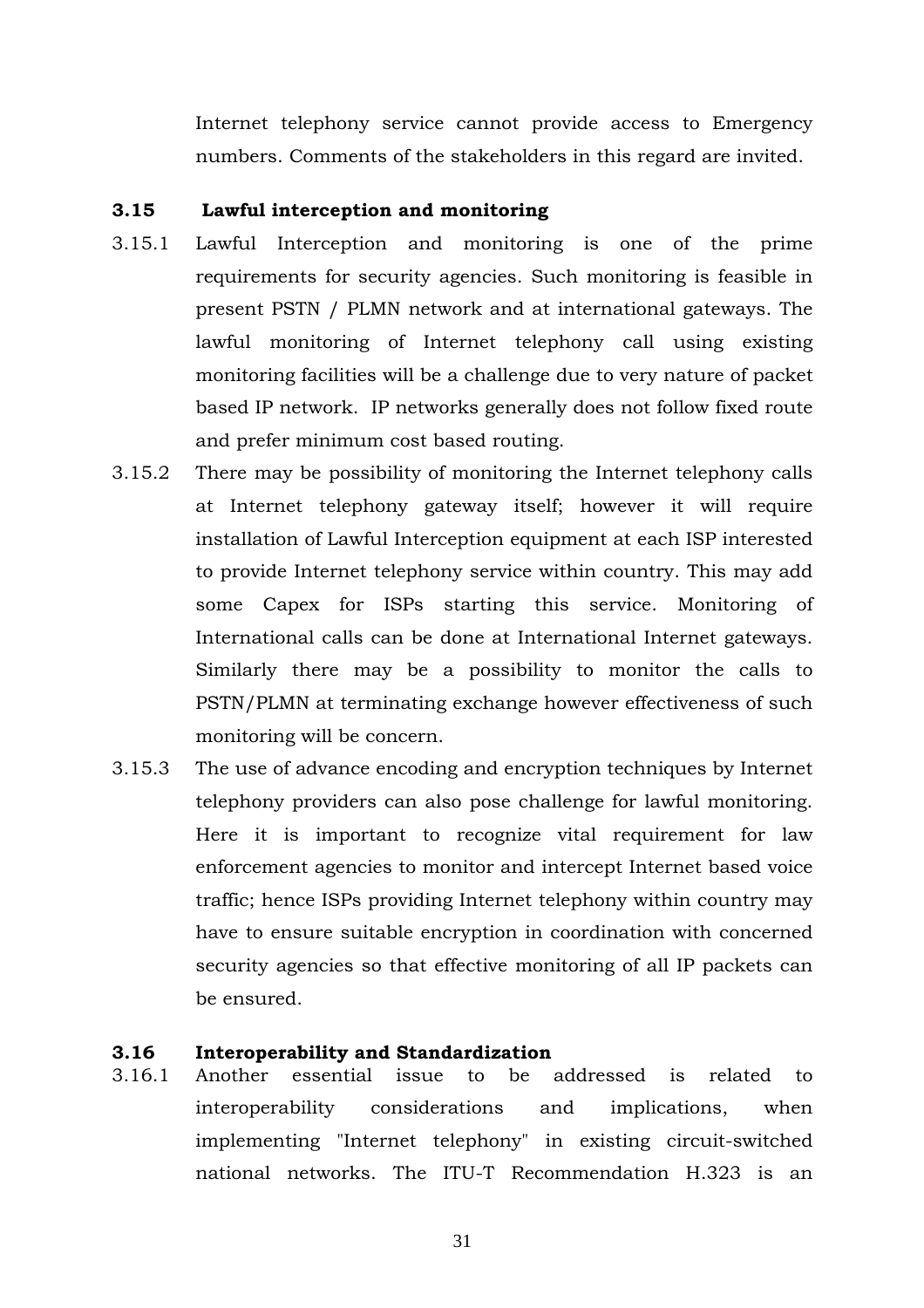Internet telephony service cannot provide access to Emergency numbers. Comments of the stakeholders in this regard are invited.

# **3.15 Lawful interception and monitoring**

- 3.15.1 Lawful Interception and monitoring is one of the prime requirements for security agencies. Such monitoring is feasible in present PSTN / PLMN network and at international gateways. The lawful monitoring of Internet telephony call using existing monitoring facilities will be a challenge due to very nature of packet based IP network. IP networks generally does not follow fixed route and prefer minimum cost based routing.
- 3.15.2 There may be possibility of monitoring the Internet telephony calls at Internet telephony gateway itself; however it will require installation of Lawful Interception equipment at each ISP interested to provide Internet telephony service within country. This may add some Capex for ISPs starting this service. Monitoring of International calls can be done at International Internet gateways. Similarly there may be a possibility to monitor the calls to PSTN/PLMN at terminating exchange however effectiveness of such monitoring will be concern.
- 3.15.3 The use of advance encoding and encryption techniques by Internet telephony providers can also pose challenge for lawful monitoring. Here it is important to recognize vital requirement for law enforcement agencies to monitor and intercept Internet based voice traffic; hence ISPs providing Internet telephony within country may have to ensure suitable encryption in coordination with concerned security agencies so that effective monitoring of all IP packets can be ensured.

#### **3.16 Interoperability and Standardization**

3.16.1 Another essential issue to be addressed is related to interoperability considerations and implications, when implementing "Internet telephony" in existing circuit-switched national networks. The ITU-T Recommendation H.323 is an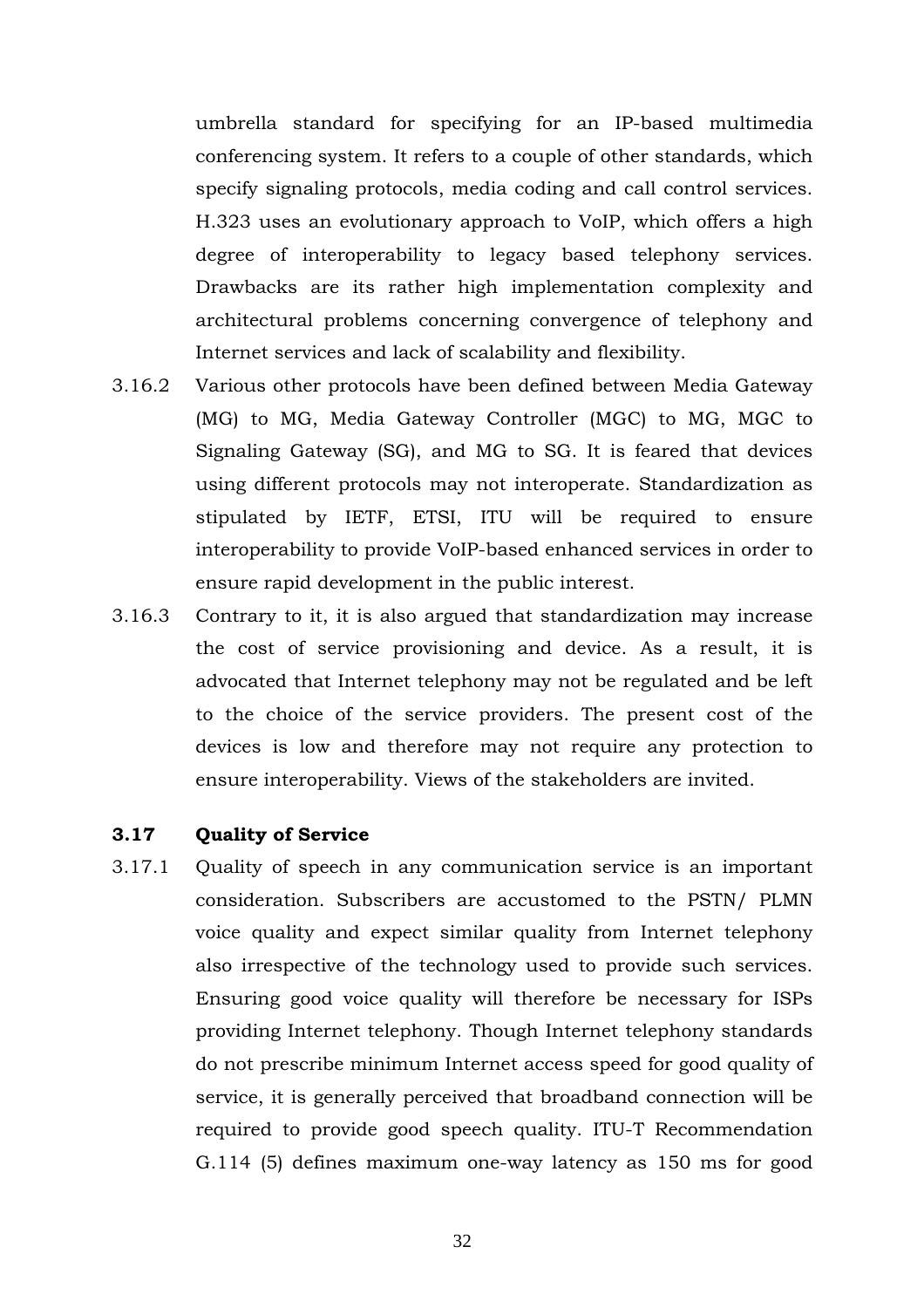umbrella standard for specifying for an IP-based multimedia conferencing system. It refers to a couple of other standards, which specify signaling protocols, media coding and call control services. H.323 uses an evolutionary approach to VoIP, which offers a high degree of interoperability to legacy based telephony services. Drawbacks are its rather high implementation complexity and architectural problems concerning convergence of telephony and Internet services and lack of scalability and flexibility.

- 3.16.2 Various other protocols have been defined between Media Gateway (MG) to MG, Media Gateway Controller (MGC) to MG, MGC to Signaling Gateway (SG), and MG to SG. It is feared that devices using different protocols may not interoperate. Standardization as stipulated by IETF, ETSI, ITU will be required to ensure interoperability to provide VoIP-based enhanced services in order to ensure rapid development in the public interest.
- 3.16.3 Contrary to it, it is also argued that standardization may increase the cost of service provisioning and device. As a result, it is advocated that Internet telephony may not be regulated and be left to the choice of the service providers. The present cost of the devices is low and therefore may not require any protection to ensure interoperability. Views of the stakeholders are invited.

# **3.17 Quality of Service**

3.17.1 Quality of speech in any communication service is an important consideration. Subscribers are accustomed to the PSTN/ PLMN voice quality and expect similar quality from Internet telephony also irrespective of the technology used to provide such services. Ensuring good voice quality will therefore be necessary for ISPs providing Internet telephony. Though Internet telephony standards do not prescribe minimum Internet access speed for good quality of service, it is generally perceived that broadband connection will be required to provide good speech quality. ITU-T Recommendation G.114 (5) defines maximum one-way latency as 150 ms for good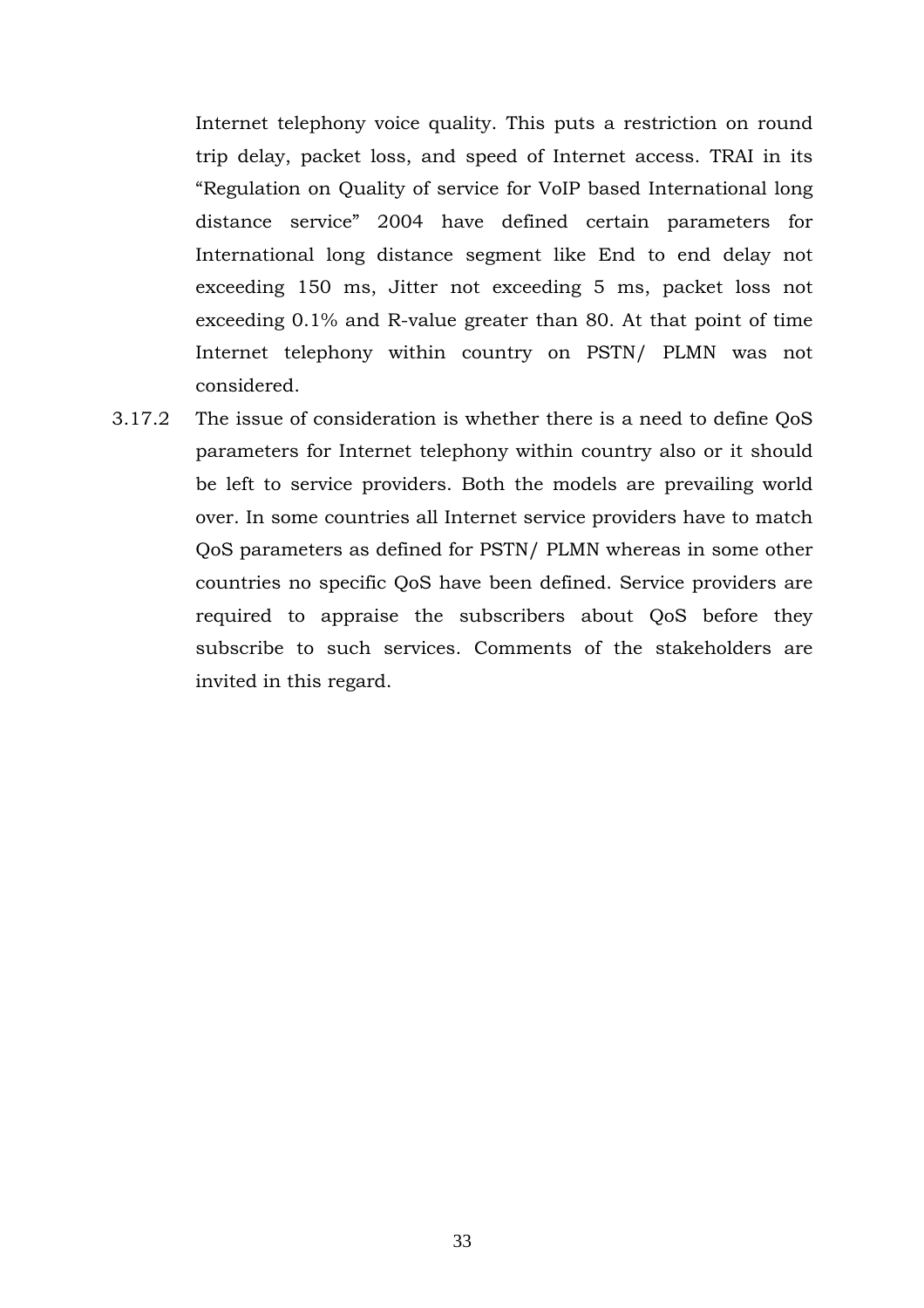Internet telephony voice quality. This puts a restriction on round trip delay, packet loss, and speed of Internet access. TRAI in its "Regulation on Quality of service for VoIP based International long distance service" 2004 have defined certain parameters for International long distance segment like End to end delay not exceeding 150 ms, Jitter not exceeding 5 ms, packet loss not exceeding 0.1% and R-value greater than 80. At that point of time Internet telephony within country on PSTN/ PLMN was not considered.

3.17.2 The issue of consideration is whether there is a need to define QoS parameters for Internet telephony within country also or it should be left to service providers. Both the models are prevailing world over. In some countries all Internet service providers have to match QoS parameters as defined for PSTN/ PLMN whereas in some other countries no specific QoS have been defined. Service providers are required to appraise the subscribers about QoS before they subscribe to such services. Comments of the stakeholders are invited in this regard.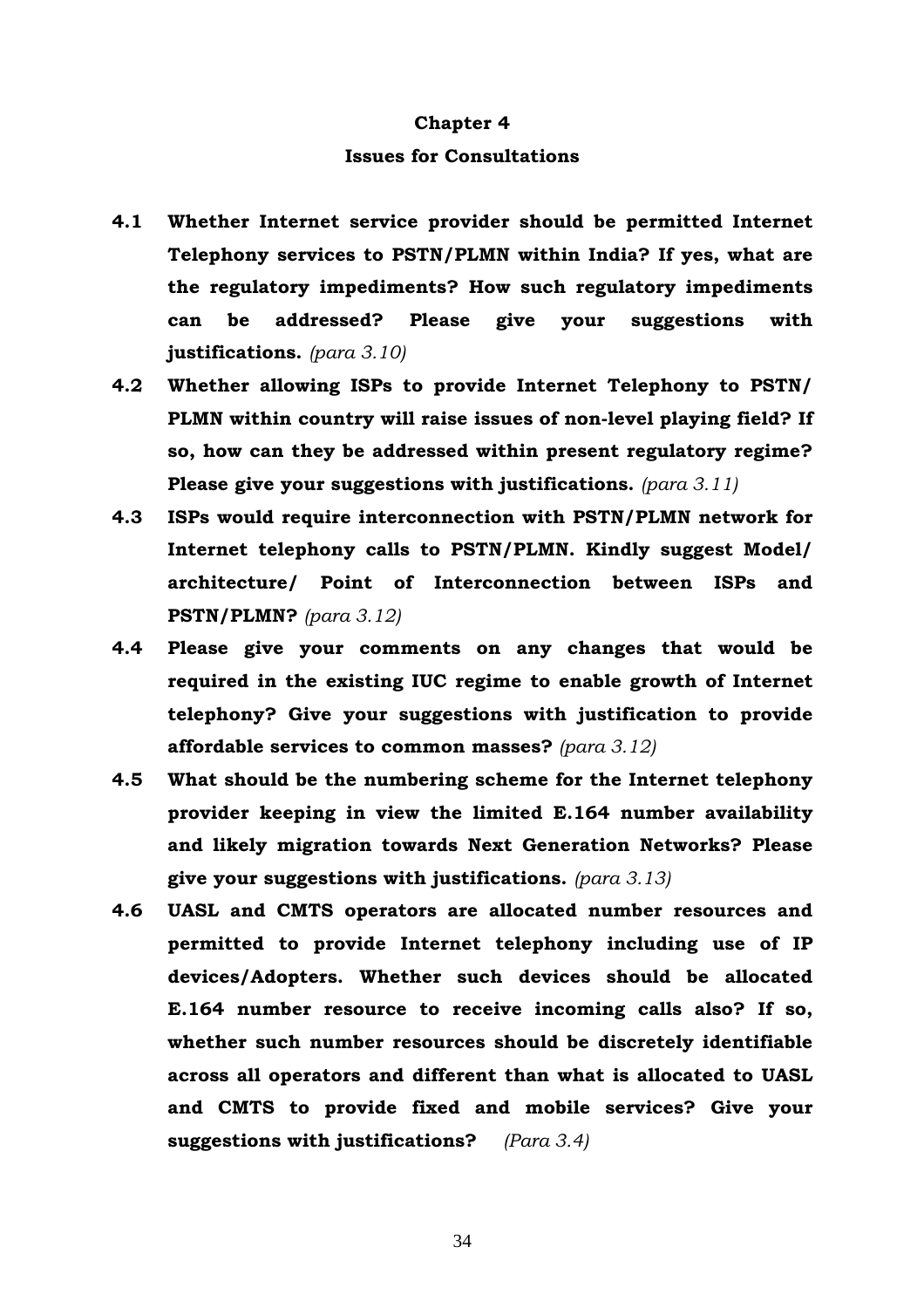#### **Chapter 4**

#### **Issues for Consultations**

- **4.1 Whether Internet service provider should be permitted Internet Telephony services to PSTN/PLMN within India? If yes, what are the regulatory impediments? How such regulatory impediments can be addressed? Please give your suggestions with justifications.** *(para 3.10)*
- **4.2 Whether allowing ISPs to provide Internet Telephony to PSTN/ PLMN within country will raise issues of non-level playing field? If so, how can they be addressed within present regulatory regime? Please give your suggestions with justifications.** *(para 3.11)*
- **4.3 ISPs would require interconnection with PSTN/PLMN network for Internet telephony calls to PSTN/PLMN. Kindly suggest Model/ architecture/ Point of Interconnection between ISPs and PSTN/PLMN?** *(para 3.12)*
- **4.4 Please give your comments on any changes that would be required in the existing IUC regime to enable growth of Internet telephony? Give your suggestions with justification to provide affordable services to common masses?** *(para 3.12)*
- **4.5 What should be the numbering scheme for the Internet telephony provider keeping in view the limited E.164 number availability and likely migration towards Next Generation Networks? Please give your suggestions with justifications.** *(para 3.13)*
- **4.6 UASL and CMTS operators are allocated number resources and permitted to provide Internet telephony including use of IP devices/Adopters. Whether such devices should be allocated E.164 number resource to receive incoming calls also? If so, whether such number resources should be discretely identifiable across all operators and different than what is allocated to UASL and CMTS to provide fixed and mobile services? Give your suggestions with justifications?** *(Para 3.4)*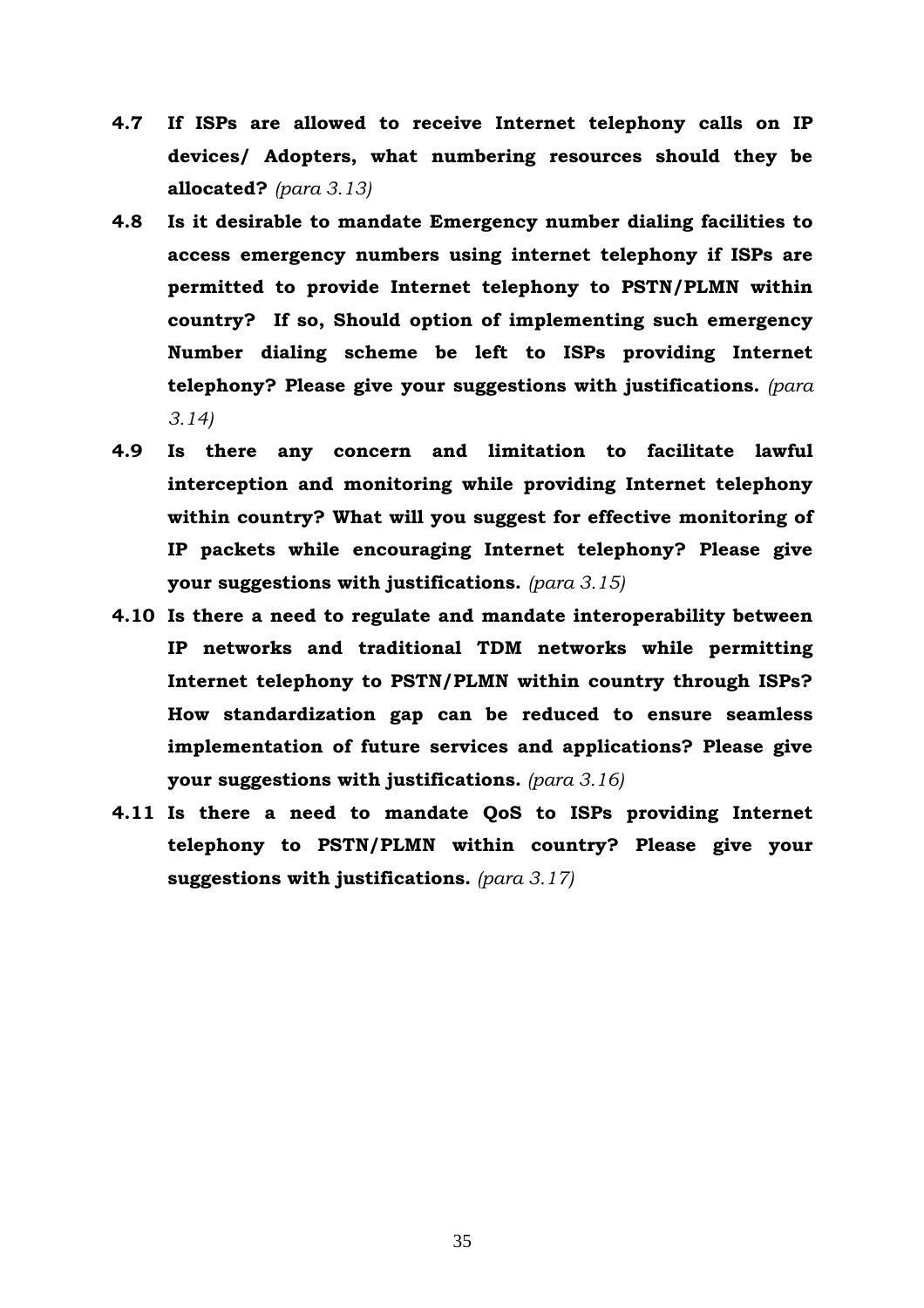- **4.7 If ISPs are allowed to receive Internet telephony calls on IP devices/ Adopters, what numbering resources should they be allocated?** *(para 3.13)*
- **4.8 Is it desirable to mandate Emergency number dialing facilities to access emergency numbers using internet telephony if ISPs are permitted to provide Internet telephony to PSTN/PLMN within country? If so, Should option of implementing such emergency Number dialing scheme be left to ISPs providing Internet telephony? Please give your suggestions with justifications.** *(para 3.14)*
- **4.9 Is there any concern and limitation to facilitate lawful interception and monitoring while providing Internet telephony within country? What will you suggest for effective monitoring of IP packets while encouraging Internet telephony? Please give your suggestions with justifications.** *(para 3.15)*
- **4.10 Is there a need to regulate and mandate interoperability between IP networks and traditional TDM networks while permitting Internet telephony to PSTN/PLMN within country through ISPs? How standardization gap can be reduced to ensure seamless implementation of future services and applications? Please give your suggestions with justifications.** *(para 3.16)*
- **4.11 Is there a need to mandate QoS to ISPs providing Internet telephony to PSTN/PLMN within country? Please give your suggestions with justifications.** *(para 3.17)*

35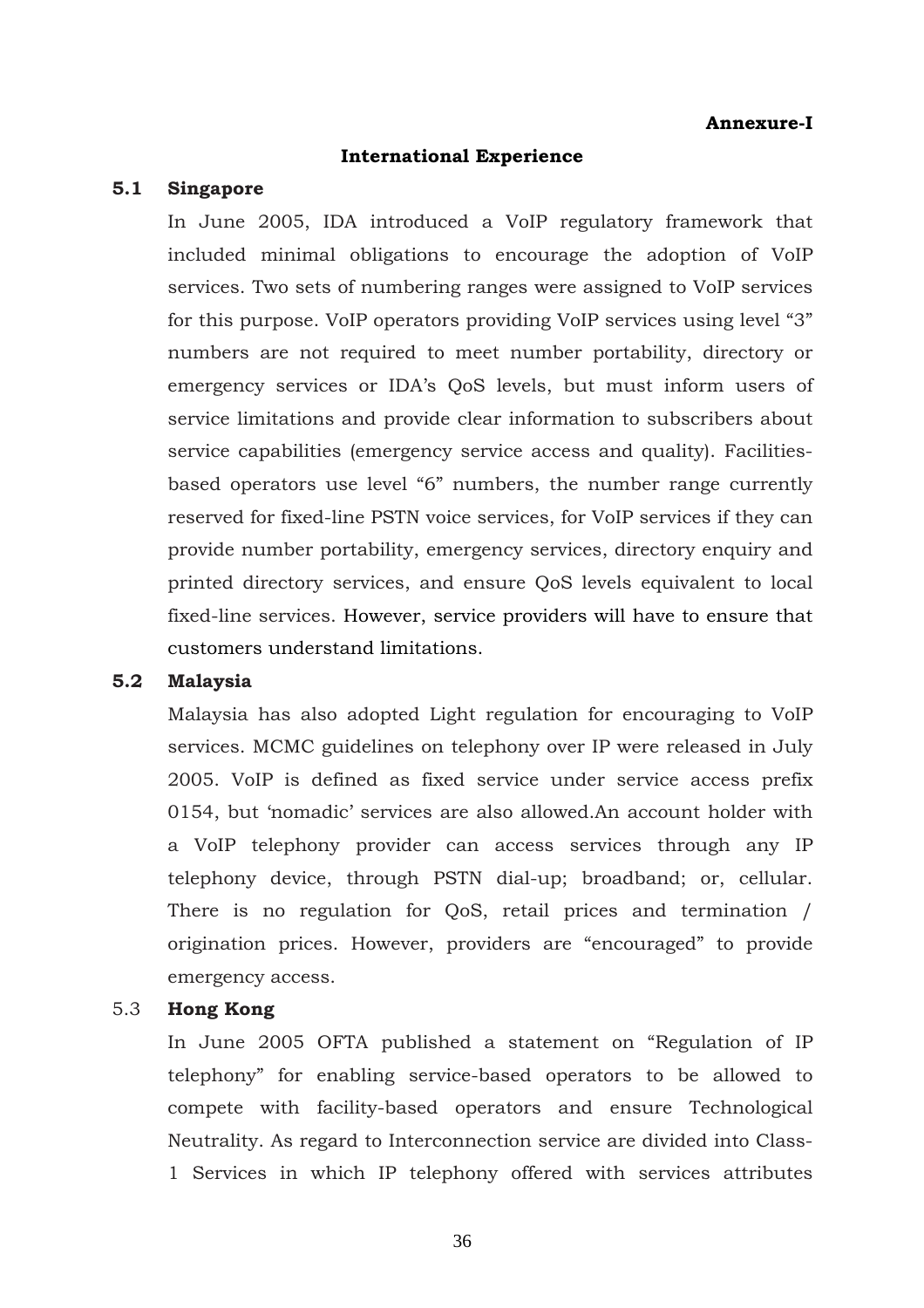### **Annexure-I**

#### **International Experience**

#### **5.1 Singapore**

In June 2005, IDA introduced a VoIP regulatory framework that included minimal obligations to encourage the adoption of VoIP services. Two sets of numbering ranges were assigned to VoIP services for this purpose. VoIP operators providing VoIP services using level "3" numbers are not required to meet number portability, directory or emergency services or IDA's QoS levels, but must inform users of service limitations and provide clear information to subscribers about service capabilities (emergency service access and quality). Facilitiesbased operators use level "6" numbers, the number range currently reserved for fixed-line PSTN voice services, for VoIP services if they can provide number portability, emergency services, directory enquiry and printed directory services, and ensure QoS levels equivalent to local fixed-line services. However, service providers will have to ensure that customers understand limitations.

#### **5.2 Malaysia**

Malaysia has also adopted Light regulation for encouraging to VoIP services. MCMC guidelines on telephony over IP were released in July 2005. VoIP is defined as fixed service under service access prefix 0154, but 'nomadic' services are also allowed.An account holder with a VoIP telephony provider can access services through any IP telephony device, through PSTN dial-up; broadband; or, cellular. There is no regulation for QoS, retail prices and termination / origination prices. However, providers are "encouraged" to provide emergency access.

#### 5.3 **Hong Kong**

In June 2005 OFTA published a statement on "Regulation of IP telephony" for enabling service-based operators to be allowed to compete with facility-based operators and ensure Technological Neutrality. As regard to Interconnection service are divided into Class-1 Services in which IP telephony offered with services attributes

36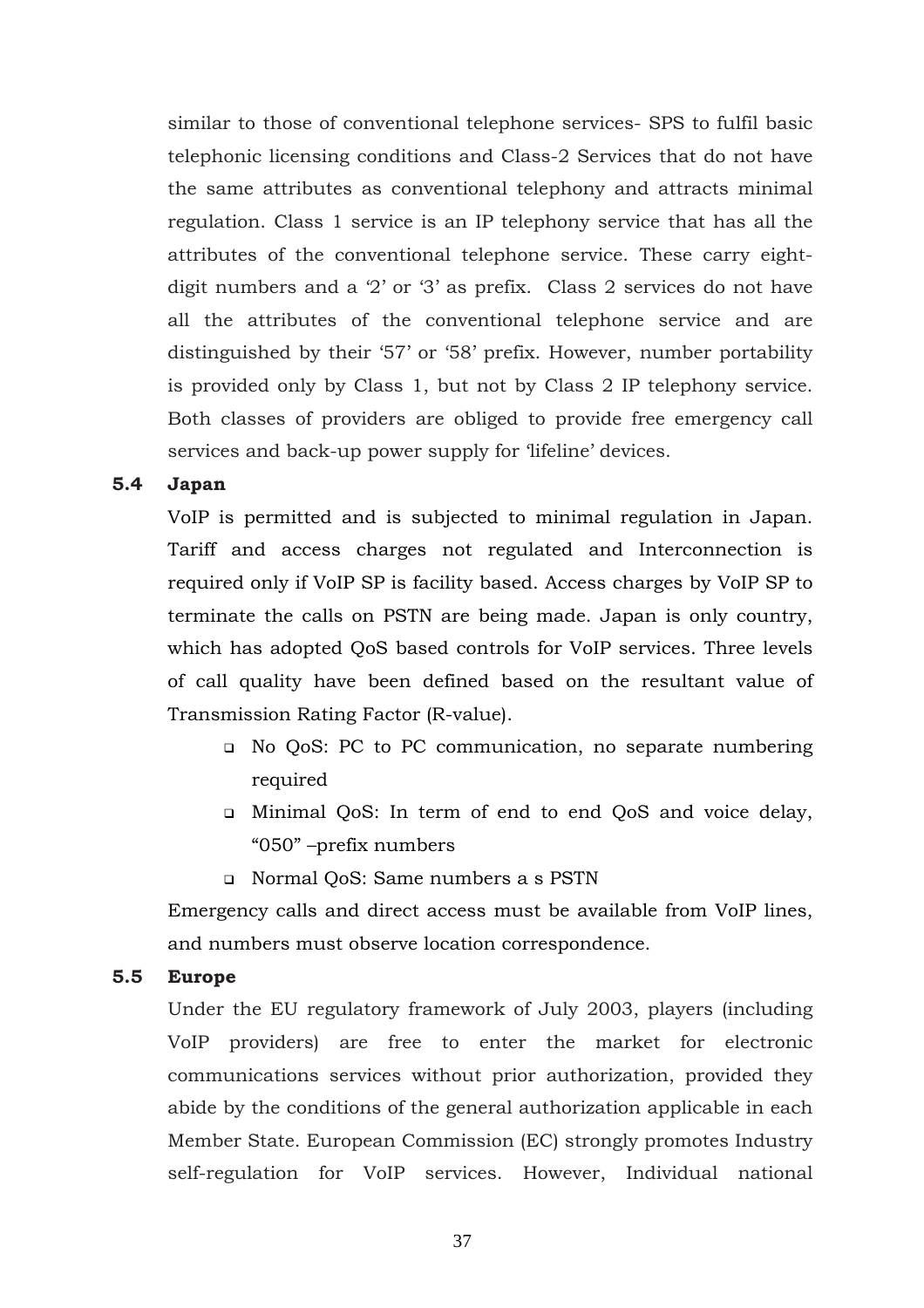similar to those of conventional telephone services- SPS to fulfil basic telephonic licensing conditions and Class-2 Services that do not have the same attributes as conventional telephony and attracts minimal regulation. Class 1 service is an IP telephony service that has all the attributes of the conventional telephone service. These carry eightdigit numbers and a '2' or '3' as prefix. Class 2 services do not have all the attributes of the conventional telephone service and are distinguished by their '57' or '58' prefix. However, number portability is provided only by Class 1, but not by Class 2 IP telephony service. Both classes of providers are obliged to provide free emergency call services and back-up power supply for 'lifeline' devices.

### **5.4 Japan**

VoIP is permitted and is subjected to minimal regulation in Japan. Tariff and access charges not regulated and Interconnection is required only if VoIP SP is facility based. Access charges by VoIP SP to terminate the calls on PSTN are being made. Japan is only country, which has adopted QoS based controls for VoIP services. Three levels of call quality have been defined based on the resultant value of Transmission Rating Factor (R-value).

- No QoS: PC to PC communication, no separate numbering required
- Minimal QoS: In term of end to end QoS and voice delay, "050" –prefix numbers
- Normal QoS: Same numbers a s PSTN

Emergency calls and direct access must be available from VoIP lines, and numbers must observe location correspondence.

#### **5.5 Europe**

Under the EU regulatory framework of July 2003, players (including VoIP providers) are free to enter the market for electronic communications services without prior authorization, provided they abide by the conditions of the general authorization applicable in each Member State. European Commission (EC) strongly promotes Industry self-regulation for VoIP services. However, Individual national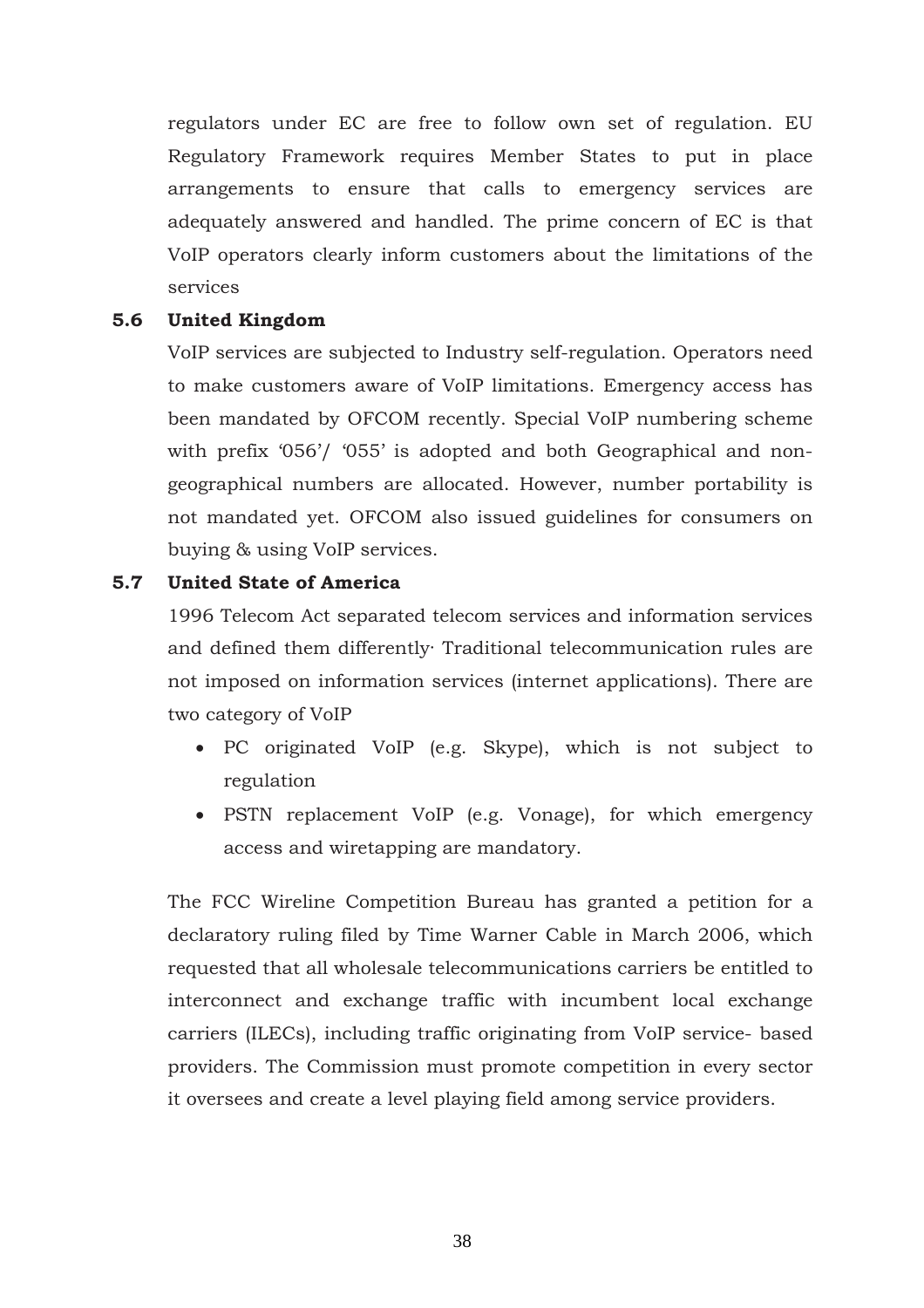regulators under EC are free to follow own set of regulation. EU Regulatory Framework requires Member States to put in place arrangements to ensure that calls to emergency services are adequately answered and handled. The prime concern of EC is that VoIP operators clearly inform customers about the limitations of the services

#### **5.6 United Kingdom**

VoIP services are subjected to Industry self-regulation. Operators need to make customers aware of VoIP limitations. Emergency access has been mandated by OFCOM recently. Special VoIP numbering scheme with prefix '056'/ '055' is adopted and both Geographical and nongeographical numbers are allocated. However, number portability is not mandated yet. OFCOM also issued guidelines for consumers on buying & using VoIP services.

# **5.7 United State of America**

1996 Telecom Act separated telecom services and information services and defined them differently· Traditional telecommunication rules are not imposed on information services (internet applications). There are two category of VoIP

- PC originated VoIP (e.g. Skype), which is not subject to regulation
- PSTN replacement VoIP (e.g. Vonage), for which emergency access and wiretapping are mandatory.

The FCC Wireline Competition Bureau has granted a petition for a declaratory ruling filed by Time Warner Cable in March 2006, which requested that all wholesale telecommunications carriers be entitled to interconnect and exchange traffic with incumbent local exchange carriers (ILECs), including traffic originating from VoIP service- based providers. The Commission must promote competition in every sector it oversees and create a level playing field among service providers.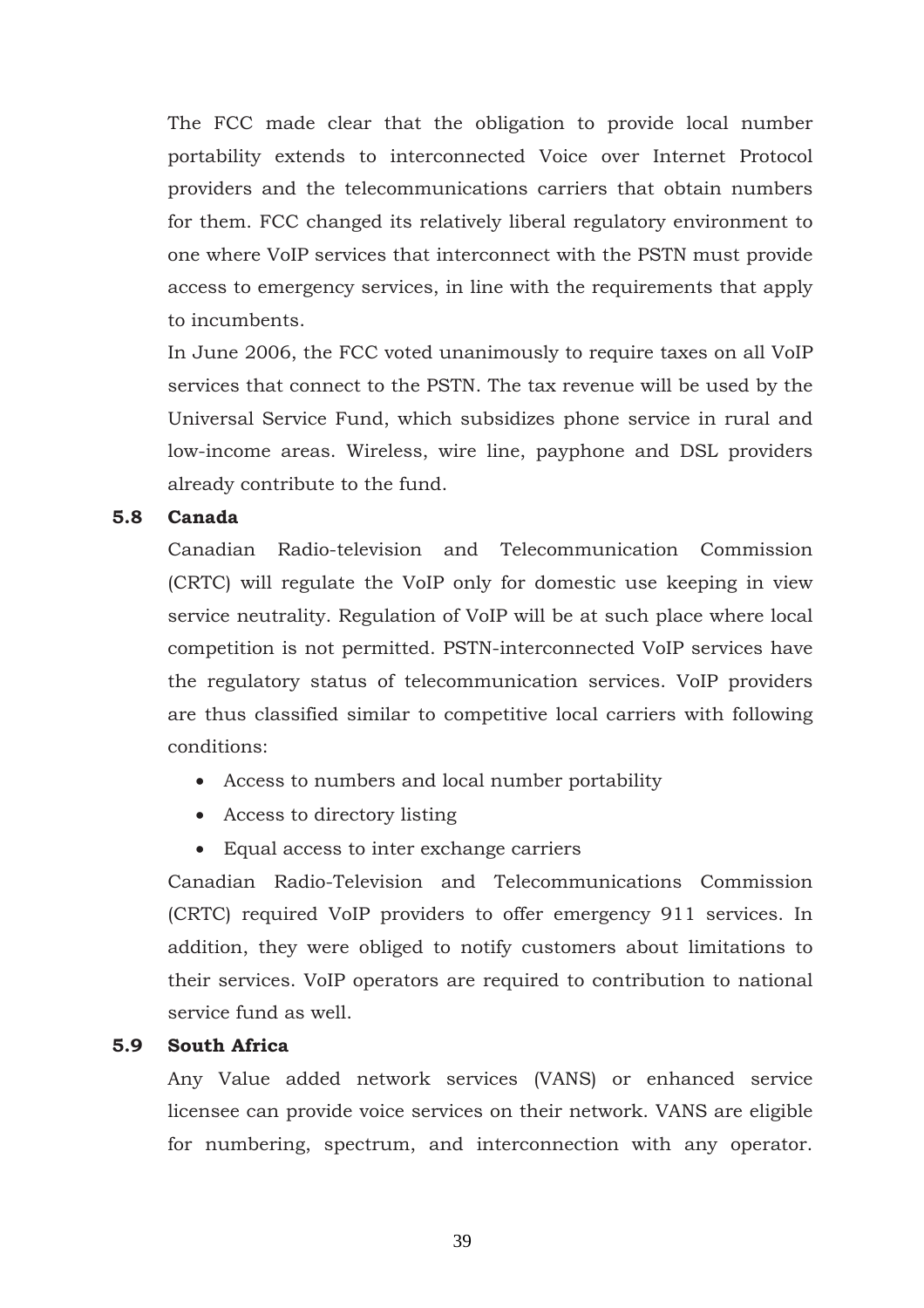The FCC made clear that the obligation to provide local number portability extends to interconnected Voice over Internet Protocol providers and the telecommunications carriers that obtain numbers for them. FCC changed its relatively liberal regulatory environment to one where VoIP services that interconnect with the PSTN must provide access to emergency services, in line with the requirements that apply to incumbents.

In June 2006, the FCC voted unanimously to require taxes on all VoIP services that connect to the PSTN. The tax revenue will be used by the Universal Service Fund, which subsidizes phone service in rural and low-income areas. Wireless, wire line, payphone and DSL providers already contribute to the fund.

### **5.8 Canada**

Canadian Radio-television and Telecommunication Commission (CRTC) will regulate the VoIP only for domestic use keeping in view service neutrality. Regulation of VoIP will be at such place where local competition is not permitted. PSTN-interconnected VoIP services have the regulatory status of telecommunication services. VoIP providers are thus classified similar to competitive local carriers with following conditions:

- Access to numbers and local number portability
- Access to directory listing
- Equal access to inter exchange carriers

Canadian Radio-Television and Telecommunications Commission (CRTC) required VoIP providers to offer emergency 911 services. In addition, they were obliged to notify customers about limitations to their services. VoIP operators are required to contribution to national service fund as well.

# **5.9 South Africa**

Any Value added network services (VANS) or enhanced service licensee can provide voice services on their network. VANS are eligible for numbering, spectrum, and interconnection with any operator.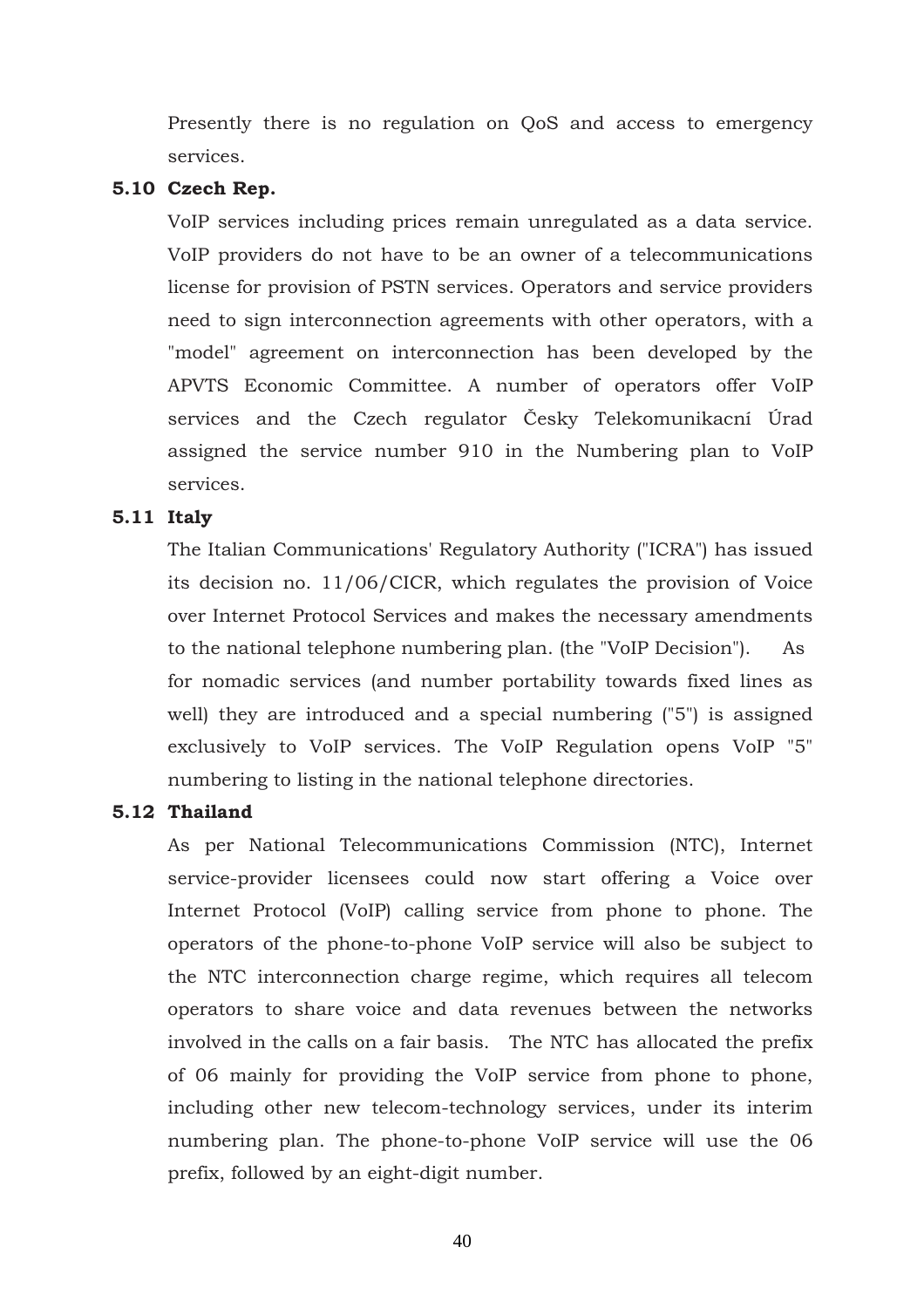Presently there is no regulation on QoS and access to emergency services.

#### **5.10 Czech Rep.**

VoIP services including prices remain unregulated as a data service. VoIP providers do not have to be an owner of a telecommunications license for provision of PSTN services. Operators and service providers need to sign interconnection agreements with other operators, with a "model" agreement on interconnection has been developed by the APVTS Economic Committee. A number of operators offer VoIP services and the Czech regulator Česky Telekomunikacní Úrad assigned the service number 910 in the Numbering plan to VoIP services.

### **5.11 Italy**

The Italian Communications' Regulatory Authority ("ICRA") has issued its decision no. 11/06/CICR, which regulates the provision of Voice over Internet Protocol Services and makes the necessary amendments to the national telephone numbering plan. (the "VoIP Decision"). As for nomadic services (and number portability towards fixed lines as well) they are introduced and a special numbering ("5") is assigned exclusively to VoIP services. The VoIP Regulation opens VoIP "5" numbering to listing in the national telephone directories.

#### **5.12 Thailand**

As per National Telecommunications Commission (NTC), Internet service-provider licensees could now start offering a Voice over Internet Protocol (VoIP) calling service from phone to phone. The operators of the phone-to-phone VoIP service will also be subject to the NTC interconnection charge regime, which requires all telecom operators to share voice and data revenues between the networks involved in the calls on a fair basis. The NTC has allocated the prefix of 06 mainly for providing the VoIP service from phone to phone, including other new telecom-technology services, under its interim numbering plan. The phone-to-phone VoIP service will use the 06 prefix, followed by an eight-digit number.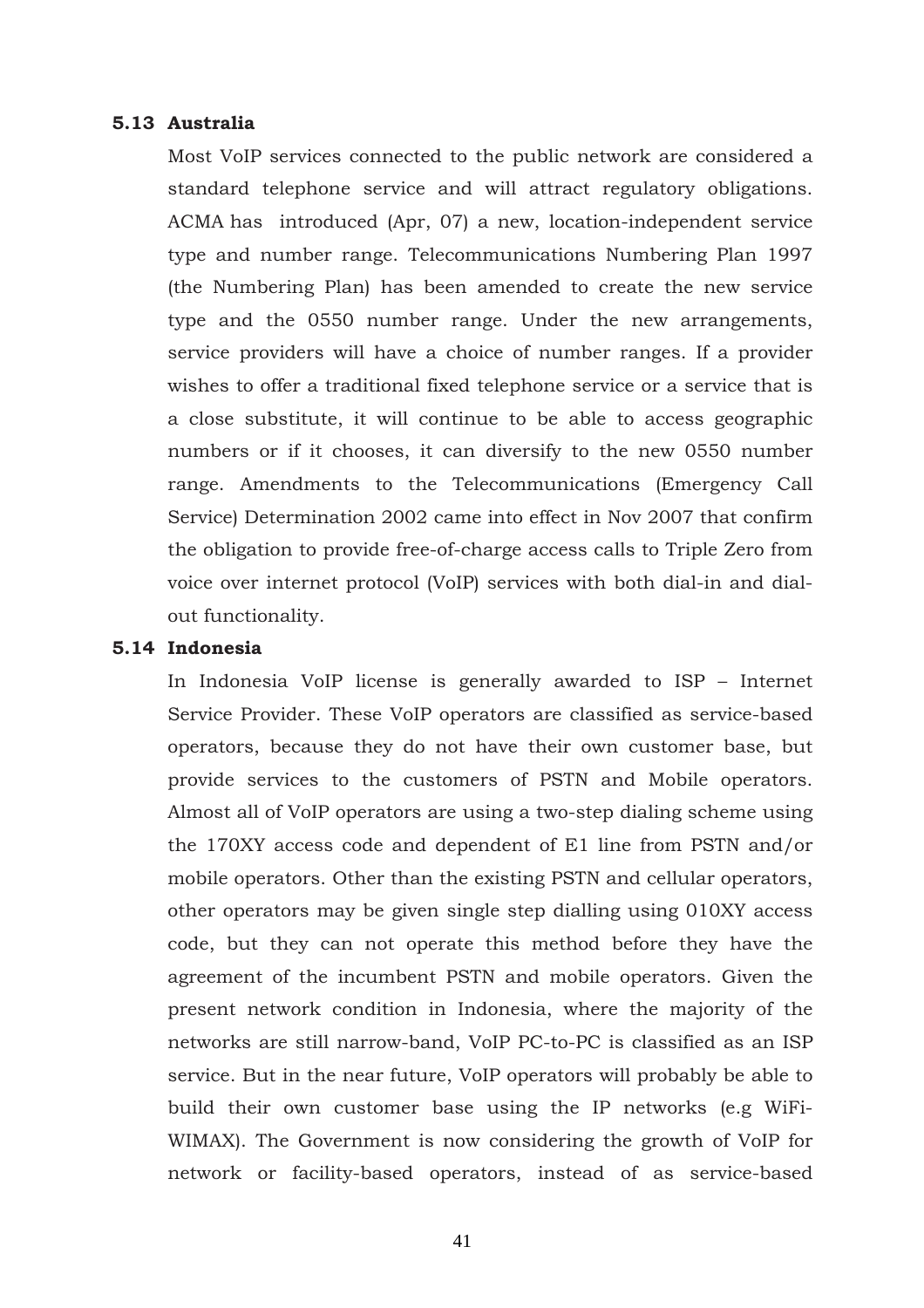#### **5.13 Australia**

Most VoIP services connected to the public network are considered a standard telephone service and will attract regulatory obligations. ACMA has introduced (Apr, 07) a new, location-independent service type and number range. Telecommunications Numbering Plan 1997 (the Numbering Plan) has been amended to create the new service type and the 0550 number range. Under the new arrangements, service providers will have a choice of number ranges. If a provider wishes to offer a traditional fixed telephone service or a service that is a close substitute, it will continue to be able to access geographic numbers or if it chooses, it can diversify to the new 0550 number range. Amendments to the Telecommunications (Emergency Call Service) Determination 2002 came into effect in Nov 2007 that confirm the obligation to provide free-of-charge access calls to Triple Zero from voice over internet protocol (VoIP) services with both dial-in and dialout functionality.

#### **5.14 Indonesia**

In Indonesia VoIP license is generally awarded to ISP – Internet Service Provider. These VoIP operators are classified as service-based operators, because they do not have their own customer base, but provide services to the customers of PSTN and Mobile operators. Almost all of VoIP operators are using a two-step dialing scheme using the 170XY access code and dependent of E1 line from PSTN and/or mobile operators. Other than the existing PSTN and cellular operators, other operators may be given single step dialling using 010XY access code, but they can not operate this method before they have the agreement of the incumbent PSTN and mobile operators. Given the present network condition in Indonesia, where the majority of the networks are still narrow-band, VoIP PC-to-PC is classified as an ISP service. But in the near future, VoIP operators will probably be able to build their own customer base using the IP networks (e.g WiFi-WIMAX). The Government is now considering the growth of VoIP for network or facility-based operators, instead of as service-based

41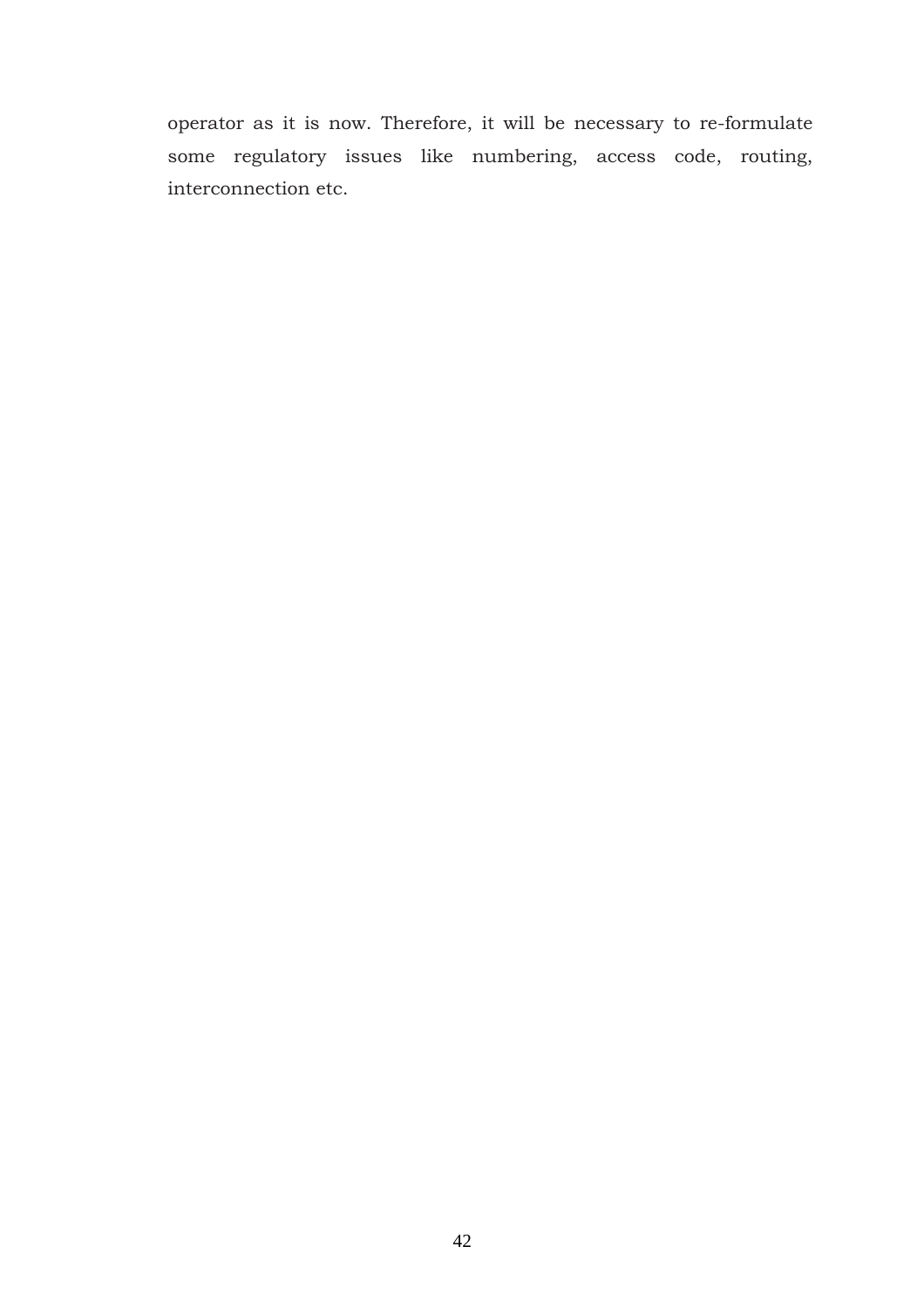operator as it is now. Therefore, it will be necessary to re-formulate some regulatory issues like numbering, access code, routing, interconnection etc.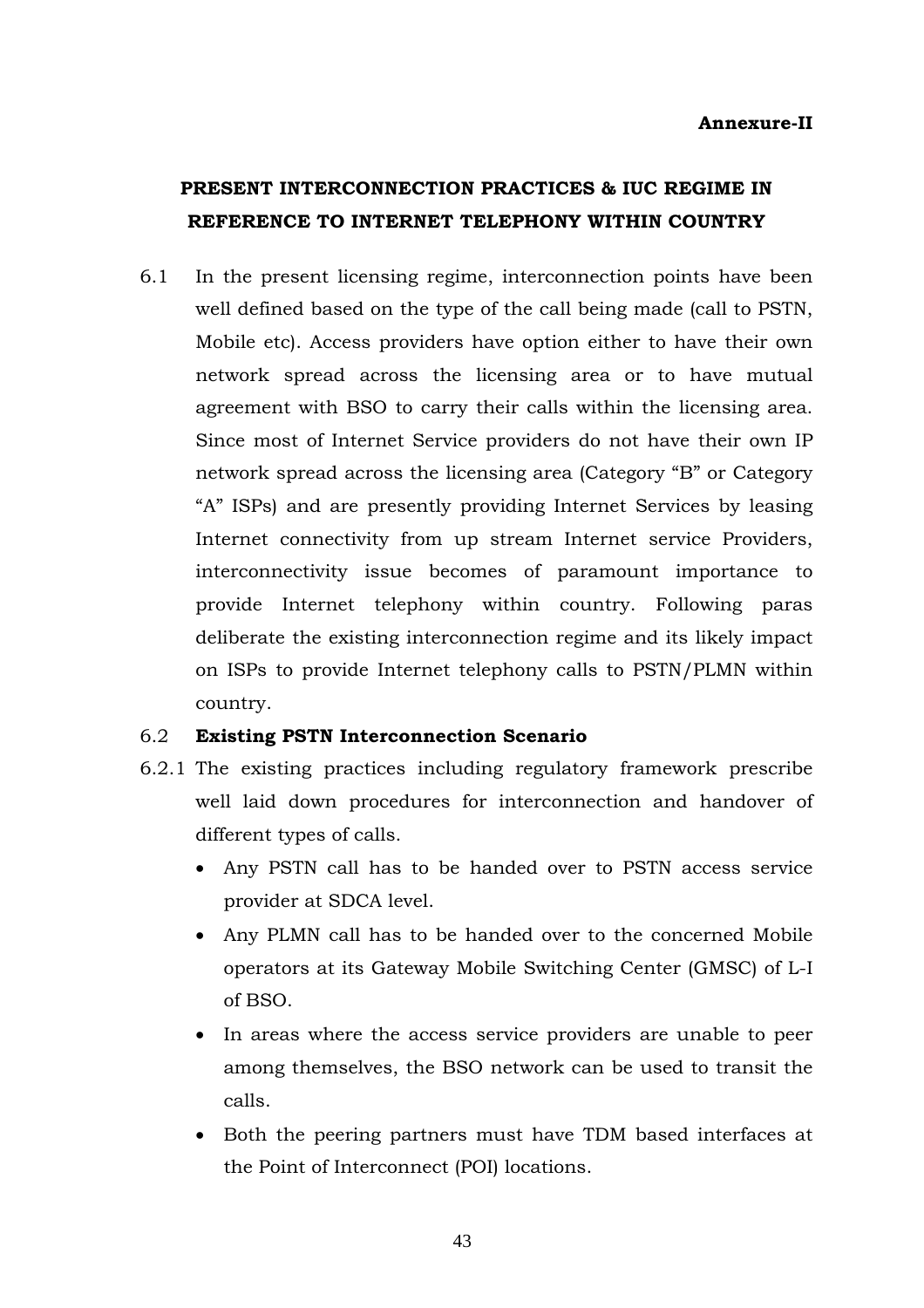# **PRESENT INTERCONNECTION PRACTICES & IUC REGIME IN REFERENCE TO INTERNET TELEPHONY WITHIN COUNTRY**

6.1 In the present licensing regime, interconnection points have been well defined based on the type of the call being made (call to PSTN, Mobile etc). Access providers have option either to have their own network spread across the licensing area or to have mutual agreement with BSO to carry their calls within the licensing area. Since most of Internet Service providers do not have their own IP network spread across the licensing area (Category "B" or Category "A" ISPs) and are presently providing Internet Services by leasing Internet connectivity from up stream Internet service Providers, interconnectivity issue becomes of paramount importance to provide Internet telephony within country. Following paras deliberate the existing interconnection regime and its likely impact on ISPs to provide Internet telephony calls to PSTN/PLMN within country.

# 6.2 **Existing PSTN Interconnection Scenario**

- 6.2.1 The existing practices including regulatory framework prescribe well laid down procedures for interconnection and handover of different types of calls.
	- Any PSTN call has to be handed over to PSTN access service provider at SDCA level.
	- Any PLMN call has to be handed over to the concerned Mobile operators at its Gateway Mobile Switching Center (GMSC) of L-I of BSO.
	- In areas where the access service providers are unable to peer among themselves, the BSO network can be used to transit the calls.
	- Both the peering partners must have TDM based interfaces at the Point of Interconnect (POI) locations.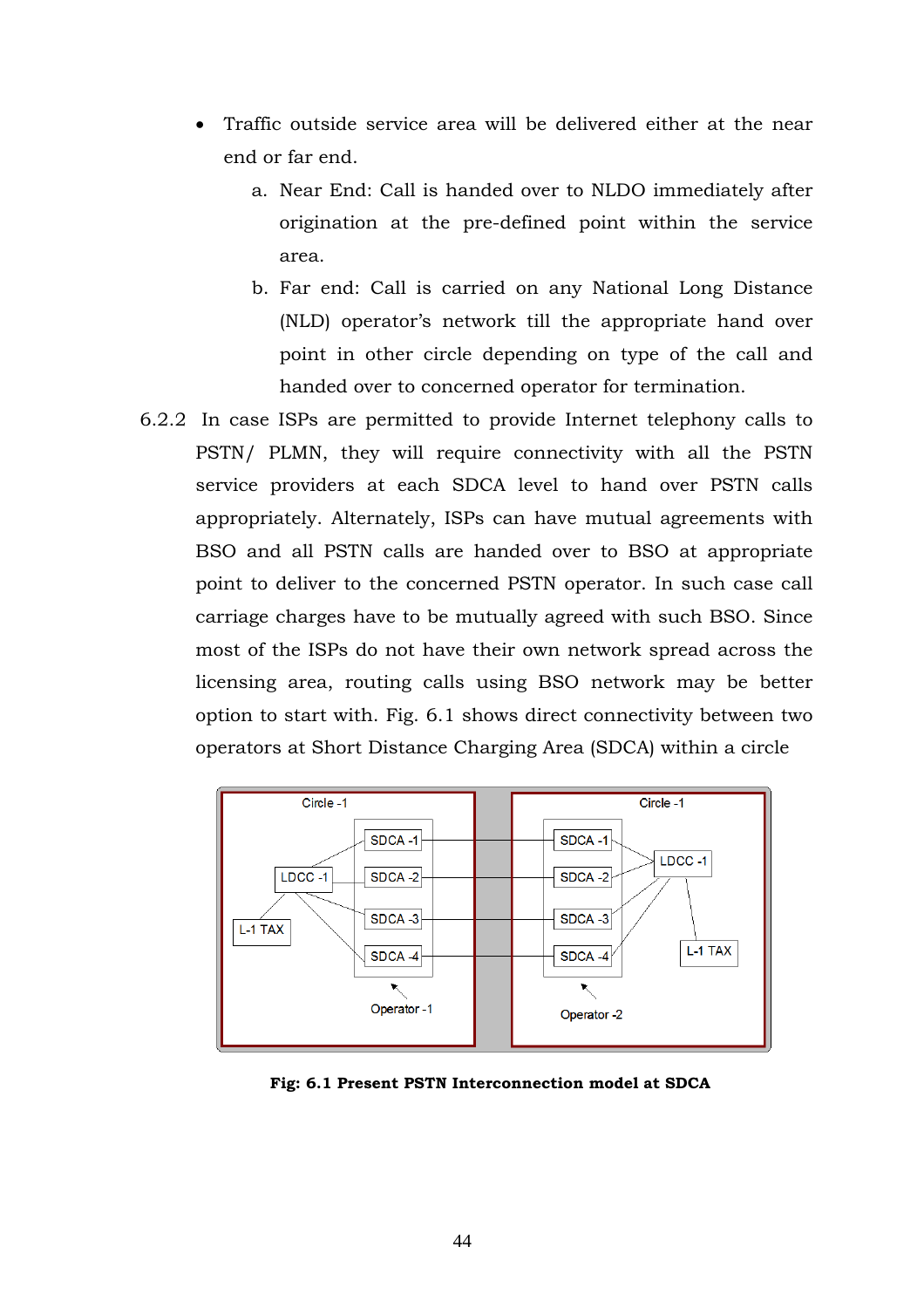- Traffic outside service area will be delivered either at the near end or far end.
	- a. Near End: Call is handed over to NLDO immediately after origination at the pre-defined point within the service area.
	- b. Far end: Call is carried on any National Long Distance (NLD) operator's network till the appropriate hand over point in other circle depending on type of the call and handed over to concerned operator for termination.
- 6.2.2 In case ISPs are permitted to provide Internet telephony calls to PSTN/ PLMN, they will require connectivity with all the PSTN service providers at each SDCA level to hand over PSTN calls appropriately. Alternately, ISPs can have mutual agreements with BSO and all PSTN calls are handed over to BSO at appropriate point to deliver to the concerned PSTN operator. In such case call carriage charges have to be mutually agreed with such BSO. Since most of the ISPs do not have their own network spread across the licensing area, routing calls using BSO network may be better option to start with. Fig. 6.1 shows direct connectivity between two operators at Short Distance Charging Area (SDCA) within a circle



**Fig: 6.1 Present PSTN Interconnection model at SDCA**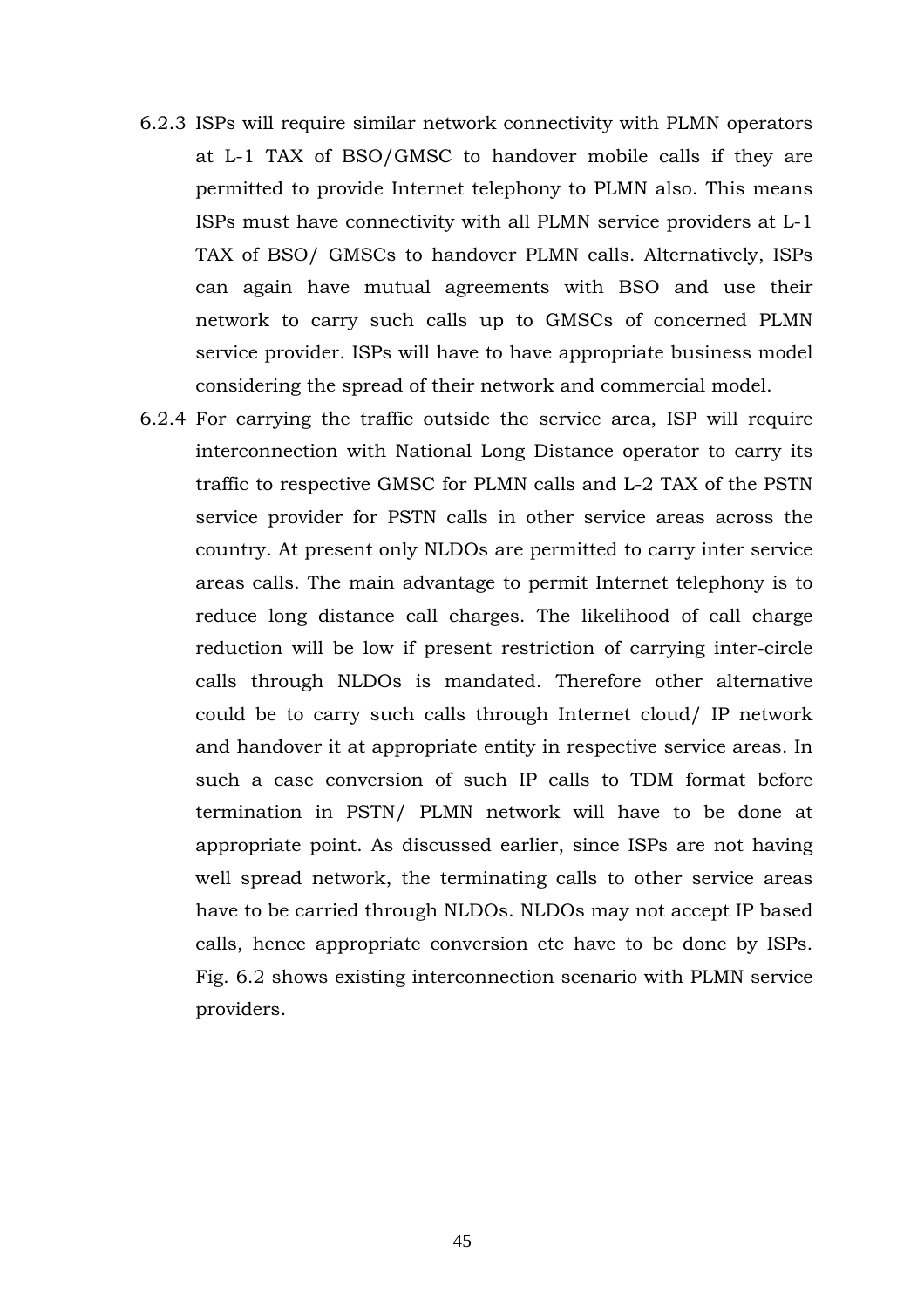- 6.2.3 ISPs will require similar network connectivity with PLMN operators at L-1 TAX of BSO/GMSC to handover mobile calls if they are permitted to provide Internet telephony to PLMN also. This means ISPs must have connectivity with all PLMN service providers at L-1 TAX of BSO/ GMSCs to handover PLMN calls. Alternatively, ISPs can again have mutual agreements with BSO and use their network to carry such calls up to GMSCs of concerned PLMN service provider. ISPs will have to have appropriate business model considering the spread of their network and commercial model.
- 6.2.4 For carrying the traffic outside the service area, ISP will require interconnection with National Long Distance operator to carry its traffic to respective GMSC for PLMN calls and L-2 TAX of the PSTN service provider for PSTN calls in other service areas across the country. At present only NLDOs are permitted to carry inter service areas calls. The main advantage to permit Internet telephony is to reduce long distance call charges. The likelihood of call charge reduction will be low if present restriction of carrying inter-circle calls through NLDOs is mandated. Therefore other alternative could be to carry such calls through Internet cloud/ IP network and handover it at appropriate entity in respective service areas. In such a case conversion of such IP calls to TDM format before termination in PSTN/ PLMN network will have to be done at appropriate point. As discussed earlier, since ISPs are not having well spread network, the terminating calls to other service areas have to be carried through NLDOs. NLDOs may not accept IP based calls, hence appropriate conversion etc have to be done by ISPs. Fig. 6.2 shows existing interconnection scenario with PLMN service providers.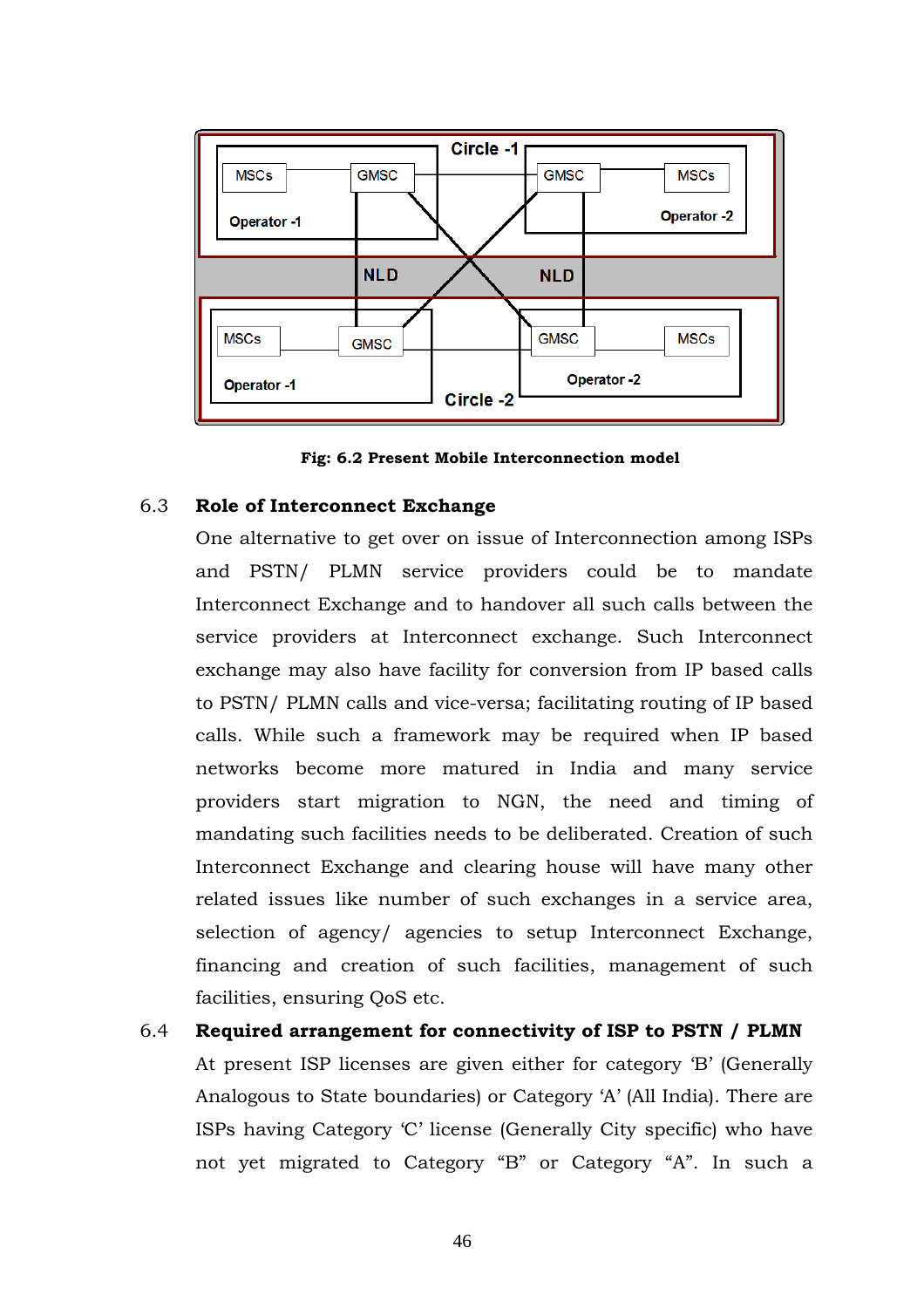

**Fig: 6.2 Present Mobile Interconnection model** 

#### 6.3 **Role of Interconnect Exchange**

One alternative to get over on issue of Interconnection among ISPs and PSTN/ PLMN service providers could be to mandate Interconnect Exchange and to handover all such calls between the service providers at Interconnect exchange. Such Interconnect exchange may also have facility for conversion from IP based calls to PSTN/ PLMN calls and vice-versa; facilitating routing of IP based calls. While such a framework may be required when IP based networks become more matured in India and many service providers start migration to NGN, the need and timing of mandating such facilities needs to be deliberated. Creation of such Interconnect Exchange and clearing house will have many other related issues like number of such exchanges in a service area, selection of agency/ agencies to setup Interconnect Exchange, financing and creation of such facilities, management of such facilities, ensuring QoS etc.

6.4 **Required arrangement for connectivity of ISP to PSTN / PLMN**  At present ISP licenses are given either for category 'B' (Generally Analogous to State boundaries) or Category 'A' (All India). There are ISPs having Category 'C' license (Generally City specific) who have not yet migrated to Category "B" or Category "A". In such a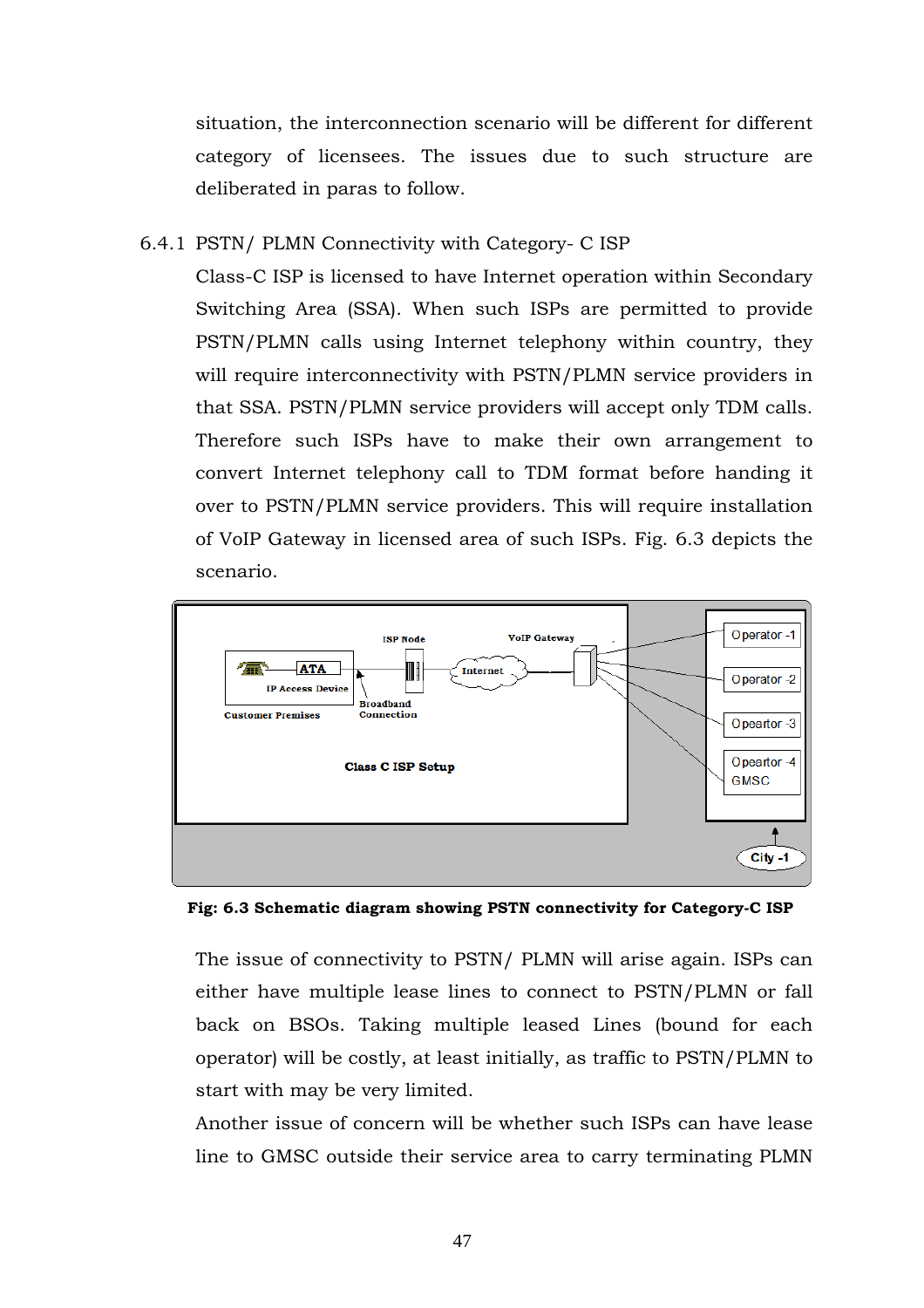situation, the interconnection scenario will be different for different category of licensees. The issues due to such structure are deliberated in paras to follow.

### 6.4.1 PSTN/ PLMN Connectivity with Category- C ISP

Class-C ISP is licensed to have Internet operation within Secondary Switching Area (SSA). When such ISPs are permitted to provide PSTN/PLMN calls using Internet telephony within country, they will require interconnectivity with PSTN/PLMN service providers in that SSA. PSTN/PLMN service providers will accept only TDM calls. Therefore such ISPs have to make their own arrangement to convert Internet telephony call to TDM format before handing it over to PSTN/PLMN service providers. This will require installation of VoIP Gateway in licensed area of such ISPs. Fig. 6.3 depicts the scenario.



**Fig: 6.3 Schematic diagram showing PSTN connectivity for Category-C ISP**

The issue of connectivity to PSTN/ PLMN will arise again. ISPs can either have multiple lease lines to connect to PSTN/PLMN or fall back on BSOs. Taking multiple leased Lines (bound for each operator) will be costly, at least initially, as traffic to PSTN/PLMN to start with may be very limited.

Another issue of concern will be whether such ISPs can have lease line to GMSC outside their service area to carry terminating PLMN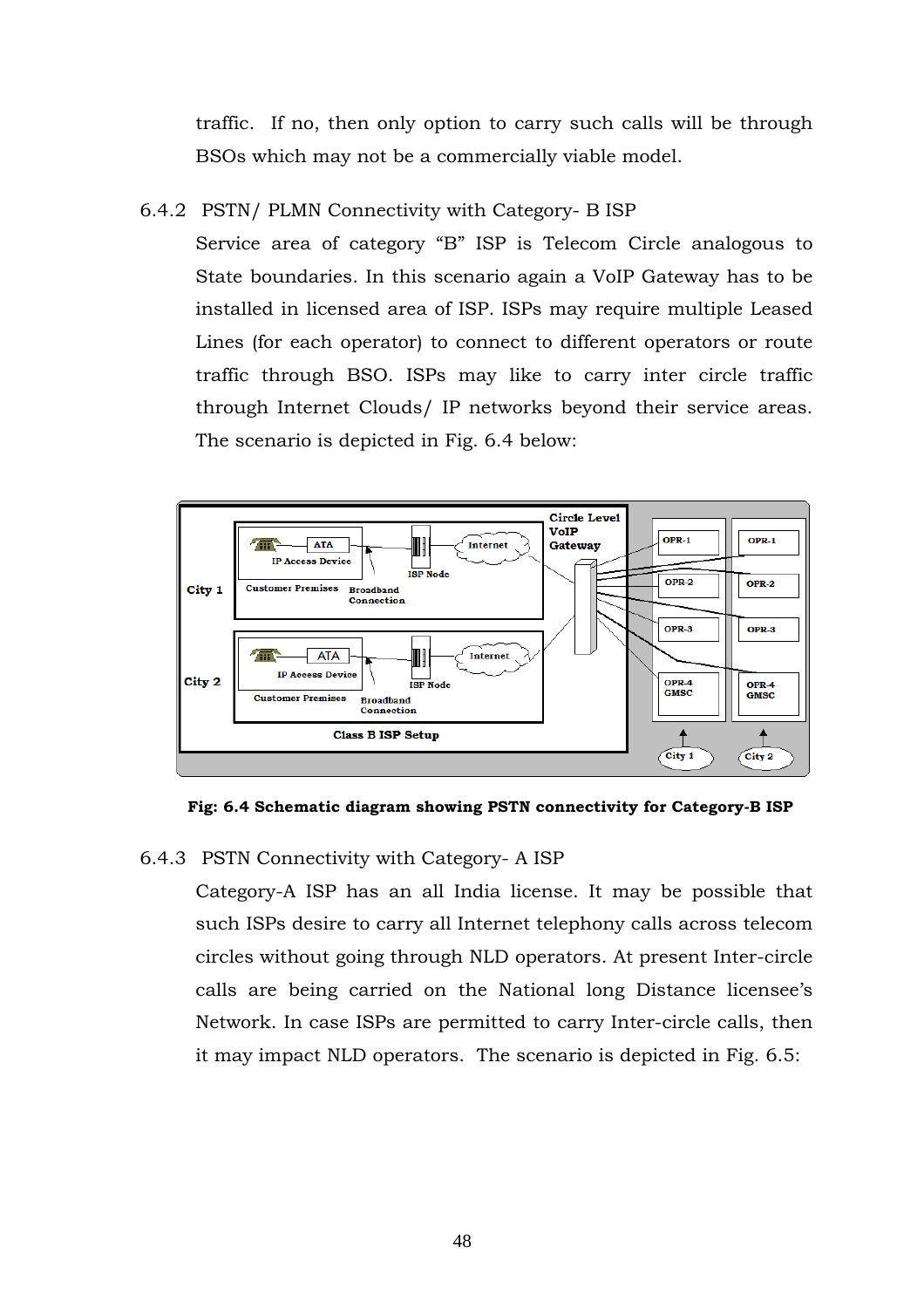traffic. If no, then only option to carry such calls will be through BSOs which may not be a commercially viable model.

# 6.4.2 PSTN/ PLMN Connectivity with Category- B ISP

Service area of category "B" ISP is Telecom Circle analogous to State boundaries. In this scenario again a VoIP Gateway has to be installed in licensed area of ISP. ISPs may require multiple Leased Lines (for each operator) to connect to different operators or route traffic through BSO. ISPs may like to carry inter circle traffic through Internet Clouds/ IP networks beyond their service areas. The scenario is depicted in Fig. 6.4 below:



**Fig: 6.4 Schematic diagram showing PSTN connectivity for Category-B ISP**

# 6.4.3 PSTN Connectivity with Category- A ISP

Category-A ISP has an all India license. It may be possible that such ISPs desire to carry all Internet telephony calls across telecom circles without going through NLD operators. At present Inter-circle calls are being carried on the National long Distance licensee's Network. In case ISPs are permitted to carry Inter-circle calls, then it may impact NLD operators. The scenario is depicted in Fig. 6.5: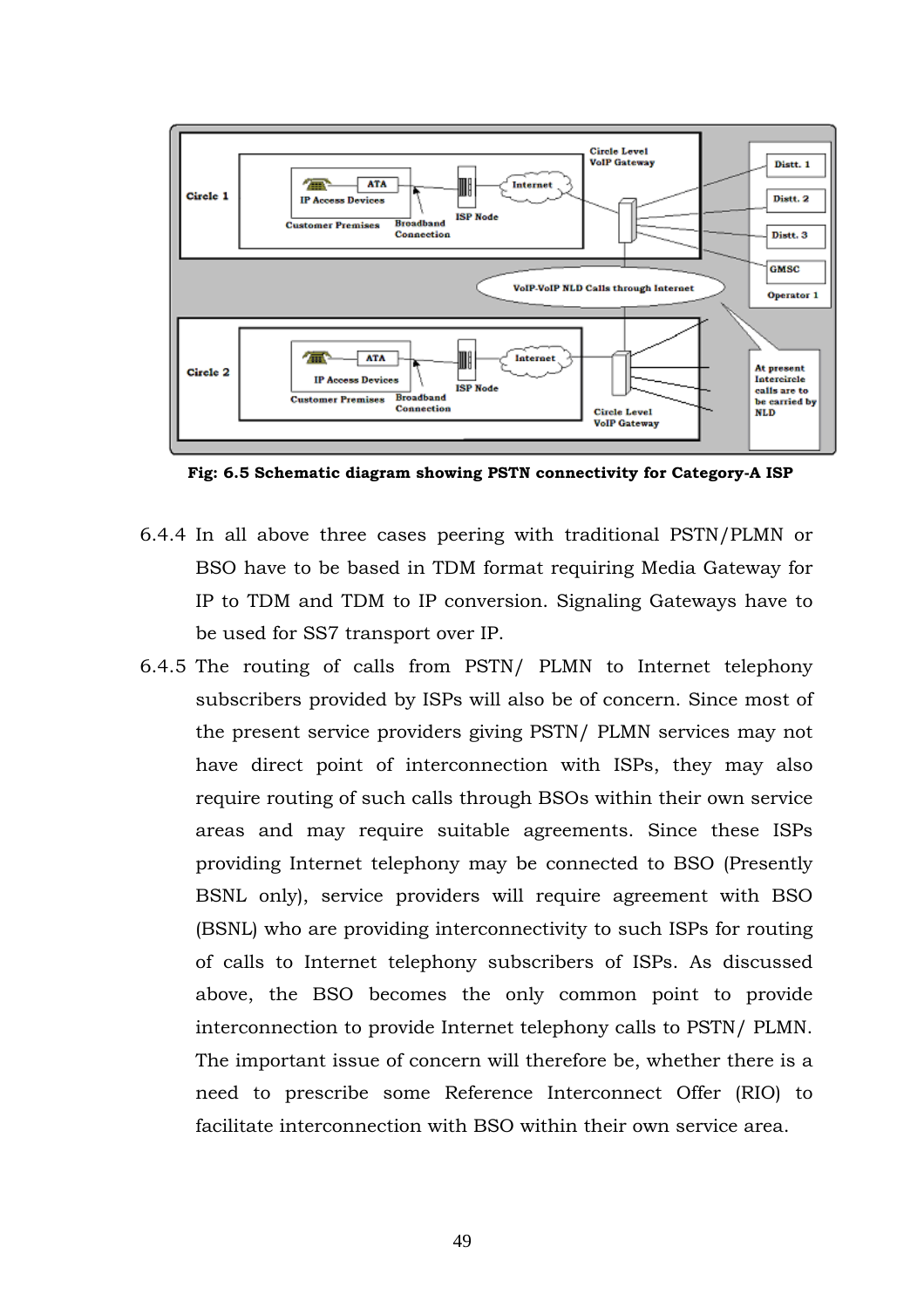

**Fig: 6.5 Schematic diagram showing PSTN connectivity for Category-A ISP** 

- 6.4.4 In all above three cases peering with traditional PSTN/PLMN or BSO have to be based in TDM format requiring Media Gateway for IP to TDM and TDM to IP conversion. Signaling Gateways have to be used for SS7 transport over IP.
- 6.4.5 The routing of calls from PSTN/ PLMN to Internet telephony subscribers provided by ISPs will also be of concern. Since most of the present service providers giving PSTN/ PLMN services may not have direct point of interconnection with ISPs, they may also require routing of such calls through BSOs within their own service areas and may require suitable agreements. Since these ISPs providing Internet telephony may be connected to BSO (Presently BSNL only), service providers will require agreement with BSO (BSNL) who are providing interconnectivity to such ISPs for routing of calls to Internet telephony subscribers of ISPs. As discussed above, the BSO becomes the only common point to provide interconnection to provide Internet telephony calls to PSTN/ PLMN. The important issue of concern will therefore be, whether there is a need to prescribe some Reference Interconnect Offer (RIO) to facilitate interconnection with BSO within their own service area.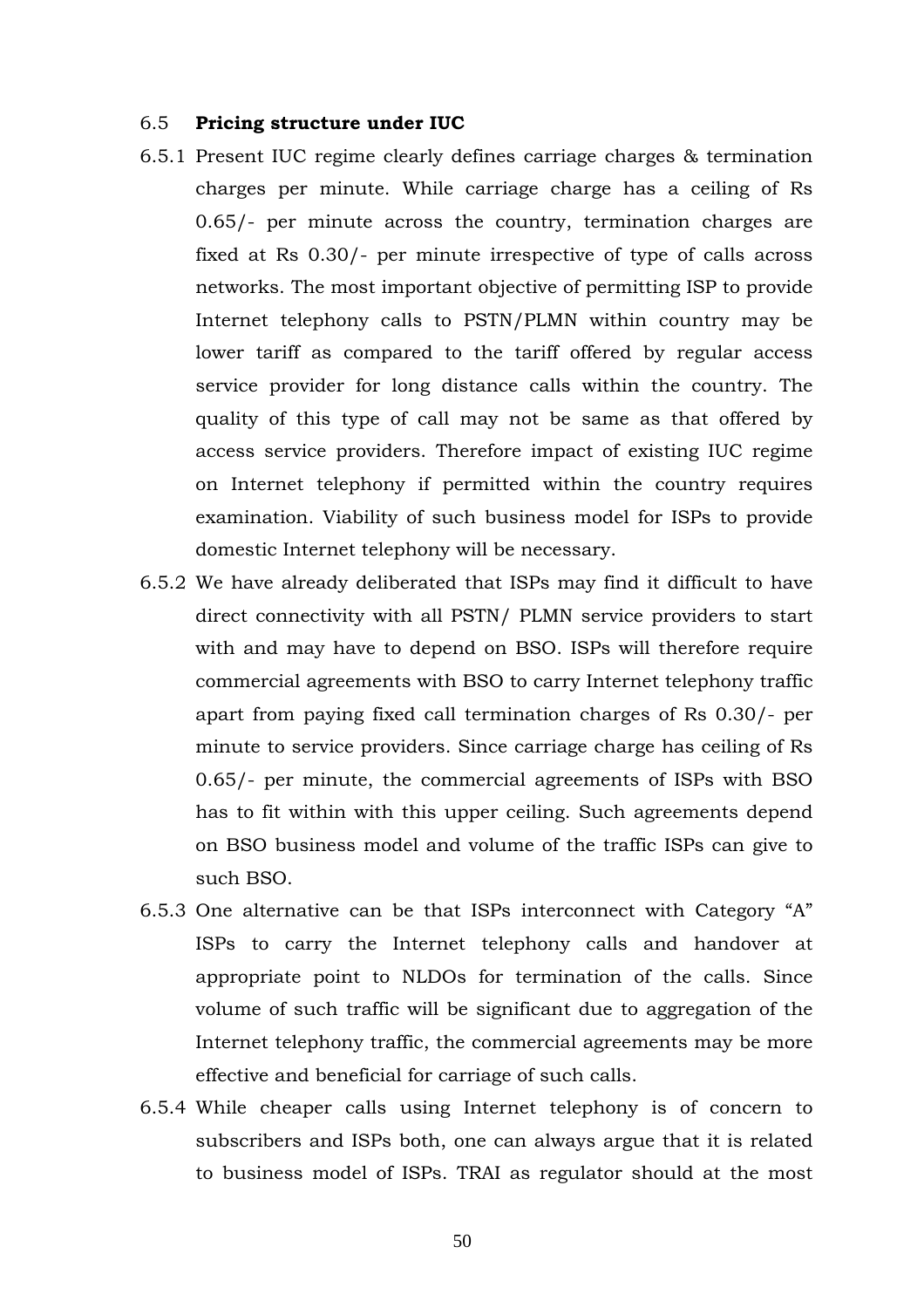#### 6.5 **Pricing structure under IUC**

- 6.5.1 Present IUC regime clearly defines carriage charges & termination charges per minute. While carriage charge has a ceiling of Rs 0.65/- per minute across the country, termination charges are fixed at Rs 0.30/- per minute irrespective of type of calls across networks. The most important objective of permitting ISP to provide Internet telephony calls to PSTN/PLMN within country may be lower tariff as compared to the tariff offered by regular access service provider for long distance calls within the country. The quality of this type of call may not be same as that offered by access service providers. Therefore impact of existing IUC regime on Internet telephony if permitted within the country requires examination. Viability of such business model for ISPs to provide domestic Internet telephony will be necessary.
- 6.5.2 We have already deliberated that ISPs may find it difficult to have direct connectivity with all PSTN/ PLMN service providers to start with and may have to depend on BSO. ISPs will therefore require commercial agreements with BSO to carry Internet telephony traffic apart from paying fixed call termination charges of Rs 0.30/- per minute to service providers. Since carriage charge has ceiling of Rs 0.65/- per minute, the commercial agreements of ISPs with BSO has to fit within with this upper ceiling. Such agreements depend on BSO business model and volume of the traffic ISPs can give to such BSO.
- 6.5.3 One alternative can be that ISPs interconnect with Category "A" ISPs to carry the Internet telephony calls and handover at appropriate point to NLDOs for termination of the calls. Since volume of such traffic will be significant due to aggregation of the Internet telephony traffic, the commercial agreements may be more effective and beneficial for carriage of such calls.
- 6.5.4 While cheaper calls using Internet telephony is of concern to subscribers and ISPs both, one can always argue that it is related to business model of ISPs. TRAI as regulator should at the most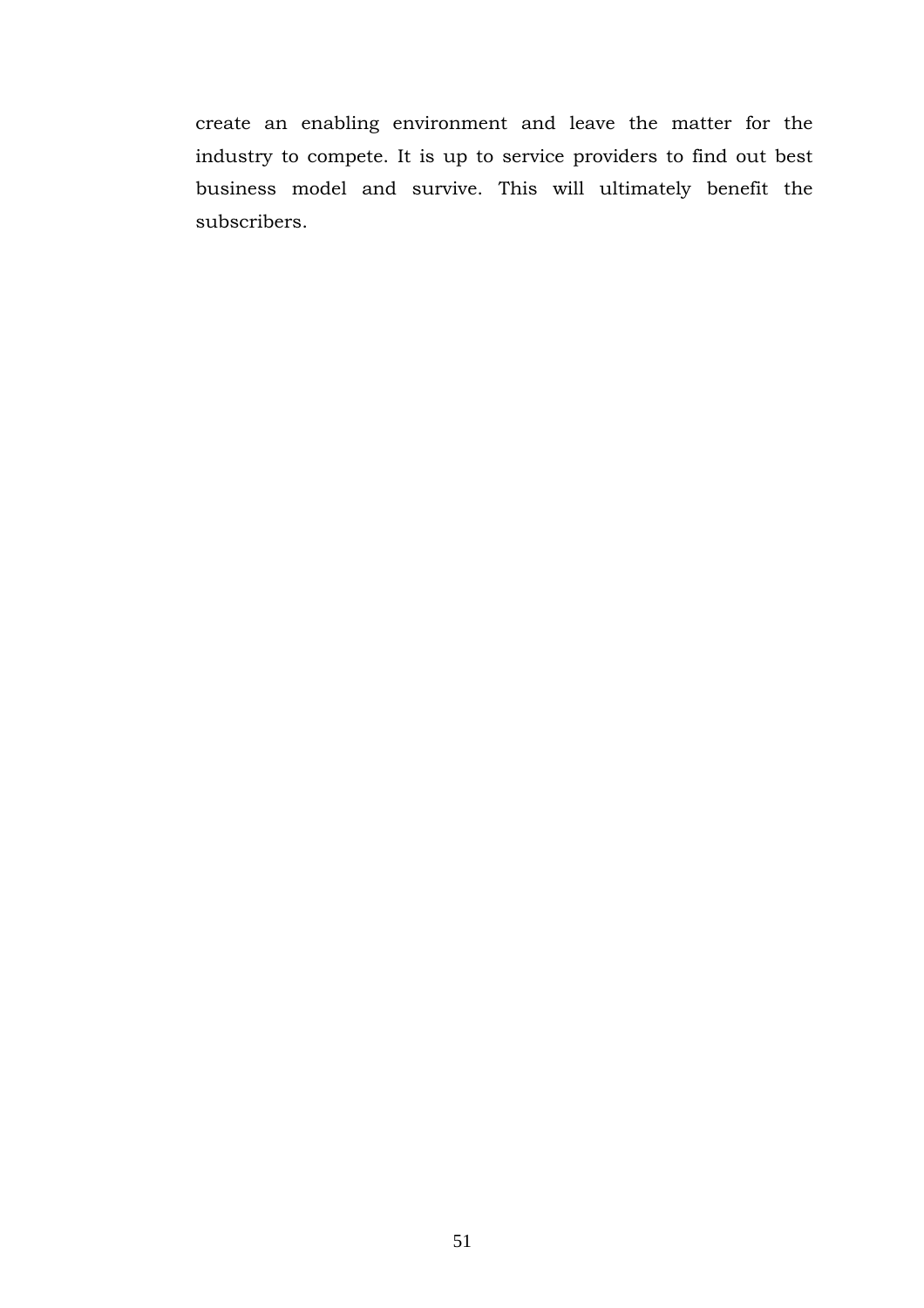create an enabling environment and leave the matter for the industry to compete. It is up to service providers to find out best business model and survive. This will ultimately benefit the subscribers.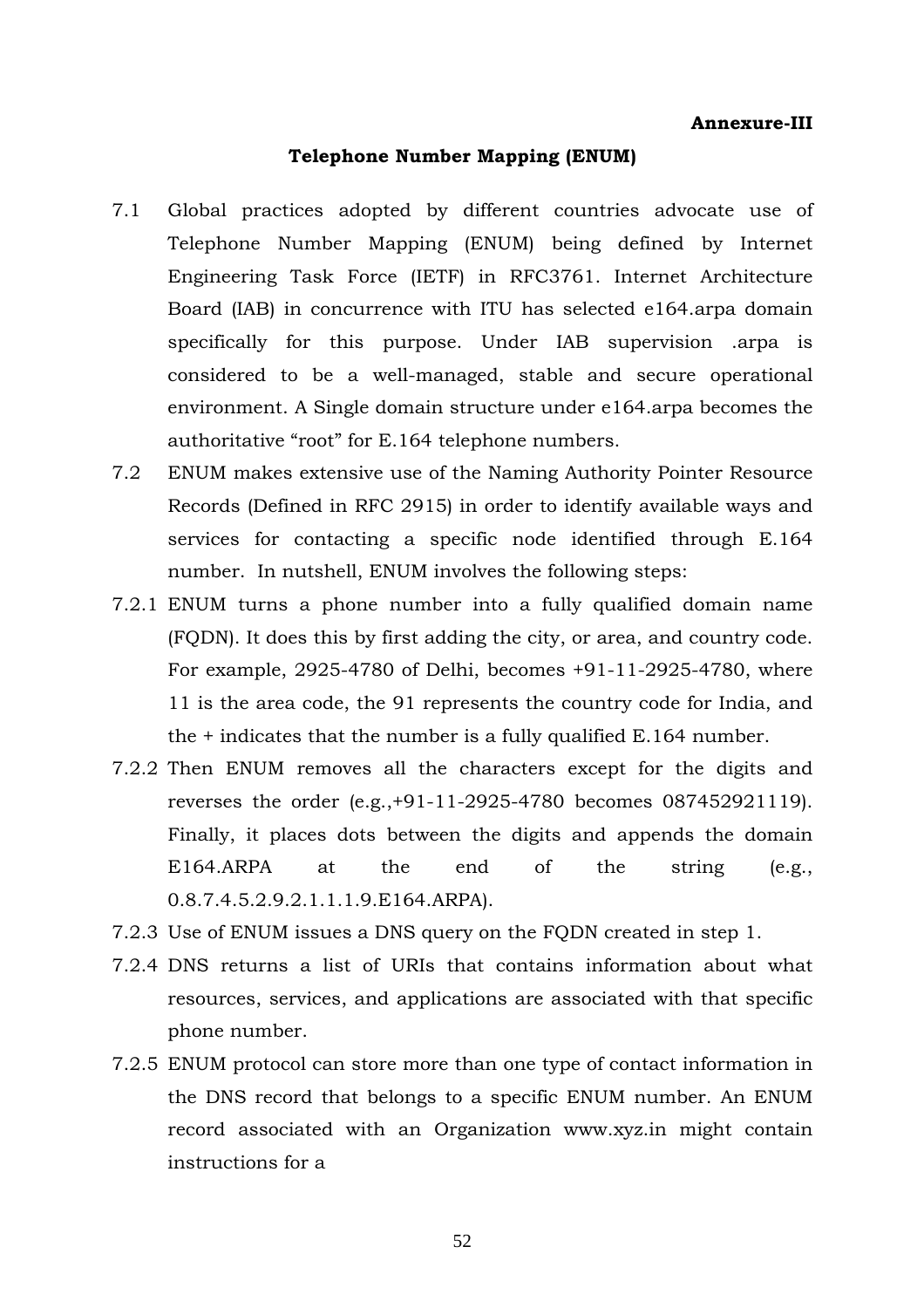#### **Annexure-III**

#### **Telephone Number Mapping (ENUM)**

- 7.1 Global practices adopted by different countries advocate use of Telephone Number Mapping (ENUM) being defined by Internet Engineering Task Force (IETF) in RFC3761. Internet Architecture Board (IAB) in concurrence with ITU has selected e164.arpa domain specifically for this purpose. Under IAB supervision .arpa is considered to be a well-managed, stable and secure operational environment. A Single domain structure under e164.arpa becomes the authoritative "root" for E.164 telephone numbers.
- 7.2 ENUM makes extensive use of the Naming Authority Pointer Resource Records (Defined in RFC 2915) in order to identify available ways and services for contacting a specific node identified through E.164 number. In nutshell, ENUM involves the following steps:
- 7.2.1 ENUM turns a phone number into a fully qualified domain name (FQDN). It does this by first adding the city, or area, and country code. For example, 2925-4780 of Delhi, becomes +91-11-2925-4780, where 11 is the area code, the 91 represents the country code for India, and the + indicates that the number is a fully qualified E.164 number.
- 7.2.2 Then ENUM removes all the characters except for the digits and reverses the order (e.g.,+91-11-2925-4780 becomes 087452921119). Finally, it places dots between the digits and appends the domain E164.ARPA at the end of the string (e.g., 0.8.7.4.5.2.9.2.1.1.1.9.E164.ARPA).
- 7.2.3 Use of ENUM issues a DNS query on the FQDN created in step 1.
- 7.2.4 DNS returns a list of URIs that contains information about what resources, services, and applications are associated with that specific phone number.
- 7.2.5 ENUM protocol can store more than one type of contact information in the DNS record that belongs to a specific ENUM number. An ENUM record associated with an Organization [www.xyz.in](http://www.xyz.in/) might contain instructions for a

52